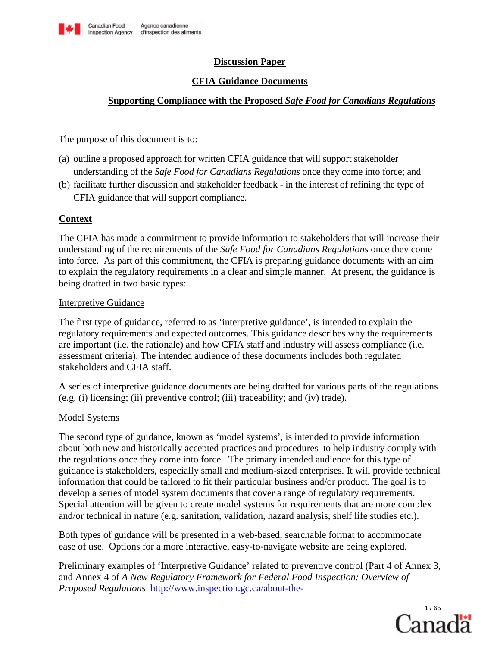

# **Discussion Paper**

# **CFIA Guidance Documents**

# **Supporting Compliance with the Proposed** *Safe Food for Canadians Regulations*

The purpose of this document is to:

- (a) outline a proposed approach for written CFIA guidance that will support stakeholder understanding of the *Safe Food for Canadians Regulations* once they come into force; and
- (b) facilitate further discussion and stakeholder feedback in the interest of refining the type of CFIA guidance that will support compliance.

# **Context**

The CFIA has made a commitment to provide information to stakeholders that will increase their understanding of the requirements of the *Safe Food for Canadians Regulations* once they come into force. As part of this commitment, the CFIA is preparing guidance documents with an aim to explain the regulatory requirements in a clear and simple manner. At present, the guidance is being drafted in two basic types:

## Interpretive Guidance

The first type of guidance, referred to as 'interpretive guidance', is intended to explain the regulatory requirements and expected outcomes. This guidance describes why the requirements are important (i.e. the rationale) and how CFIA staff and industry will assess compliance (i.e. assessment criteria). The intended audience of these documents includes both regulated stakeholders and CFIA staff.

A series of interpretive guidance documents are being drafted for various parts of the regulations (e.g. (i) licensing; (ii) preventive control; (iii) traceability; and (iv) trade).

# Model Systems

The second type of guidance, known as 'model systems', is intended to provide information about both new and historically accepted practices and procedures to help industry comply with the regulations once they come into force. The primary intended audience for this type of guidance is stakeholders, especially small and medium-sized enterprises. It will provide technical information that could be tailored to fit their particular business and/or product. The goal is to develop a series of model system documents that cover a range of regulatory requirements. Special attention will be given to create model systems for requirements that are more complex and/or technical in nature (e.g. sanitation, validation, hazard analysis, shelf life studies etc.).

Both types of guidance will be presented in a web-based, searchable format to accommodate ease of use. Options for a more interactive, easy-to-navigate website are being explored.

Preliminary examples of 'Interpretive Guidance' related to preventive control (Part 4 of Annex 3, and Annex 4 of *A New Regulatory Framework for Federal Food Inspection: Overview of Proposed Regulations* [http://www.inspection.gc.ca/about-the-](http://www.inspection.gc.ca/about-the-cfia/accountability/consultations/federal-food-inspection/overview-of-proposed-regulations/eng/1400451508255/1400451811916)

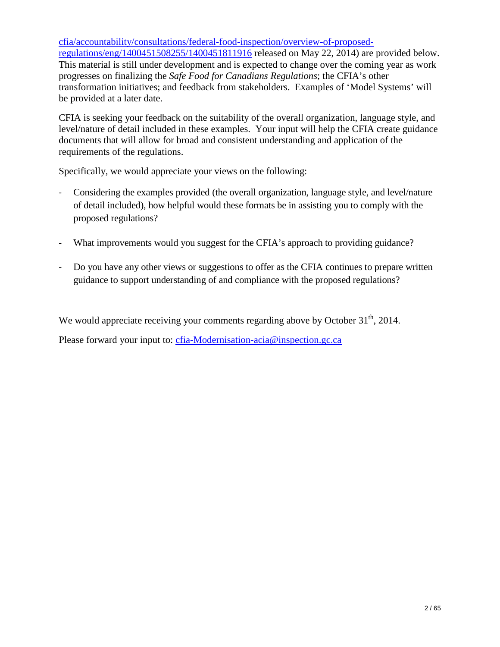[cfia/accountability/consultations/federal-food-inspection/overview-of-proposed](http://www.inspection.gc.ca/about-the-cfia/accountability/consultations/federal-food-inspection/overview-of-proposed-regulations/eng/1400451508255/1400451811916)[regulations/eng/1400451508255/1400451811916](http://www.inspection.gc.ca/about-the-cfia/accountability/consultations/federal-food-inspection/overview-of-proposed-regulations/eng/1400451508255/1400451811916) released on May 22, 2014) are provided below. This material is still under development and is expected to change over the coming year as work progresses on finalizing the *Safe Food for Canadians Regulations*; the CFIA's other transformation initiatives; and feedback from stakeholders. Examples of 'Model Systems' will be provided at a later date.

CFIA is seeking your feedback on the suitability of the overall organization, language style, and level/nature of detail included in these examples. Your input will help the CFIA create guidance documents that will allow for broad and consistent understanding and application of the requirements of the regulations.

Specifically, we would appreciate your views on the following:

- Considering the examples provided (the overall organization, language style, and level/nature of detail included), how helpful would these formats be in assisting you to comply with the proposed regulations?
- What improvements would you suggest for the CFIA's approach to providing guidance?
- Do you have any other views or suggestions to offer as the CFIA continues to prepare written guidance to support understanding of and compliance with the proposed regulations?

We would appreciate receiving your comments regarding above by October  $31<sup>th</sup>$ , 2014.

Please forward your input to: [cfia-Modernisation-acia@inspection.gc.ca](mailto:cfia-Modernisation-acia@inspection.gc.ca)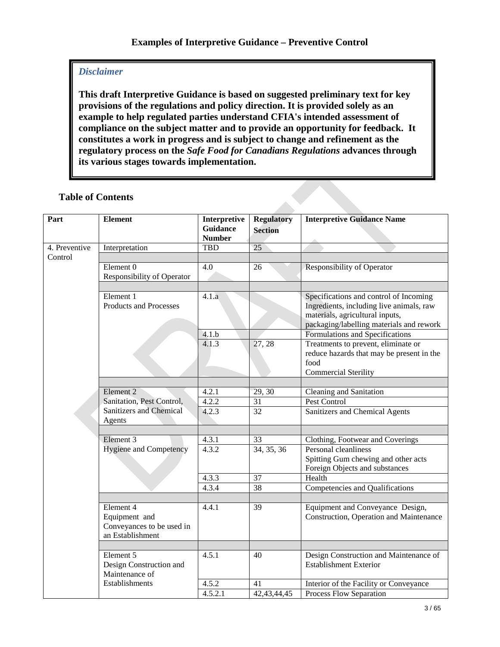# *Disclaimer*

**This draft Interpretive Guidance is based on suggested preliminary text for key provisions of the regulations and policy direction. It is provided solely as an example to help regulated parties understand CFIA's intended assessment of compliance on the subject matter and to provide an opportunity for feedback. It constitutes a work in progress and is subject to change and refinement as the regulatory process on the** *Safe Food for Canadians Regulations* **advances through its various stages towards implementation.** 

| Part          | <b>Element</b>                | Interpretive<br><b>Guidance</b><br><b>Number</b> | <b>Regulatory</b><br><b>Section</b> | <b>Interpretive Guidance Name</b>         |
|---------------|-------------------------------|--------------------------------------------------|-------------------------------------|-------------------------------------------|
| 4. Preventive | Interpretation                | <b>TBD</b>                                       | 25                                  |                                           |
| Control       |                               |                                                  |                                     |                                           |
|               | Element <sub>0</sub>          | 4.0                                              | 26                                  | <b>Responsibility of Operator</b>         |
|               | Responsibility of Operator    |                                                  |                                     |                                           |
|               |                               |                                                  |                                     |                                           |
|               | Element 1                     | 4.1.a                                            |                                     | Specifications and control of Incoming    |
|               | Products and Processes        |                                                  |                                     | Ingredients, including live animals, raw  |
|               |                               |                                                  |                                     | materials, agricultural inputs,           |
|               |                               |                                                  |                                     | packaging/labelling materials and rework  |
|               |                               | 4.1.b                                            |                                     | Formulations and Specifications           |
|               |                               | 4.1.3                                            | 27, 28                              | Treatments to prevent, eliminate or       |
|               |                               |                                                  |                                     | reduce hazards that may be present in the |
|               |                               |                                                  |                                     | food                                      |
|               |                               |                                                  |                                     | <b>Commercial Sterility</b>               |
|               | Element <sub>2</sub>          | 4.2.1                                            | 29, 30                              |                                           |
|               | Sanitation, Pest Control,     | 4.2.2                                            | 31                                  | Cleaning and Sanitation<br>Pest Control   |
|               | Sanitizers and Chemical       | 4.2.3                                            | 32                                  | Sanitizers and Chemical Agents            |
|               | Agents                        |                                                  |                                     |                                           |
|               |                               |                                                  |                                     |                                           |
|               | Element 3                     | 4.3.1                                            | 33                                  | Clothing, Footwear and Coverings          |
|               | <b>Hygiene and Competency</b> | 4.3.2                                            | 34, 35, 36                          | Personal cleanliness                      |
|               |                               |                                                  |                                     | Spitting Gum chewing and other acts       |
|               |                               |                                                  |                                     | Foreign Objects and substances            |
|               |                               | 4.3.3                                            | 37                                  | Health                                    |
|               |                               | 4.3.4                                            | 38                                  | Competencies and Qualifications           |
|               |                               |                                                  |                                     |                                           |
|               | Element 4                     | 4.4.1                                            | 39                                  | Equipment and Conveyance Design,          |
|               | Equipment and                 |                                                  |                                     | Construction, Operation and Maintenance   |
|               | Conveyances to be used in     |                                                  |                                     |                                           |
|               | an Establishment              |                                                  |                                     |                                           |
|               |                               |                                                  |                                     |                                           |
|               | Element 5                     | 4.5.1                                            | 40                                  | Design Construction and Maintenance of    |
|               | Design Construction and       |                                                  |                                     | <b>Establishment Exterior</b>             |
|               | Maintenance of                |                                                  |                                     |                                           |
|               | Establishments                | 4.5.2                                            | 41                                  | Interior of the Facility or Conveyance    |
|               |                               | 4.5.2.1                                          | 42, 43, 44, 45                      | Process Flow Separation                   |

# **Table of Contents**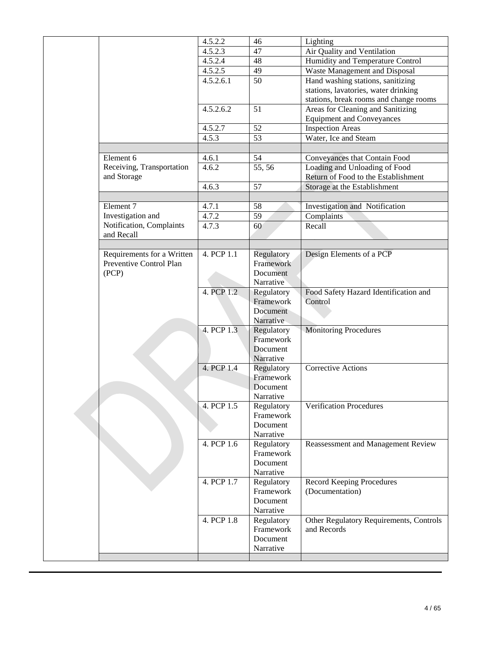|  |                            | 4.5.2.2    | 46         | Lighting                                |
|--|----------------------------|------------|------------|-----------------------------------------|
|  |                            | 4.5.2.3    | 47         | Air Quality and Ventilation             |
|  |                            | 4.5.2.4    | 48         | Humidity and Temperature Control        |
|  |                            | 4.5.2.5    | 49         | Waste Management and Disposal           |
|  |                            | 4.5.2.6.1  | 50         | Hand washing stations, sanitizing       |
|  |                            |            |            | stations, lavatories, water drinking    |
|  |                            |            |            | stations, break rooms and change rooms  |
|  |                            | 4.5.2.6.2  | 51         | Areas for Cleaning and Sanitizing       |
|  |                            |            |            | <b>Equipment and Conveyances</b>        |
|  |                            | 4.5.2.7    | 52         | <b>Inspection Areas</b>                 |
|  |                            | 4.5.3      | 53         | Water, Ice and Steam                    |
|  |                            |            |            |                                         |
|  | Element 6                  | 4.6.1      | 54         |                                         |
|  | Receiving, Transportation  | 4.6.2      | 55, 56     | Conveyances that Contain Food           |
|  | and Storage                |            |            | Loading and Unloading of Food           |
|  |                            |            |            | Return of Food to the Establishment     |
|  |                            | 4.6.3      | 57         | Storage at the Establishment            |
|  |                            |            |            |                                         |
|  | Element 7                  | 4.7.1      | 58         | Investigation and Notification          |
|  | Investigation and          | 4.7.2      | 59         | Complaints                              |
|  | Notification, Complaints   | 4.7.3      | 60         | Recall                                  |
|  | and Recall                 |            |            |                                         |
|  |                            |            |            |                                         |
|  | Requirements for a Written | 4. PCP 1.1 | Regulatory | Design Elements of a PCP                |
|  | Preventive Control Plan    |            | Framework  |                                         |
|  | (PCP)                      |            | Document   |                                         |
|  |                            |            | Narrative  |                                         |
|  |                            | 4. PCP 1.2 | Regulatory | Food Safety Hazard Identification and   |
|  |                            |            | Framework  | Control                                 |
|  |                            |            | Document   |                                         |
|  |                            |            | Narrative  |                                         |
|  |                            | 4. PCP 1.3 | Regulatory | <b>Monitoring Procedures</b>            |
|  |                            |            | Framework  |                                         |
|  |                            |            | Document   |                                         |
|  |                            |            | Narrative  |                                         |
|  |                            | 4. PCP 1.4 | Regulatory | <b>Corrective Actions</b>               |
|  |                            |            | Framework  |                                         |
|  |                            |            | Document   |                                         |
|  |                            |            | Narrative  |                                         |
|  |                            | 4. PCP 1.5 | Regulatory | <b>Verification Procedures</b>          |
|  |                            |            | Framework  |                                         |
|  |                            |            | Document   |                                         |
|  |                            |            | Narrative  |                                         |
|  |                            | 4. PCP 1.6 | Regulatory | Reassessment and Management Review      |
|  |                            |            | Framework  |                                         |
|  |                            |            | Document   |                                         |
|  |                            |            | Narrative  |                                         |
|  |                            | 4. PCP 1.7 | Regulatory | <b>Record Keeping Procedures</b>        |
|  |                            |            | Framework  | (Documentation)                         |
|  |                            |            | Document   |                                         |
|  |                            |            | Narrative  |                                         |
|  |                            | 4. PCP 1.8 | Regulatory | Other Regulatory Requirements, Controls |
|  |                            |            | Framework  | and Records                             |
|  |                            |            | Document   |                                         |
|  |                            |            | Narrative  |                                         |
|  |                            |            |            |                                         |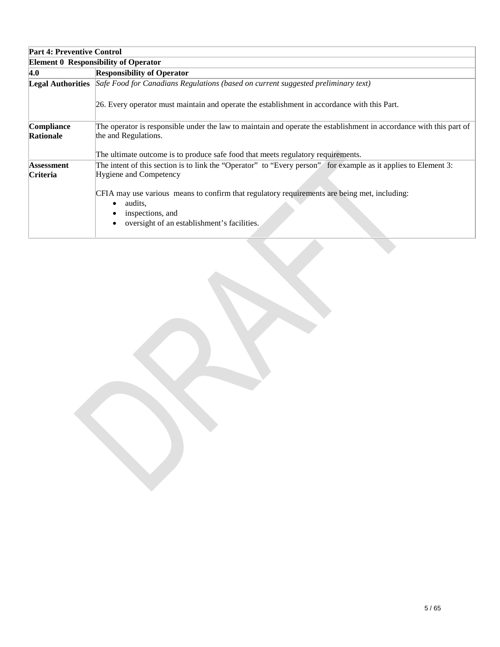| <b>Part 4: Preventive Control</b> |                                                                                                                                                                                         |  |  |  |  |
|-----------------------------------|-----------------------------------------------------------------------------------------------------------------------------------------------------------------------------------------|--|--|--|--|
|                                   | <b>Element 0 Responsibility of Operator</b>                                                                                                                                             |  |  |  |  |
| 4.0                               | <b>Responsibility of Operator</b>                                                                                                                                                       |  |  |  |  |
|                                   | Legal Authorities Safe Food for Canadians Regulations (based on current suggested preliminary text)                                                                                     |  |  |  |  |
|                                   | 26. Every operator must maintain and operate the establishment in accordance with this Part.                                                                                            |  |  |  |  |
| Compliance<br>Rationale           | The operator is responsible under the law to maintain and operate the establishment in accordance with this part of<br>the and Regulations.                                             |  |  |  |  |
|                                   | The ultimate outcome is to produce safe food that meets regulatory requirements.                                                                                                        |  |  |  |  |
| Assessment<br>Criteria            | The intent of this section is to link the "Operator" to "Every person" for example as it applies to Element 3:<br>Hygiene and Competency                                                |  |  |  |  |
|                                   | CFIA may use various means to confirm that regulatory requirements are being met, including:<br>audits.<br>$\bullet$<br>inspections, and<br>oversight of an establishment's facilities. |  |  |  |  |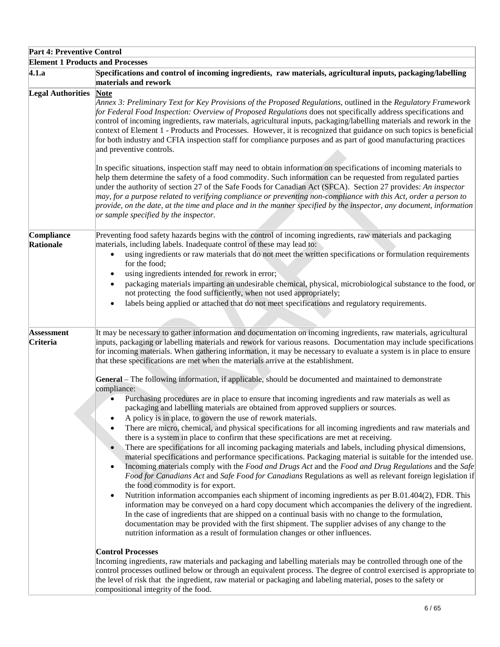| <b>Part 4: Preventive Control</b>       |                                                                                                                                                                                                                                                                                                                                                                                                                                                                                                                                                                                                                                                                                                                                                                                                                                                                                                                                                                                                                                                                                                                                                                                                                                                                                                                                                                                                                                                                                                              |
|-----------------------------------------|--------------------------------------------------------------------------------------------------------------------------------------------------------------------------------------------------------------------------------------------------------------------------------------------------------------------------------------------------------------------------------------------------------------------------------------------------------------------------------------------------------------------------------------------------------------------------------------------------------------------------------------------------------------------------------------------------------------------------------------------------------------------------------------------------------------------------------------------------------------------------------------------------------------------------------------------------------------------------------------------------------------------------------------------------------------------------------------------------------------------------------------------------------------------------------------------------------------------------------------------------------------------------------------------------------------------------------------------------------------------------------------------------------------------------------------------------------------------------------------------------------------|
| <b>Element 1 Products and Processes</b> |                                                                                                                                                                                                                                                                                                                                                                                                                                                                                                                                                                                                                                                                                                                                                                                                                                                                                                                                                                                                                                                                                                                                                                                                                                                                                                                                                                                                                                                                                                              |
| 4.1.a                                   | Specifications and control of incoming ingredients, raw materials, agricultural inputs, packaging/labelling<br>materials and rework                                                                                                                                                                                                                                                                                                                                                                                                                                                                                                                                                                                                                                                                                                                                                                                                                                                                                                                                                                                                                                                                                                                                                                                                                                                                                                                                                                          |
| <b>Legal Authorities</b>                | <b>Note</b><br>Annex 3: Preliminary Text for Key Provisions of the Proposed Regulations, outlined in the Regulatory Framework<br>for Federal Food Inspection: Overview of Proposed Regulations does not specifically address specifications and<br>control of incoming ingredients, raw materials, agricultural inputs, packaging/labelling materials and rework in the<br>context of Element 1 - Products and Processes. However, it is recognized that guidance on such topics is beneficial<br>for both industry and CFIA inspection staff for compliance purposes and as part of good manufacturing practices<br>and preventive controls.                                                                                                                                                                                                                                                                                                                                                                                                                                                                                                                                                                                                                                                                                                                                                                                                                                                                |
|                                         | In specific situations, inspection staff may need to obtain information on specifications of incoming materials to<br>help them determine the safety of a food commodity. Such information can be requested from regulated parties<br>under the authority of section 27 of the Safe Foods for Canadian Act (SFCA). Section 27 provides: An inspector<br>may, for a purpose related to verifying compliance or preventing non-compliance with this Act, order a person to<br>provide, on the date, at the time and place and in the manner specified by the inspector, any document, information<br>or sample specified by the inspector.                                                                                                                                                                                                                                                                                                                                                                                                                                                                                                                                                                                                                                                                                                                                                                                                                                                                     |
| Compliance<br>Rationale                 | Preventing food safety hazards begins with the control of incoming ingredients, raw materials and packaging<br>materials, including labels. Inadequate control of these may lead to:<br>using ingredients or raw materials that do not meet the written specifications or formulation requirements<br>$\bullet$<br>for the food;<br>using ingredients intended for rework in error;<br>packaging materials imparting an undesirable chemical, physical, microbiological substance to the food, or<br>not protecting the food sufficiently, when not used appropriately;<br>labels being applied or attached that do not meet specifications and regulatory requirements.                                                                                                                                                                                                                                                                                                                                                                                                                                                                                                                                                                                                                                                                                                                                                                                                                                     |
| <b>Assessment</b><br>Criteria           | It may be necessary to gather information and documentation on incoming ingredients, raw materials, agricultural<br>inputs, packaging or labelling materials and rework for various reasons. Documentation may include specifications<br>for incoming materials. When gathering information, it may be necessary to evaluate a system is in place to ensure<br>that these specifications are met when the materials arrive at the establishment.<br>General – The following information, if applicable, should be documented and maintained to demonstrate                                                                                                                                                                                                                                                                                                                                                                                                                                                                                                                                                                                                                                                                                                                                                                                                                                                                                                                                                   |
|                                         | compliance:<br>Purchasing procedures are in place to ensure that incoming ingredients and raw materials as well as<br>$\bullet$<br>packaging and labelling materials are obtained from approved suppliers or sources.<br>A policy is in place, to govern the use of rework materials.<br>There are micro, chemical, and physical specifications for all incoming ingredients and raw materials and<br>there is a system in place to confirm that these specifications are met at receiving.<br>There are specifications for all incoming packaging materials and labels, including physical dimensions,<br>material specifications and performance specifications. Packaging material is suitable for the intended use.<br>Incoming materials comply with the Food and Drugs Act and the Food and Drug Regulations and the Safe<br>Food for Canadians Act and Safe Food for Canadians Regulations as well as relevant foreign legislation if<br>the food commodity is for export.<br>Nutrition information accompanies each shipment of incoming ingredients as per B.01.404(2), FDR. This<br>$\bullet$<br>information may be conveyed on a hard copy document which accompanies the delivery of the ingredient.<br>In the case of ingredients that are shipped on a continual basis with no change to the formulation,<br>documentation may be provided with the first shipment. The supplier advises of any change to the<br>nutrition information as a result of formulation changes or other influences. |
|                                         | <b>Control Processes</b><br>Incoming ingredients, raw materials and packaging and labelling materials may be controlled through one of the<br>control processes outlined below or through an equivalent process. The degree of control exercised is appropriate to<br>the level of risk that the ingredient, raw material or packaging and labeling material, poses to the safety or<br>compositional integrity of the food.                                                                                                                                                                                                                                                                                                                                                                                                                                                                                                                                                                                                                                                                                                                                                                                                                                                                                                                                                                                                                                                                                 |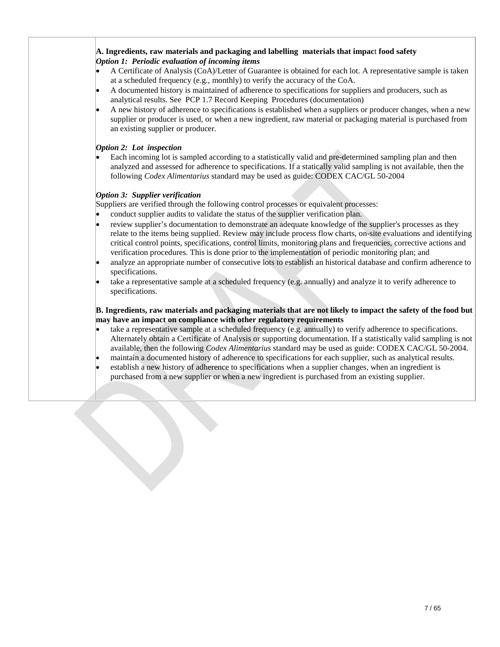## **A. Ingredients, raw materials and packaging and labelling materials that impac**t **food safety** *Option 1: Periodic evaluation of incoming items*

- A Certificate of Analysis (CoA)/Letter of Guarantee is obtained for each lot. A representative sample is taken at a scheduled frequency (e.g., monthly) to verify the accuracy of the CoA.
- A documented history is maintained of adherence to specifications for suppliers and producers, such as analytical results. See PCP 1.7 Record Keeping Procedures (documentation)
- A new history of adherence to specifications is established when a suppliers or producer changes, when a new supplier or producer is used, or when a new ingredient, raw material or packaging material is purchased from an existing supplier or producer.

## *Option 2: Lot inspection*

• Each incoming lot is sampled according to a statistically valid and pre-determined sampling plan and then analyzed and assessed for adherence to specifications. If a statically valid sampling is not available, then the following *Codex Alimentarius* standard may be used as guide: CODEX CAC/GL 50-2004

## *Option 3: Supplier verification*

Suppliers are verified through the following control processes or equivalent processes:

- conduct supplier audits to validate the status of the supplier verification plan.
- review supplier's documentation to demonstrate an adequate knowledge of the supplier's processes as they relate to the items being supplied. Review may include process flow charts, on-site evaluations and identifying critical control points, specifications, control limits, monitoring plans and frequencies, corrective actions and verification procedures. This is done prior to the implementation of periodic monitoring plan; and
- analyze an appropriate number of consecutive lots to establish an historical database and confirm adherence to specifications.
- take a representative sample at a scheduled frequency (e.g. annually) and analyze it to verify adherence to specifications.

## **B. Ingredients, raw materials and packaging materials that are not likely to impact the safety of the food but may have an impact on compliance with other regulatory requirements**

- take a representative sample at a scheduled frequency (e.g. annually) to verify adherence to specifications. Alternately obtain a Certificate of Analysis or supporting documentation. If a statistically valid sampling is not available, then the following *Codex Alimentarius* standard may be used as guide: CODEX CAC/GL 50-2004.
- maintain a documented history of adherence to specifications for each supplier, such as analytical results.
- establish a new history of adherence to specifications when a supplier changes, when an ingredient is purchased from a new supplier or when a new ingredient is purchased from an existing supplier.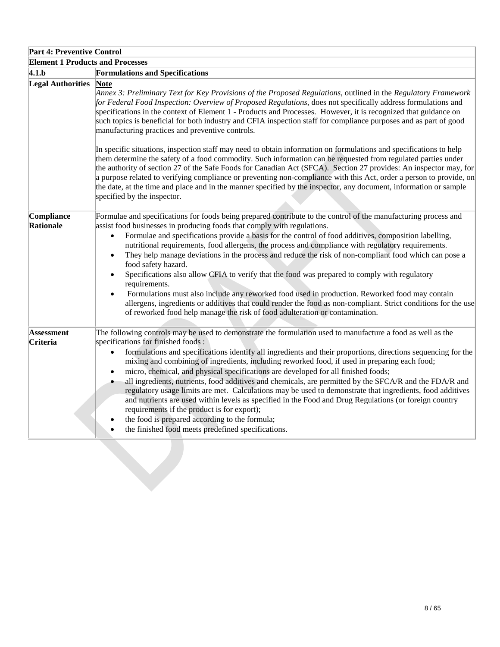| <b>Part 4: Preventive Control</b> |                                                                                                                                                                                                                                                                                                                                                                                                                                                                                                                                                                                                                                                                                                                                                                                                                                                                                                                                                                                                                     |  |  |
|-----------------------------------|---------------------------------------------------------------------------------------------------------------------------------------------------------------------------------------------------------------------------------------------------------------------------------------------------------------------------------------------------------------------------------------------------------------------------------------------------------------------------------------------------------------------------------------------------------------------------------------------------------------------------------------------------------------------------------------------------------------------------------------------------------------------------------------------------------------------------------------------------------------------------------------------------------------------------------------------------------------------------------------------------------------------|--|--|
|                                   | <b>Element 1 Products and Processes</b>                                                                                                                                                                                                                                                                                                                                                                                                                                                                                                                                                                                                                                                                                                                                                                                                                                                                                                                                                                             |  |  |
| 4.1.b                             | <b>Formulations and Specifications</b>                                                                                                                                                                                                                                                                                                                                                                                                                                                                                                                                                                                                                                                                                                                                                                                                                                                                                                                                                                              |  |  |
| <b>Legal Authorities</b>          | <b>Note</b><br>Annex 3: Preliminary Text for Key Provisions of the Proposed Regulations, outlined in the Regulatory Framework<br>for Federal Food Inspection: Overview of Proposed Regulations, does not specifically address formulations and<br>specifications in the context of Element 1 - Products and Processes. However, it is recognized that guidance on<br>such topics is beneficial for both industry and CFIA inspection staff for compliance purposes and as part of good<br>manufacturing practices and preventive controls.                                                                                                                                                                                                                                                                                                                                                                                                                                                                          |  |  |
|                                   | In specific situations, inspection staff may need to obtain information on formulations and specifications to help<br>them determine the safety of a food commodity. Such information can be requested from regulated parties under<br>the authority of section 27 of the Safe Foods for Canadian Act (SFCA). Section 27 provides: An inspector may, for<br>a purpose related to verifying compliance or preventing non-compliance with this Act, order a person to provide, on<br>the date, at the time and place and in the manner specified by the inspector, any document, information or sample<br>specified by the inspector.                                                                                                                                                                                                                                                                                                                                                                                 |  |  |
| Compliance<br>Rationale           | Formulae and specifications for foods being prepared contribute to the control of the manufacturing process and<br>assist food businesses in producing foods that comply with regulations.<br>Formulae and specifications provide a basis for the control of food additives, composition labelling,<br>$\bullet$<br>nutritional requirements, food allergens, the process and compliance with regulatory requirements.<br>They help manage deviations in the process and reduce the risk of non-compliant food which can pose a<br>$\bullet$<br>food safety hazard.<br>Specifications also allow CFIA to verify that the food was prepared to comply with regulatory<br>$\bullet$<br>requirements.<br>Formulations must also include any reworked food used in production. Reworked food may contain<br>$\bullet$<br>allergens, ingredients or additives that could render the food as non-compliant. Strict conditions for the use<br>of reworked food help manage the risk of food adulteration or contamination. |  |  |
| <b>Assessment</b><br>Criteria     | The following controls may be used to demonstrate the formulation used to manufacture a food as well as the<br>specifications for finished foods :<br>formulations and specifications identify all ingredients and their proportions, directions sequencing for the<br>mixing and combining of ingredients, including reworked food, if used in preparing each food;<br>micro, chemical, and physical specifications are developed for all finished foods;<br>$\bullet$<br>all ingredients, nutrients, food additives and chemicals, are permitted by the SFCA/R and the FDA/R and<br>$\bullet$<br>regulatory usage limits are met. Calculations may be used to demonstrate that ingredients, food additives<br>and nutrients are used within levels as specified in the Food and Drug Regulations (or foreign country<br>requirements if the product is for export);<br>the food is prepared according to the formula;<br>the finished food meets predefined specifications.                                       |  |  |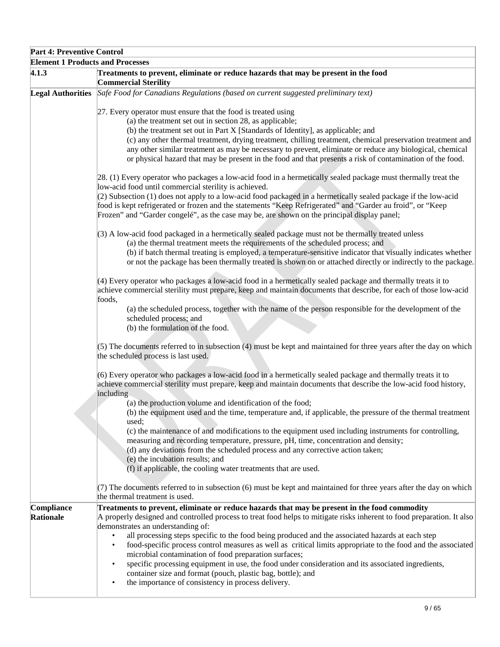| <b>Part 4: Preventive Control</b>       |                                                                                                                                                                                                                                                                                                                                                                                                                                                                               |  |  |  |
|-----------------------------------------|-------------------------------------------------------------------------------------------------------------------------------------------------------------------------------------------------------------------------------------------------------------------------------------------------------------------------------------------------------------------------------------------------------------------------------------------------------------------------------|--|--|--|
| <b>Element 1 Products and Processes</b> |                                                                                                                                                                                                                                                                                                                                                                                                                                                                               |  |  |  |
| 4.1.3                                   | Treatments to prevent, eliminate or reduce hazards that may be present in the food<br><b>Commercial Sterility</b>                                                                                                                                                                                                                                                                                                                                                             |  |  |  |
| <b>Legal Authorities</b>                | Safe Food for Canadians Regulations (based on current suggested preliminary text)                                                                                                                                                                                                                                                                                                                                                                                             |  |  |  |
|                                         | 27. Every operator must ensure that the food is treated using                                                                                                                                                                                                                                                                                                                                                                                                                 |  |  |  |
|                                         | (a) the treatment set out in section 28, as applicable;                                                                                                                                                                                                                                                                                                                                                                                                                       |  |  |  |
|                                         | (b) the treatment set out in Part X [Standards of Identity], as applicable; and<br>(c) any other thermal treatment, drying treatment, chilling treatment, chemical preservation treatment and<br>any other similar treatment as may be necessary to prevent, eliminate or reduce any biological, chemical<br>or physical hazard that may be present in the food and that presents a risk of contamination of the food.                                                        |  |  |  |
|                                         | [28. (1) Every operator who packages a low-acid food in a hermetically sealed package must thermally treat the                                                                                                                                                                                                                                                                                                                                                                |  |  |  |
|                                         | low-acid food until commercial sterility is achieved.<br>(2) Subsection (1) does not apply to a low-acid food packaged in a hermetically sealed package if the low-acid                                                                                                                                                                                                                                                                                                       |  |  |  |
|                                         | food is kept refrigerated or frozen and the statements "Keep Refrigerated" and "Garder au froid", or "Keep<br>Frozen" and "Garder congelé", as the case may be, are shown on the principal display panel;                                                                                                                                                                                                                                                                     |  |  |  |
|                                         |                                                                                                                                                                                                                                                                                                                                                                                                                                                                               |  |  |  |
|                                         | (3) A low-acid food packaged in a hermetically sealed package must not be thermally treated unless<br>(a) the thermal treatment meets the requirements of the scheduled process; and                                                                                                                                                                                                                                                                                          |  |  |  |
|                                         | (b) if batch thermal treating is employed, a temperature-sensitive indicator that visually indicates whether<br>or not the package has been thermally treated is shown on or attached directly or indirectly to the package.                                                                                                                                                                                                                                                  |  |  |  |
|                                         | (4) Every operator who packages a low-acid food in a hermetically sealed package and thermally treats it to<br>achieve commercial sterility must prepare, keep and maintain documents that describe, for each of those low-acid<br>foods,                                                                                                                                                                                                                                     |  |  |  |
|                                         | (a) the scheduled process, together with the name of the person responsible for the development of the<br>scheduled process; and<br>(b) the formulation of the food.                                                                                                                                                                                                                                                                                                          |  |  |  |
|                                         |                                                                                                                                                                                                                                                                                                                                                                                                                                                                               |  |  |  |
|                                         | (5) The documents referred to in subsection (4) must be kept and maintained for three years after the day on which<br>the scheduled process is last used.                                                                                                                                                                                                                                                                                                                     |  |  |  |
|                                         | (6) Every operator who packages a low-acid food in a hermetically sealed package and thermally treats it to<br>achieve commercial sterility must prepare, keep and maintain documents that describe the low-acid food history,<br>including                                                                                                                                                                                                                                   |  |  |  |
|                                         | (a) the production volume and identification of the food;<br>(b) the equipment used and the time, temperature and, if applicable, the pressure of the thermal treatment                                                                                                                                                                                                                                                                                                       |  |  |  |
|                                         | used:                                                                                                                                                                                                                                                                                                                                                                                                                                                                         |  |  |  |
|                                         | (c) the maintenance of and modifications to the equipment used including instruments for controlling,<br>measuring and recording temperature, pressure, pH, time, concentration and density;<br>(d) any deviations from the scheduled process and any corrective action taken;<br>(e) the incubation results; and                                                                                                                                                             |  |  |  |
|                                         | (f) if applicable, the cooling water treatments that are used.                                                                                                                                                                                                                                                                                                                                                                                                                |  |  |  |
|                                         | (7) The documents referred to in subsection (6) must be kept and maintained for three years after the day on which<br>the thermal treatment is used.                                                                                                                                                                                                                                                                                                                          |  |  |  |
| Compliance                              | Treatments to prevent, eliminate or reduce hazards that may be present in the food commodity                                                                                                                                                                                                                                                                                                                                                                                  |  |  |  |
| Rationale                               | A properly designed and controlled process to treat food helps to mitigate risks inherent to food preparation. It also<br>demonstrates an understanding of:                                                                                                                                                                                                                                                                                                                   |  |  |  |
|                                         | all processing steps specific to the food being produced and the associated hazards at each step<br>$\bullet$<br>food-specific process control measures as well as critical limits appropriate to the food and the associated<br>$\bullet$<br>microbial contamination of food preparation surfaces;<br>specific processing equipment in use, the food under consideration and its associated ingredients,<br>٠<br>container size and format (pouch, plastic bag, bottle); and |  |  |  |
|                                         | the importance of consistency in process delivery.<br>$\bullet$                                                                                                                                                                                                                                                                                                                                                                                                               |  |  |  |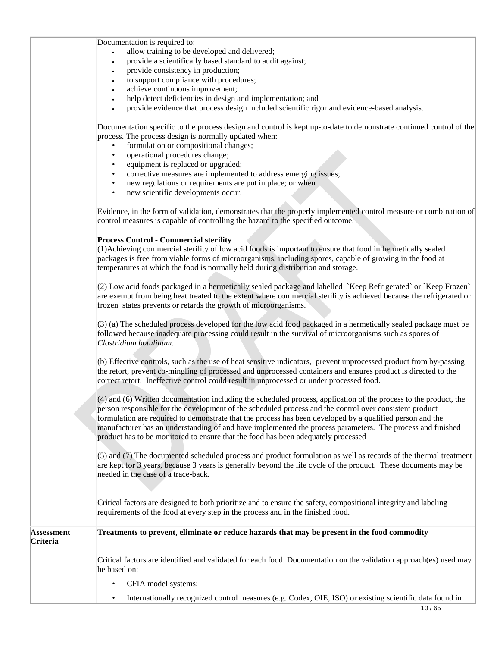Documentation is required to:

- allow training to be developed and delivered;
- provide a scientifically based standard to audit against;
- provide consistency in production;
- to support compliance with procedures;
- achieve continuous improvement;
- help detect deficiencies in design and implementation; and
- provide evidence that process design included scientific rigor and evidence-based analysis.

Documentation specific to the process design and control is kept up-to-date to demonstrate continued control of the process. The process design is normally updated when:

- formulation or compositional changes;
- operational procedures change;
- equipment is replaced or upgraded;
- corrective measures are implemented to address emerging issues;
- new regulations or requirements are put in place; or when
- new scientific developments occur.

Evidence, in the form of validation, demonstrates that the properly implemented control measure or combination of control measures is capable of controlling the hazard to the specified outcome.

## **Process Control - Commercial sterility**

(1)Achieving commercial sterility of low acid foods is important to ensure that food in hermetically sealed packages is free from viable forms of microorganisms, including spores, capable of growing in the food at temperatures at which the food is normally held during distribution and storage.

(2) Low acid foods packaged in a hermetically sealed package and labelled `Keep Refrigerated` or `Keep Frozen` are exempt from being heat treated to the extent where commercial sterility is achieved because the refrigerated or frozen states prevents or retards the growth of microorganisms.

(3) (a) The scheduled process developed for the low acid food packaged in a hermetically sealed package must be followed because inadequate processing could result in the survival of microorganisms such as spores of *Clostridium botulinum.*

(b) Effective controls, such as the use of heat sensitive indicators, prevent unprocessed product from by-passing the retort, prevent co-mingling of processed and unprocessed containers and ensures product is directed to the correct retort. Ineffective control could result in unprocessed or under processed food.

(4) and (6) Written documentation including the scheduled process, application of the process to the product, the person responsible for the development of the scheduled process and the control over consistent product formulation are required to demonstrate that the process has been developed by a qualified person and the manufacturer has an understanding of and have implemented the process parameters. The process and finished product has to be monitored to ensure that the food has been adequately processed

(5) and (7) The documented scheduled process and product formulation as well as records of the thermal treatment are kept for 3 years, because 3 years is generally beyond the life cycle of the product. These documents may be needed in the case of a trace-back.

Critical factors are designed to both prioritize and to ensure the safety, compositional integrity and labeling requirements of the food at every step in the process and in the finished food.

| <b>Assessment</b><br><b>Criteria</b> | Treatments to prevent, eliminate or reduce hazards that may be present in the food commodity                                       |
|--------------------------------------|------------------------------------------------------------------------------------------------------------------------------------|
|                                      |                                                                                                                                    |
|                                      | Critical factors are identified and validated for each food. Documentation on the validation approach(es) used may<br>be based on: |
|                                      | CFIA model systems;                                                                                                                |

• Internationally recognized control measures (e.g. Codex, OIE, ISO) or existing scientific data found in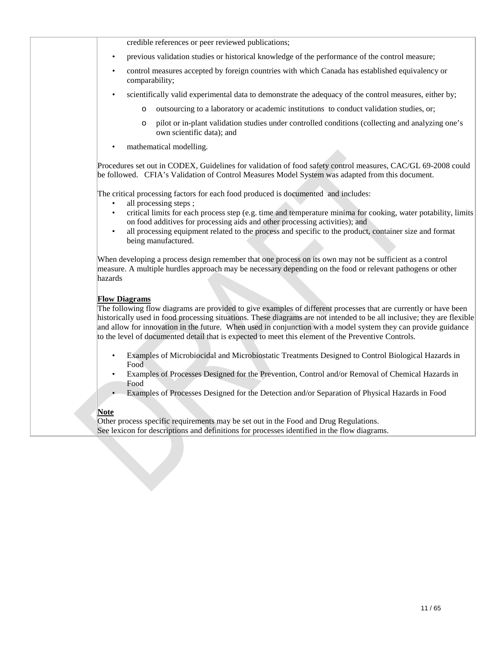credible references or peer reviewed publications; • previous validation studies or historical knowledge of the performance of the control measure; • control measures accepted by foreign countries with which Canada has established equivalency or comparability; • scientifically valid experimental data to demonstrate the adequacy of the control measures, either by; o outsourcing to a laboratory or academic institutions to conduct validation studies, or; o pilot or in-plant validation studies under controlled conditions (collecting and analyzing one's own scientific data); and mathematical modelling. Procedures set out in CODEX, Guidelines for validation of food safety control measures, CAC/GL 69-2008 could be followed. CFIA's Validation of Control Measures Model System was adapted from this document. The critical processing factors for each food produced is documented and includes: all processing steps; • critical limits for each process step (e.g. time and temperature minima for cooking, water potability, limits on food additives for processing aids and other processing activities); and all processing equipment related to the process and specific to the product, container size and format being manufactured. When developing a process design remember that one process on its own may not be sufficient as a control measure. A multiple hurdles approach may be necessary depending on the food or relevant pathogens or other hazards **Flow Diagrams** The following flow diagrams are provided to give examples of different processes that are currently or have been historically used in food processing situations. These diagrams are not intended to be all inclusive; they are flexible and allow for innovation in the future. When used in conjunction with a model system they can provide guidance to the level of documented detail that is expected to meet this element of the Preventive Controls.

- Examples of Microbiocidal and Microbiostatic Treatments Designed to Control Biological Hazards in Food
- Examples of Processes Designed for the Prevention, Control and/or Removal of Chemical Hazards in Food
- Examples of Processes Designed for the Detection and/or Separation of Physical Hazards in Food

## **Note**

Other process specific requirements may be set out in the Food and Drug Regulations. See lexicon for descriptions and definitions for processes identified in the flow diagrams.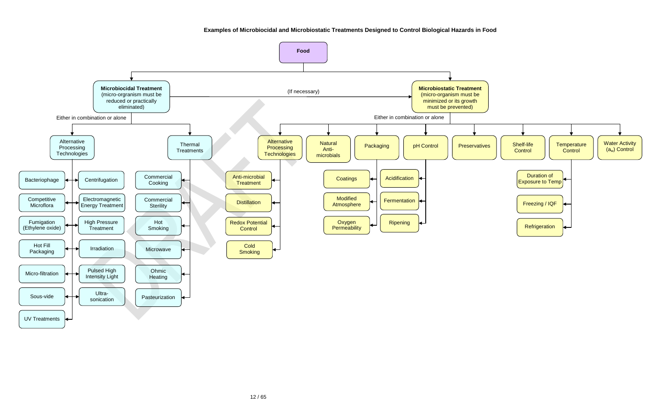**Examples of Microbiocidal and Microbiostatic Treatments Designed to Control Biological Hazards in Food**

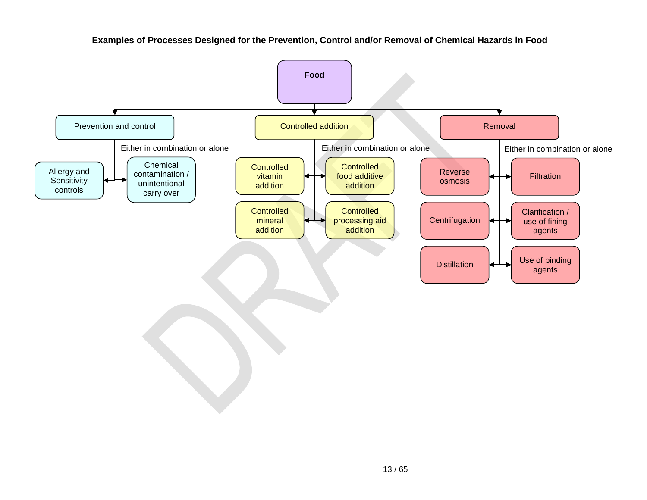

**Examples of Processes Designed for the Prevention, Control and/or Removal of Chemical Hazards in Food**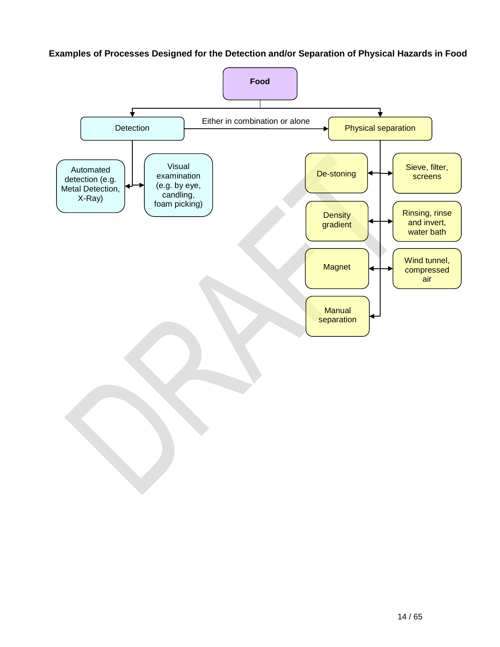# **Examples of Processes Designed for the Detection and/or Separation of Physical Hazards in Food**

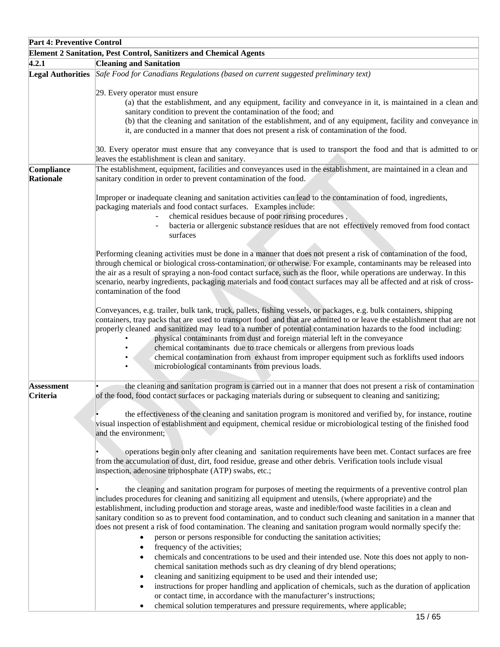| <b>Part 4: Preventive Control</b> |                                                                                                                                                                                                                                                                                                                                                                                                                                                                                                                                                                                                                                                                                                                                                                                                                                                                                                                                                                                                                                                                                                                                                                                                                  |
|-----------------------------------|------------------------------------------------------------------------------------------------------------------------------------------------------------------------------------------------------------------------------------------------------------------------------------------------------------------------------------------------------------------------------------------------------------------------------------------------------------------------------------------------------------------------------------------------------------------------------------------------------------------------------------------------------------------------------------------------------------------------------------------------------------------------------------------------------------------------------------------------------------------------------------------------------------------------------------------------------------------------------------------------------------------------------------------------------------------------------------------------------------------------------------------------------------------------------------------------------------------|
|                                   | <b>Element 2 Sanitation, Pest Control, Sanitizers and Chemical Agents</b>                                                                                                                                                                                                                                                                                                                                                                                                                                                                                                                                                                                                                                                                                                                                                                                                                                                                                                                                                                                                                                                                                                                                        |
| 4.2.1                             | <b>Cleaning and Sanitation</b>                                                                                                                                                                                                                                                                                                                                                                                                                                                                                                                                                                                                                                                                                                                                                                                                                                                                                                                                                                                                                                                                                                                                                                                   |
|                                   | Legal Authorities Safe Food for Canadians Regulations (based on current suggested preliminary text)                                                                                                                                                                                                                                                                                                                                                                                                                                                                                                                                                                                                                                                                                                                                                                                                                                                                                                                                                                                                                                                                                                              |
|                                   | 29. Every operator must ensure<br>(a) that the establishment, and any equipment, facility and conveyance in it, is maintained in a clean and<br>sanitary condition to prevent the contamination of the food; and<br>(b) that the cleaning and sanitation of the establishment, and of any equipment, facility and conveyance in<br>it, are conducted in a manner that does not present a risk of contamination of the food.                                                                                                                                                                                                                                                                                                                                                                                                                                                                                                                                                                                                                                                                                                                                                                                      |
|                                   | 30. Every operator must ensure that any conveyance that is used to transport the food and that is admitted to or<br>leaves the establishment is clean and sanitary.                                                                                                                                                                                                                                                                                                                                                                                                                                                                                                                                                                                                                                                                                                                                                                                                                                                                                                                                                                                                                                              |
| Compliance<br>Rationale           | The establishment, equipment, facilities and conveyances used in the establishment, are maintained in a clean and<br>sanitary condition in order to prevent contamination of the food.                                                                                                                                                                                                                                                                                                                                                                                                                                                                                                                                                                                                                                                                                                                                                                                                                                                                                                                                                                                                                           |
|                                   | Improper or inadequate cleaning and sanitation activities can lead to the contamination of food, ingredients,<br>packaging materials and food contact surfaces. Examples include:<br>chemical residues because of poor rinsing procedures,<br>bacteria or allergenic substance residues that are not effectively removed from food contact<br>surfaces                                                                                                                                                                                                                                                                                                                                                                                                                                                                                                                                                                                                                                                                                                                                                                                                                                                           |
|                                   | Performing cleaning activities must be done in a manner that does not present a risk of contamination of the food,<br>through chemical or biological cross-contamination, or otherwise. For example, contaminants may be released into<br>the air as a result of spraying a non-food contact surface, such as the floor, while operations are underway. In this<br>scenario, nearby ingredients, packaging materials and food contact surfaces may all be affected and at risk of cross-<br>contamination of the food                                                                                                                                                                                                                                                                                                                                                                                                                                                                                                                                                                                                                                                                                            |
|                                   | Conveyances, e.g. trailer, bulk tank, truck, pallets, fishing vessels, or packages, e.g. bulk containers, shipping<br>containers, tray packs that are used to transport food and that are admitted to or leave the establishment that are not<br>properly cleaned and sanitized may lead to a number of potential contamination hazards to the food including:<br>physical contaminants from dust and foreign material left in the conveyance<br>chemical contaminants due to trace chemicals or allergens from previous loads<br>chemical contamination from exhaust from improper equipment such as forklifts used indoors<br>microbiological contaminants from previous loads.                                                                                                                                                                                                                                                                                                                                                                                                                                                                                                                                |
| <b>Assessment</b><br>Criteria     | the cleaning and sanitation program is carried out in a manner that does not present a risk of contamination<br>of the food, food contact surfaces or packaging materials during or subsequent to cleaning and sanitizing;<br>the effectiveness of the cleaning and sanitation program is monitored and verified by, for instance, routine                                                                                                                                                                                                                                                                                                                                                                                                                                                                                                                                                                                                                                                                                                                                                                                                                                                                       |
|                                   | visual inspection of establishment and equipment, chemical residue or microbiological testing of the finished food<br>and the environment;<br>operations begin only after cleaning and sanitation requirements have been met. Contact surfaces are free<br>from the accumulation of dust, dirt, food residue, grease and other debris. Verification tools include visual<br>inspection, adenosine triphosphate (ATP) swabs, etc.;                                                                                                                                                                                                                                                                                                                                                                                                                                                                                                                                                                                                                                                                                                                                                                                |
|                                   | the cleaning and sanitation program for purposes of meeting the requirments of a preventive control plan<br>includes procedures for cleaning and sanitizing all equipment and utensils, (where appropriate) and the<br>establishment, including production and storage areas, waste and inedible/food waste facilities in a clean and<br>sanitary condition so as to prevent food contamination, and to conduct such cleaning and sanitation in a manner that<br>does not present a risk of food contamination. The cleaning and sanitation program would normally specify the:<br>person or persons responsible for conducting the sanitation activities;<br>frequency of the activities;<br>chemicals and concentrations to be used and their intended use. Note this does not apply to non-<br>chemical sanitation methods such as dry cleaning of dry blend operations;<br>cleaning and sanitizing equipment to be used and their intended use;<br>instructions for proper handling and application of chemicals, such as the duration of application<br>or contact time, in accordance with the manufacturer's instructions;<br>chemical solution temperatures and pressure requirements, where applicable; |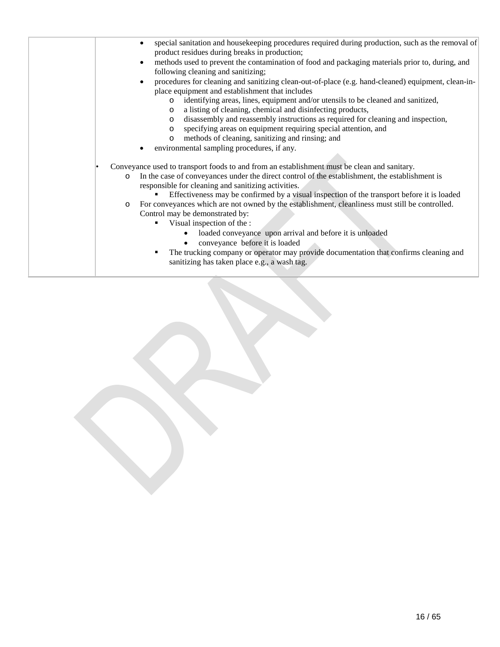| special sanitation and housekeeping procedures required during production, such as the removal of<br>product residues during breaks in production;                                                       |
|----------------------------------------------------------------------------------------------------------------------------------------------------------------------------------------------------------|
| methods used to prevent the contamination of food and packaging materials prior to, during, and<br>following cleaning and sanitizing;                                                                    |
| procedures for cleaning and sanitizing clean-out-of-place (e.g. hand-cleaned) equipment, clean-in-<br>place equipment and establishment that includes                                                    |
| identifying areas, lines, equipment and/or utensils to be cleaned and sanitized,<br>$\circ$<br>a listing of cleaning, chemical and disinfecting products,<br>$\circ$                                     |
| disassembly and reassembly instructions as required for cleaning and inspection,<br>$\circ$<br>specifying areas on equipment requiring special attention, and<br>$\circ$                                 |
| methods of cleaning, sanitizing and rinsing; and<br>$\circ$<br>environmental sampling procedures, if any.                                                                                                |
| Conveyance used to transport foods to and from an establishment must be clean and sanitary.                                                                                                              |
| In the case of conveyances under the direct control of the establishment, the establishment is<br>$\circ$<br>responsible for cleaning and sanitizing activities.                                         |
| Effectiveness may be confirmed by a visual inspection of the transport before it is loaded<br>For conveyances which are not owned by the establishment, cleanliness must still be controlled.<br>$\circ$ |
| Control may be demonstrated by:<br>Visual inspection of the :                                                                                                                                            |
| loaded conveyance upon arrival and before it is unloaded<br>$\bullet$<br>conveyance before it is loaded                                                                                                  |
| The trucking company or operator may provide documentation that confirms cleaning and<br>٠<br>sanitizing has taken place e.g., a wash tag.                                                               |
|                                                                                                                                                                                                          |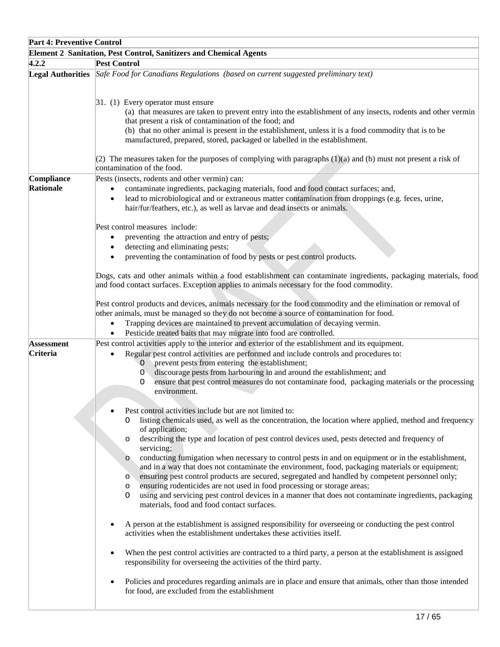| <b>Part 4: Preventive Control</b> |                                                                                                                                                                                                                                                                                                                                                                                                       |  |
|-----------------------------------|-------------------------------------------------------------------------------------------------------------------------------------------------------------------------------------------------------------------------------------------------------------------------------------------------------------------------------------------------------------------------------------------------------|--|
|                                   | <b>Element 2 Sanitation, Pest Control, Sanitizers and Chemical Agents</b>                                                                                                                                                                                                                                                                                                                             |  |
| 4.2.2                             | <b>Pest Control</b>                                                                                                                                                                                                                                                                                                                                                                                   |  |
|                                   | Legal Authorities Safe Food for Canadians Regulations (based on current suggested preliminary text)                                                                                                                                                                                                                                                                                                   |  |
|                                   | $ 31. (1)$ Every operator must ensure<br>(a) that measures are taken to prevent entry into the establishment of any insects, rodents and other vermin<br>that present a risk of contamination of the food; and<br>(b) that no other animal is present in the establishment, unless it is a food commodity that is to be<br>manufactured, prepared, stored, packaged or labelled in the establishment. |  |
|                                   | (2) The measures taken for the purposes of complying with paragraphs $(1)(a)$ and $(b)$ must not present a risk of<br>contamination of the food.                                                                                                                                                                                                                                                      |  |
| Compliance                        | Pests (insects, rodents and other vermin) can:                                                                                                                                                                                                                                                                                                                                                        |  |
| Rationale                         | contaminate ingredients, packaging materials, food and food contact surfaces; and,                                                                                                                                                                                                                                                                                                                    |  |
|                                   | lead to microbiological and or extraneous matter contamination from droppings (e.g. feces, urine,                                                                                                                                                                                                                                                                                                     |  |
|                                   | hair/fur/feathers, etc.), as well as larvae and dead insects or animals.                                                                                                                                                                                                                                                                                                                              |  |
|                                   |                                                                                                                                                                                                                                                                                                                                                                                                       |  |
|                                   | Pest control measures include:                                                                                                                                                                                                                                                                                                                                                                        |  |
|                                   | preventing the attraction and entry of pests;                                                                                                                                                                                                                                                                                                                                                         |  |
|                                   | detecting and eliminating pests;                                                                                                                                                                                                                                                                                                                                                                      |  |
|                                   | preventing the contamination of food by pests or pest control products.                                                                                                                                                                                                                                                                                                                               |  |
|                                   | Dogs, cats and other animals within a food establishment can contaminate ingredients, packaging materials, food<br>and food contact surfaces. Exception applies to animals necessary for the food commodity.                                                                                                                                                                                          |  |
|                                   | Pest control products and devices, animals necessary for the food commodity and the elimination or removal of<br>other animals, must be managed so they do not become a source of contamination for food.<br>Trapping devices are maintained to prevent accumulation of decaying vermin.<br>$\bullet$<br>Pesticide treated baits that may migrate into food are controlled.<br>$\bullet$              |  |
| <b>Assessment</b>                 | Pest control activities apply to the interior and exterior of the establishment and its equipment.                                                                                                                                                                                                                                                                                                    |  |
| Criteria                          | Regular pest control activities are performed and include controls and procedures to:                                                                                                                                                                                                                                                                                                                 |  |
|                                   | prevent pests from entering the establishment;<br>$\circ$                                                                                                                                                                                                                                                                                                                                             |  |
|                                   | discourage pests from harbouring in and around the establishment; and<br>$\circ$                                                                                                                                                                                                                                                                                                                      |  |
|                                   | ensure that pest control measures do not contaminate food, packaging materials or the processing<br>O                                                                                                                                                                                                                                                                                                 |  |
|                                   | environment.                                                                                                                                                                                                                                                                                                                                                                                          |  |
|                                   | Pest control activities include but are not limited to:                                                                                                                                                                                                                                                                                                                                               |  |
|                                   | listing chemicals used, as well as the concentration, the location where applied, method and frequency<br>$\Omega$                                                                                                                                                                                                                                                                                    |  |
|                                   | of application;                                                                                                                                                                                                                                                                                                                                                                                       |  |
|                                   | describing the type and location of pest control devices used, pests detected and frequency of<br>O                                                                                                                                                                                                                                                                                                   |  |
|                                   | servicing;                                                                                                                                                                                                                                                                                                                                                                                            |  |
|                                   | conducting fumigation when necessary to control pests in and on equipment or in the establishment,<br>$\circ$<br>and in a way that does not contaminate the environment, food, packaging materials or equipment;                                                                                                                                                                                      |  |
|                                   | ensuring pest control products are secured, segregated and handled by competent personnel only;<br>$\circ$                                                                                                                                                                                                                                                                                            |  |
|                                   | ensuring rodenticides are not used in food processing or storage areas;<br>$\circ$                                                                                                                                                                                                                                                                                                                    |  |
|                                   | using and servicing pest control devices in a manner that does not contaminate ingredients, packaging<br>O                                                                                                                                                                                                                                                                                            |  |
|                                   | materials, food and food contact surfaces.                                                                                                                                                                                                                                                                                                                                                            |  |
|                                   |                                                                                                                                                                                                                                                                                                                                                                                                       |  |
|                                   | A person at the establishment is assigned responsibility for overseeing or conducting the pest control<br>activities when the establishment undertakes these activities itself.                                                                                                                                                                                                                       |  |
|                                   | When the pest control activities are contracted to a third party, a person at the establishment is assigned<br>responsibility for overseeing the activities of the third party.                                                                                                                                                                                                                       |  |
|                                   | Policies and procedures regarding animals are in place and ensure that animals, other than those intended<br>for food, are excluded from the establishment                                                                                                                                                                                                                                            |  |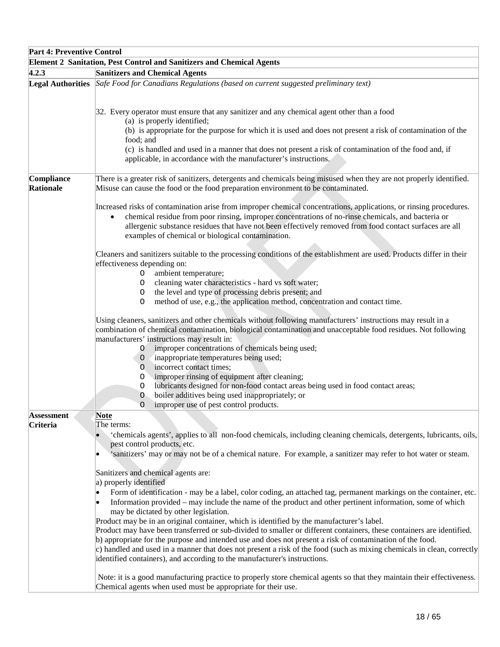| <b>Part 4: Preventive Control</b> |                                                                                                                                                                                                                                                                                                                                                                                                                                                                                                                                                                                                                                                                                                                                                                                                                                                                                                                                                                                                                                                                                                                                                                                        |  |  |
|-----------------------------------|----------------------------------------------------------------------------------------------------------------------------------------------------------------------------------------------------------------------------------------------------------------------------------------------------------------------------------------------------------------------------------------------------------------------------------------------------------------------------------------------------------------------------------------------------------------------------------------------------------------------------------------------------------------------------------------------------------------------------------------------------------------------------------------------------------------------------------------------------------------------------------------------------------------------------------------------------------------------------------------------------------------------------------------------------------------------------------------------------------------------------------------------------------------------------------------|--|--|
|                                   | <b>Element 2 Sanitation, Pest Control and Sanitizers and Chemical Agents</b>                                                                                                                                                                                                                                                                                                                                                                                                                                                                                                                                                                                                                                                                                                                                                                                                                                                                                                                                                                                                                                                                                                           |  |  |
| 4.2.3                             | <b>Sanitizers and Chemical Agents</b>                                                                                                                                                                                                                                                                                                                                                                                                                                                                                                                                                                                                                                                                                                                                                                                                                                                                                                                                                                                                                                                                                                                                                  |  |  |
|                                   | Legal Authorities Safe Food for Canadians Regulations (based on current suggested preliminary text)                                                                                                                                                                                                                                                                                                                                                                                                                                                                                                                                                                                                                                                                                                                                                                                                                                                                                                                                                                                                                                                                                    |  |  |
|                                   | 32. Every operator must ensure that any sanitizer and any chemical agent other than a food<br>(a) is properly identified;<br>(b) is appropriate for the purpose for which it is used and does not present a risk of contamination of the<br>food; and<br>(c) is handled and used in a manner that does not present a risk of contamination of the food and, if<br>applicable, in accordance with the manufacturer's instructions.                                                                                                                                                                                                                                                                                                                                                                                                                                                                                                                                                                                                                                                                                                                                                      |  |  |
| Compliance<br><b>Rationale</b>    | There is a greater risk of sanitizers, detergents and chemicals being misused when they are not properly identified.<br>Misuse can cause the food or the food preparation environment to be contaminated.                                                                                                                                                                                                                                                                                                                                                                                                                                                                                                                                                                                                                                                                                                                                                                                                                                                                                                                                                                              |  |  |
|                                   | Increased risks of contamination arise from improper chemical concentrations, applications, or rinsing procedures.<br>chemical residue from poor rinsing, improper concentrations of no-rinse chemicals, and bacteria or<br>$\bullet$<br>allergenic substance residues that have not been effectively removed from food contact surfaces are all<br>examples of chemical or biological contamination.                                                                                                                                                                                                                                                                                                                                                                                                                                                                                                                                                                                                                                                                                                                                                                                  |  |  |
|                                   | Cleaners and sanitizers suitable to the processing conditions of the establishment are used. Products differ in their<br>effectiveness depending on:<br>ambient temperature;<br>O<br>cleaning water characteristics - hard vs soft water;<br>O<br>the level and type of processing debris present; and<br>O<br>method of use, e.g., the application method, concentration and contact time.<br>O                                                                                                                                                                                                                                                                                                                                                                                                                                                                                                                                                                                                                                                                                                                                                                                       |  |  |
|                                   | Using cleaners, sanitizers and other chemicals without following manufacturers' instructions may result in a<br>combination of chemical contamination, biological contamination and unacceptable food residues. Not following<br>manufacturers' instructions may result in:<br>improper concentrations of chemicals being used;<br>0<br>inappropriate temperatures being used;<br>$\circ$<br>incorrect contact times;<br>O<br>improper rinsing of equipment after cleaning;<br>O<br>lubricants designed for non-food contact areas being used in food contact areas;<br>O<br>boiler additives being used inappropriately; or<br>$\circ$<br>improper use of pest control products.<br>O                                                                                                                                                                                                                                                                                                                                                                                                                                                                                                 |  |  |
| <b>Assessment</b><br>Criteria     | <u>Note</u><br>The terms:<br>'chemicals agents', applies to all non-food chemicals, including cleaning chemicals, detergents, lubricants, oils,<br>pest control products, etc.<br>'sanitizers' may or may not be of a chemical nature. For example, a sanitizer may refer to hot water or steam.<br>Sanitizers and chemical agents are:<br>a) properly identified<br>Form of identification - may be a label, color coding, an attached tag, permanent markings on the container, etc.<br>Information provided – may include the name of the product and other pertinent information, some of which<br>may be dictated by other legislation.<br>Product may be in an original container, which is identified by the manufacturer's label.<br>Product may have been transferred or sub-divided to smaller or different containers, these containers are identified.<br>b) appropriate for the purpose and intended use and does not present a risk of contamination of the food.<br>c) handled and used in a manner that does not present a risk of the food (such as mixing chemicals in clean, correctly<br>identified containers), and according to the manufacturer's instructions. |  |  |
|                                   | Note: it is a good manufacturing practice to properly store chemical agents so that they maintain their effectiveness.<br>Chemical agents when used must be appropriate for their use.                                                                                                                                                                                                                                                                                                                                                                                                                                                                                                                                                                                                                                                                                                                                                                                                                                                                                                                                                                                                 |  |  |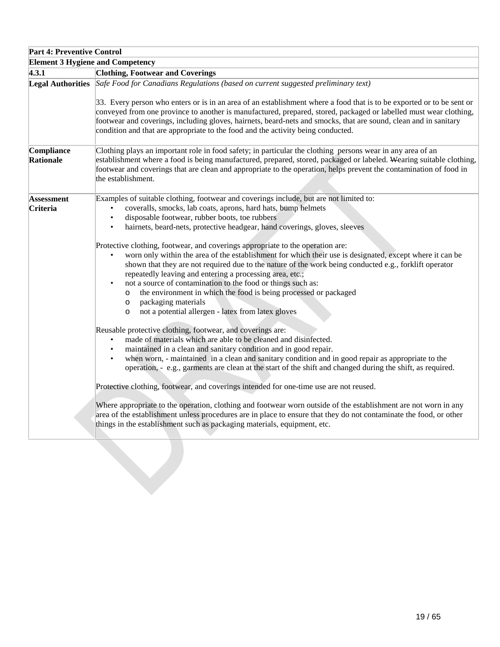| Part 4: Preventive Control              |                                                                                                                                                                                                                                                                                                                                                                                                                                                                                                                                                                                                                    |  |
|-----------------------------------------|--------------------------------------------------------------------------------------------------------------------------------------------------------------------------------------------------------------------------------------------------------------------------------------------------------------------------------------------------------------------------------------------------------------------------------------------------------------------------------------------------------------------------------------------------------------------------------------------------------------------|--|
| <b>Element 3 Hygiene and Competency</b> |                                                                                                                                                                                                                                                                                                                                                                                                                                                                                                                                                                                                                    |  |
| 4.3.1                                   | <b>Clothing, Footwear and Coverings</b>                                                                                                                                                                                                                                                                                                                                                                                                                                                                                                                                                                            |  |
|                                         | Legal Authorities Safe Food for Canadians Regulations (based on current suggested preliminary text)<br>33. Every person who enters or is in an area of an establishment where a food that is to be exported or to be sent or<br>conveyed from one province to another is manufactured, prepared, stored, packaged or labelled must wear clothing,<br>footwear and coverings, including gloves, hairnets, beard-nets and smocks, that are sound, clean and in sanitary<br>condition and that are appropriate to the food and the activity being conducted.                                                          |  |
| Compliance                              | Clothing plays an important role in food safety; in particular the clothing persons wear in any area of an                                                                                                                                                                                                                                                                                                                                                                                                                                                                                                         |  |
| Rationale                               | establishment where a food is being manufactured, prepared, stored, packaged or labeled. Wearing suitable clothing,<br>footwear and coverings that are clean and appropriate to the operation, helps prevent the contamination of food in<br>the establishment.                                                                                                                                                                                                                                                                                                                                                    |  |
| Assessment                              | Examples of suitable clothing, footwear and coverings include, but are not limited to:                                                                                                                                                                                                                                                                                                                                                                                                                                                                                                                             |  |
| Criteria                                | coveralls, smocks, lab coats, aprons, hard hats, bump helmets                                                                                                                                                                                                                                                                                                                                                                                                                                                                                                                                                      |  |
|                                         | disposable footwear, rubber boots, toe rubbers<br>$\bullet$                                                                                                                                                                                                                                                                                                                                                                                                                                                                                                                                                        |  |
|                                         | hairnets, beard-nets, protective headgear, hand coverings, gloves, sleeves<br>$\bullet$                                                                                                                                                                                                                                                                                                                                                                                                                                                                                                                            |  |
|                                         | Protective clothing, footwear, and coverings appropriate to the operation are:<br>worn only within the area of the establishment for which their use is designated, except where it can be<br>shown that they are not required due to the nature of the work being conducted e.g., forklift operator<br>repeatedly leaving and entering a processing area, etc.;<br>not a source of contamination to the food or things such as:<br>the environment in which the food is being processed or packaged<br>$\circ$<br>packaging materials<br>$\circ$<br>not a potential allergen - latex from latex gloves<br>$\circ$ |  |
|                                         | Reusable protective clothing, footwear, and coverings are:<br>made of materials which are able to be cleaned and disinfected.<br>maintained in a clean and sanitary condition and in good repair.<br>when worn, - maintained in a clean and sanitary condition and in good repair as appropriate to the<br>operation, - e.g., garments are clean at the start of the shift and changed during the shift, as required.                                                                                                                                                                                              |  |
|                                         | Protective clothing, footwear, and coverings intended for one-time use are not reused.                                                                                                                                                                                                                                                                                                                                                                                                                                                                                                                             |  |
|                                         |                                                                                                                                                                                                                                                                                                                                                                                                                                                                                                                                                                                                                    |  |
|                                         | Where appropriate to the operation, clothing and footwear worn outside of the establishment are not worn in any<br>area of the establishment unless procedures are in place to ensure that they do not contaminate the food, or other<br>things in the establishment such as packaging materials, equipment, etc.                                                                                                                                                                                                                                                                                                  |  |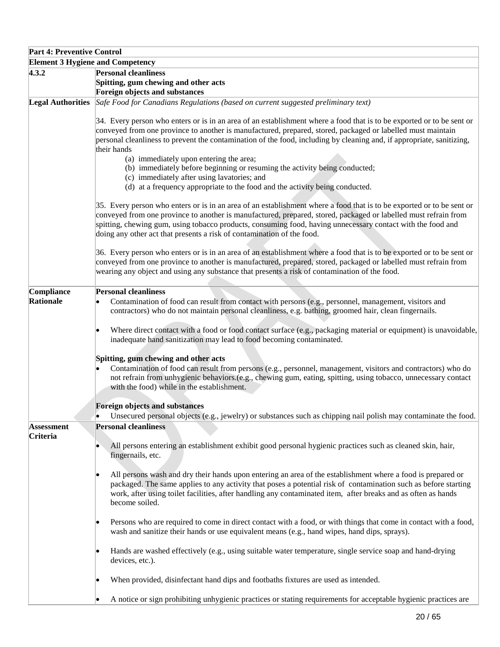# **Part 4: Preventive Control Element 3 Hygiene and Competency 4.3.2 Personal cleanliness Spitting, gum chewing and other acts Foreign objects and substances Legal Authorities** *Safe Food for Canadians Regulations (based on current suggested preliminary text)* 34. Every person who enters or is in an area of an establishment where a food that is to be exported or to be sent or conveyed from one province to another is manufactured, prepared, stored, packaged or labelled must maintain personal cleanliness to prevent the contamination of the food, including by cleaning and, if appropriate, sanitizing, their hands (a) immediately upon entering the area; (b) immediately before beginning or resuming the activity being conducted; (c) immediately after using lavatories; and (d) at a frequency appropriate to the food and the activity being conducted. 35. Every person who enters or is in an area of an establishment where a food that is to be exported or to be sent or conveyed from one province to another is manufactured, prepared, stored, packaged or labelled must refrain from spitting, chewing gum, using tobacco products, consuming food, having unnecessary contact with the food and doing any other act that presents a risk of contamination of the food. 36. Every person who enters or is in an area of an establishment where a food that is to be exported or to be sent or conveyed from one province to another is manufactured, prepared, stored, packaged or labelled must refrain from wearing any object and using any substance that presents a risk of contamination of the food. **Compliance Rationale Personal cleanliness** • Contamination of food can result from contact with persons (e.g., personnel, management, visitors and contractors) who do not maintain personal cleanliness, e.g. bathing, groomed hair, clean fingernails. Where direct contact with a food or food contact surface (e.g., packaging material or equipment) is unavoidable, inadequate hand sanitization may lead to food becoming contaminated. **Spitting, gum chewing and other acts**  • Contamination of food can result from persons (e.g., personnel, management, visitors and contractors) who do not refrain from unhygienic behaviors.(e.g., chewing gum, eating, spitting, using tobacco, unnecessary contact with the food) while in the establishment. **Foreign objects and substances** • Unsecured personal objects (e.g., jewelry) or substances such as chipping nail polish may contaminate the food. **Assessment Criteria Personal cleanliness** • All persons entering an establishment exhibit good personal hygienic practices such as cleaned skin, hair, fingernails, etc. • All persons wash and dry their hands upon entering an area of the establishment where a food is prepared or packaged. The same applies to any activity that poses a potential risk of contamination such as before starting work, after using toilet facilities, after handling any contaminated item, after breaks and as often as hands become soiled. • Persons who are required to come in direct contact with a food, or with things that come in contact with a food, wash and sanitize their hands or use equivalent means (e.g., hand wipes, hand dips, sprays). • Hands are washed effectively (e.g., using suitable water temperature, single service soap and hand-drying devices, etc.). When provided, disinfectant hand dips and footbaths fixtures are used as intended. • A notice or sign prohibiting unhygienic practices or stating requirements for acceptable hygienic practices are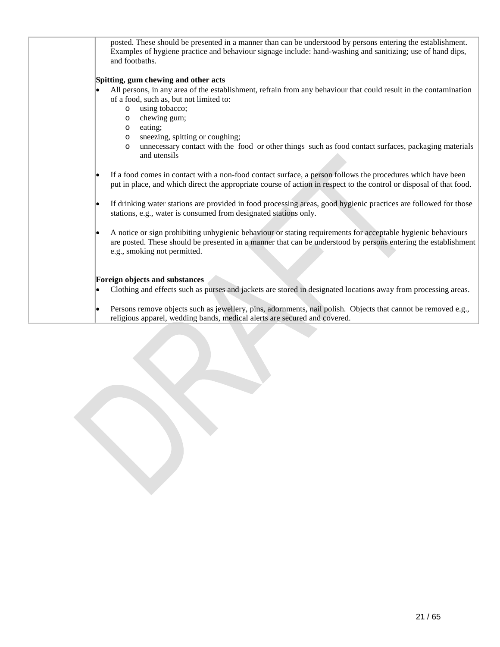posted. These should be presented in a manner than can be understood by persons entering the establishment. Examples of hygiene practice and behaviour signage include: hand-washing and sanitizing; use of hand dips, and footbaths.

## **Spitting, gum chewing and other acts**

- All persons, in any area of the establishment, refrain from any behaviour that could result in the contamination of a food, such as, but not limited to:
	- o using tobacco;
	- o chewing gum;
	- o eating;
	- o sneezing, spitting or coughing;<br>o unnecessary contact with the f
	- unnecessary contact with the food or other things such as food contact surfaces, packaging materials and utensils
- If a food comes in contact with a non-food contact surface, a person follows the procedures which have been put in place, and which direct the appropriate course of action in respect to the control or disposal of that food.
- If drinking water stations are provided in food processing areas, good hygienic practices are followed for those stations, e.g., water is consumed from designated stations only.
- A notice or sign prohibiting unhygienic behaviour or stating requirements for acceptable hygienic behaviours are posted. These should be presented in a manner that can be understood by persons entering the establishment e.g., smoking not permitted.

### **Foreign objects and substances**

- Clothing and effects such as purses and jackets are stored in designated locations away from processing areas.
- Persons remove objects such as jewellery, pins, adornments, nail polish. Objects that cannot be removed e.g., religious apparel, wedding bands, medical alerts are secured and covered.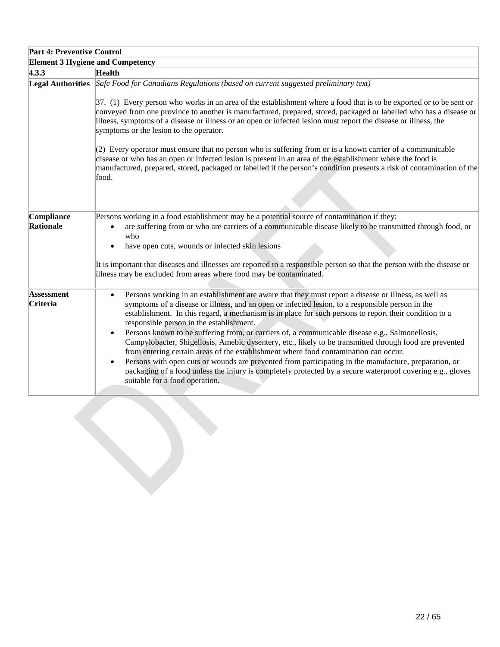| <b>Part 4: Preventive Control</b>       |                                                                                                                                                                                                                                                                                                                                                                                                                                                                                                                                                                                                                                                                                                                                                                                                                                                                                                                                                 |
|-----------------------------------------|-------------------------------------------------------------------------------------------------------------------------------------------------------------------------------------------------------------------------------------------------------------------------------------------------------------------------------------------------------------------------------------------------------------------------------------------------------------------------------------------------------------------------------------------------------------------------------------------------------------------------------------------------------------------------------------------------------------------------------------------------------------------------------------------------------------------------------------------------------------------------------------------------------------------------------------------------|
| <b>Element 3 Hygiene and Competency</b> |                                                                                                                                                                                                                                                                                                                                                                                                                                                                                                                                                                                                                                                                                                                                                                                                                                                                                                                                                 |
| 4.3.3                                   | <b>Health</b>                                                                                                                                                                                                                                                                                                                                                                                                                                                                                                                                                                                                                                                                                                                                                                                                                                                                                                                                   |
| <b>Legal Authorities</b>                | Safe Food for Canadians Regulations (based on current suggested preliminary text)<br>$37.$ (1) Every person who works in an area of the establishment where a food that is to be exported or to be sent or<br>conveyed from one province to another is manufactured, prepared, stored, packaged or labelled who has a disease or<br>illness, symptoms of a disease or illness or an open or infected lesion must report the disease or illness, the<br>symptoms or the lesion to the operator.<br>$(2)$ Every operator must ensure that no person who is suffering from or is a known carrier of a communicable<br>disease or who has an open or infected lesion is present in an area of the establishment where the food is<br>manufactured, prepared, stored, packaged or labelled if the person's condition presents a risk of contamination of the<br>food.                                                                                |
| Compliance<br>Rationale                 | Persons working in a food establishment may be a potential source of contamination if they:<br>are suffering from or who are carriers of a communicable disease likely to be transmitted through food, or<br>who<br>have open cuts, wounds or infected skin lesions<br>It is important that diseases and illnesses are reported to a responsible person so that the person with the disease or<br>illness may be excluded from areas where food may be contaminated.                                                                                                                                                                                                                                                                                                                                                                                                                                                                            |
| <b>Assessment</b><br>Criteria           | Persons working in an establishment are aware that they must report a disease or illness, as well as<br>$\bullet$<br>symptoms of a disease or illness, and an open or infected lesion, to a responsible person in the<br>establishment. In this regard, a mechanism is in place for such persons to report their condition to a<br>responsible person in the establishment.<br>Persons known to be suffering from, or carriers of, a communicable disease e.g., Salmonellosis,<br>٠<br>Campylobacter, Shigellosis, Amebic dysentery, etc., likely to be transmitted through food are prevented<br>from entering certain areas of the establishment where food contamination can occur.<br>Persons with open cuts or wounds are prevented from participating in the manufacture, preparation, or<br>packaging of a food unless the injury is completely protected by a secure waterproof covering e.g., gloves<br>suitable for a food operation. |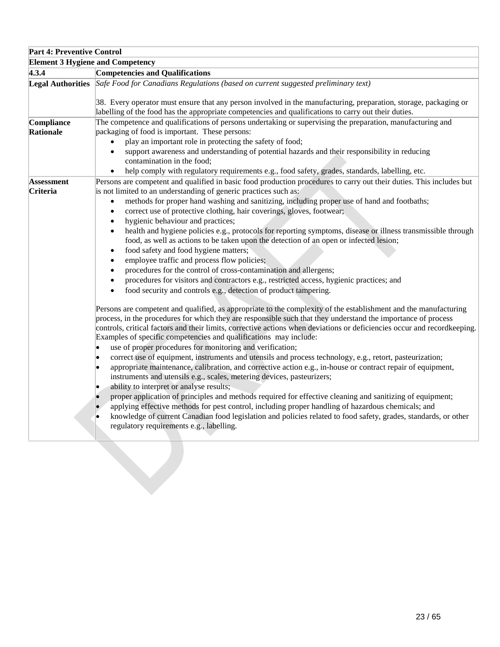| <b>Part 4: Preventive Control</b>       |                                                                                                                                                                                                                                                                                                                                                                                                                                                                                                                                                                                                                                                                                                                                                                                                                                                                                                                                                                                                                                                                                                                                                                                                                                                                                                                                                                                                                                                                                                                                                                                                                                                                                                                                                                                                                                                |
|-----------------------------------------|------------------------------------------------------------------------------------------------------------------------------------------------------------------------------------------------------------------------------------------------------------------------------------------------------------------------------------------------------------------------------------------------------------------------------------------------------------------------------------------------------------------------------------------------------------------------------------------------------------------------------------------------------------------------------------------------------------------------------------------------------------------------------------------------------------------------------------------------------------------------------------------------------------------------------------------------------------------------------------------------------------------------------------------------------------------------------------------------------------------------------------------------------------------------------------------------------------------------------------------------------------------------------------------------------------------------------------------------------------------------------------------------------------------------------------------------------------------------------------------------------------------------------------------------------------------------------------------------------------------------------------------------------------------------------------------------------------------------------------------------------------------------------------------------------------------------------------------------|
| <b>Element 3 Hygiene and Competency</b> |                                                                                                                                                                                                                                                                                                                                                                                                                                                                                                                                                                                                                                                                                                                                                                                                                                                                                                                                                                                                                                                                                                                                                                                                                                                                                                                                                                                                                                                                                                                                                                                                                                                                                                                                                                                                                                                |
| 4.3.4                                   | <b>Competencies and Qualifications</b>                                                                                                                                                                                                                                                                                                                                                                                                                                                                                                                                                                                                                                                                                                                                                                                                                                                                                                                                                                                                                                                                                                                                                                                                                                                                                                                                                                                                                                                                                                                                                                                                                                                                                                                                                                                                         |
|                                         | Legal Authorities Safe Food for Canadians Regulations (based on current suggested preliminary text)<br>38. Every operator must ensure that any person involved in the manufacturing, preparation, storage, packaging or<br>labelling of the food has the appropriate competencies and qualifications to carry out their duties.                                                                                                                                                                                                                                                                                                                                                                                                                                                                                                                                                                                                                                                                                                                                                                                                                                                                                                                                                                                                                                                                                                                                                                                                                                                                                                                                                                                                                                                                                                                |
| Compliance<br><b>Rationale</b>          | The competence and qualifications of persons undertaking or supervising the preparation, manufacturing and<br>packaging of food is important. These persons:<br>play an important role in protecting the safety of food;<br>$\bullet$<br>support awareness and understanding of potential hazards and their responsibility in reducing<br>$\bullet$<br>contamination in the food;<br>help comply with regulatory requirements e.g., food safety, grades, standards, labelling, etc.<br>$\bullet$                                                                                                                                                                                                                                                                                                                                                                                                                                                                                                                                                                                                                                                                                                                                                                                                                                                                                                                                                                                                                                                                                                                                                                                                                                                                                                                                               |
| <b>Assessment</b><br>Criteria           | Persons are competent and qualified in basic food production procedures to carry out their duties. This includes but<br>is not limited to an understanding of generic practices such as:<br>methods for proper hand washing and sanitizing, including proper use of hand and footbaths;<br>$\bullet$<br>correct use of protective clothing, hair coverings, gloves, footwear;<br>$\bullet$<br>hygienic behaviour and practices;<br>$\bullet$<br>health and hygiene policies e.g., protocols for reporting symptoms, disease or illness transmissible through<br>$\bullet$<br>food, as well as actions to be taken upon the detection of an open or infected lesion;<br>food safety and food hygiene matters;<br>$\bullet$<br>employee traffic and process flow policies;<br>$\bullet$<br>procedures for the control of cross-contamination and allergens;<br>procedures for visitors and contractors e.g., restricted access, hygienic practices; and<br>$\bullet$<br>food security and controls e.g., detection of product tampering.<br>Persons are competent and qualified, as appropriate to the complexity of the establishment and the manufacturing<br>process, in the procedures for which they are responsible such that they understand the importance of process<br>controls, critical factors and their limits, corrective actions when deviations or deficiencies occur and recordkeeping.<br>Examples of specific competencies and qualifications may include:<br>use of proper procedures for monitoring and verification;<br>correct use of equipment, instruments and utensils and process technology, e.g., retort, pasteurization;<br>appropriate maintenance, calibration, and corrective action e.g., in-house or contract repair of equipment,<br>instruments and utensils e.g., scales, metering devices, pasteurizers; |
|                                         | ability to interpret or analyse results;<br>proper application of principles and methods required for effective cleaning and sanitizing of equipment;<br>applying effective methods for pest control, including proper handling of hazardous chemicals; and<br>knowledge of current Canadian food legislation and policies related to food safety, grades, standards, or other<br>regulatory requirements e.g., labelling.                                                                                                                                                                                                                                                                                                                                                                                                                                                                                                                                                                                                                                                                                                                                                                                                                                                                                                                                                                                                                                                                                                                                                                                                                                                                                                                                                                                                                     |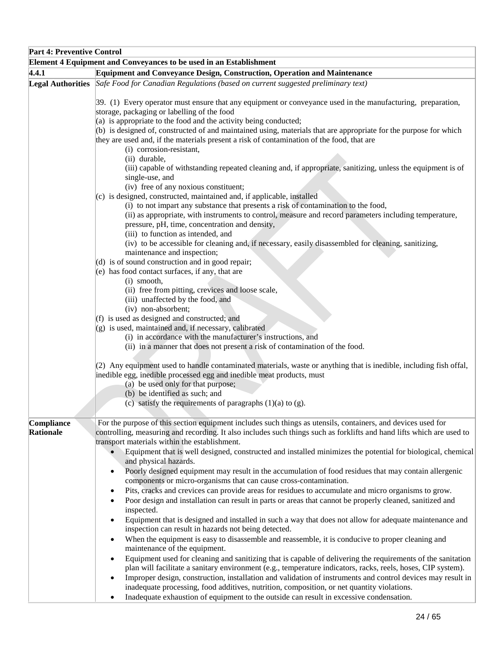| <b>Part 4: Preventive Control</b>                                  |                                                                                                                                                                |  |
|--------------------------------------------------------------------|----------------------------------------------------------------------------------------------------------------------------------------------------------------|--|
| Element 4 Equipment and Conveyances to be used in an Establishment |                                                                                                                                                                |  |
| 4.4.1                                                              | <b>Equipment and Conveyance Design, Construction, Operation and Maintenance</b>                                                                                |  |
|                                                                    | Legal Authorities Safe Food for Canadian Regulations (based on current suggested preliminary text)                                                             |  |
|                                                                    |                                                                                                                                                                |  |
|                                                                    | 39. (1) Every operator must ensure that any equipment or conveyance used in the manufacturing, preparation,                                                    |  |
|                                                                    | storage, packaging or labelling of the food                                                                                                                    |  |
|                                                                    | $(a)$ is appropriate to the food and the activity being conducted;                                                                                             |  |
|                                                                    | (b) is designed of, constructed of and maintained using, materials that are appropriate for the purpose for which                                              |  |
|                                                                    | they are used and, if the materials present a risk of contamination of the food, that are                                                                      |  |
|                                                                    | (i) corrosion-resistant,                                                                                                                                       |  |
|                                                                    | (ii) durable,                                                                                                                                                  |  |
|                                                                    | (iii) capable of withstanding repeated cleaning and, if appropriate, sanitizing, unless the equipment is of                                                    |  |
|                                                                    | single-use, and                                                                                                                                                |  |
|                                                                    | (iv) free of any noxious constituent;                                                                                                                          |  |
|                                                                    | $(c)$ is designed, constructed, maintained and, if applicable, installed<br>(i) to not impart any substance that presents a risk of contamination to the food, |  |
|                                                                    | (ii) as appropriate, with instruments to control, measure and record parameters including temperature,                                                         |  |
|                                                                    | pressure, pH, time, concentration and density,                                                                                                                 |  |
|                                                                    | (iii) to function as intended, and                                                                                                                             |  |
|                                                                    | (iv) to be accessible for cleaning and, if necessary, easily disassembled for cleaning, sanitizing,                                                            |  |
|                                                                    | maintenance and inspection;                                                                                                                                    |  |
|                                                                    | $(d)$ is of sound construction and in good repair;                                                                                                             |  |
|                                                                    | $(e)$ has food contact surfaces, if any, that are                                                                                                              |  |
|                                                                    | (i) smooth,                                                                                                                                                    |  |
|                                                                    | (ii) free from pitting, crevices and loose scale,                                                                                                              |  |
|                                                                    | (iii) unaffected by the food, and                                                                                                                              |  |
|                                                                    | (iv) non-absorbent;                                                                                                                                            |  |
|                                                                    | (f) is used as designed and constructed; and                                                                                                                   |  |
|                                                                    | (g) is used, maintained and, if necessary, calibrated                                                                                                          |  |
|                                                                    | (i) in accordance with the manufacturer's instructions, and                                                                                                    |  |
|                                                                    | (ii) in a manner that does not present a risk of contamination of the food.                                                                                    |  |
|                                                                    |                                                                                                                                                                |  |
|                                                                    | (2) Any equipment used to handle contaminated materials, waste or anything that is inedible, including fish offal,                                             |  |
|                                                                    | inedible egg, inedible processed egg and inedible meat products, must                                                                                          |  |
|                                                                    | (a) be used only for that purpose;<br>(b) be identified as such; and                                                                                           |  |
|                                                                    | (c) satisfy the requirements of paragraphs $(1)(a)$ to $(g)$ .                                                                                                 |  |
|                                                                    |                                                                                                                                                                |  |
| Compliance                                                         | For the purpose of this section equipment includes such things as utensils, containers, and devices used for                                                   |  |
| Rationale                                                          | controlling, measuring and recording. It also includes such things such as forklifts and hand lifts which are used to                                          |  |
|                                                                    | transport materials within the establishment.                                                                                                                  |  |
|                                                                    | Equipment that is well designed, constructed and installed minimizes the potential for biological, chemical                                                    |  |
|                                                                    | and physical hazards.                                                                                                                                          |  |
|                                                                    | Poorly designed equipment may result in the accumulation of food residues that may contain allergenic<br>$\bullet$                                             |  |
|                                                                    | components or micro-organisms that can cause cross-contamination.                                                                                              |  |
|                                                                    | Pits, cracks and crevices can provide areas for residues to accumulate and micro organisms to grow.<br>٠                                                       |  |
|                                                                    | Poor design and installation can result in parts or areas that cannot be properly cleaned, sanitized and                                                       |  |
|                                                                    | inspected.                                                                                                                                                     |  |
|                                                                    | Equipment that is designed and installed in such a way that does not allow for adequate maintenance and<br>٠                                                   |  |
|                                                                    | inspection can result in hazards not being detected.                                                                                                           |  |
|                                                                    | When the equipment is easy to disassemble and reassemble, it is conducive to proper cleaning and<br>٠                                                          |  |
|                                                                    | maintenance of the equipment.                                                                                                                                  |  |
|                                                                    | Equipment used for cleaning and sanitizing that is capable of delivering the requirements of the sanitation<br>$\bullet$                                       |  |
|                                                                    | plan will facilitate a sanitary environment (e.g., temperature indicators, racks, reels, hoses, CIP system).                                                   |  |
|                                                                    | Improper design, construction, installation and validation of instruments and control devices may result in<br>$\bullet$                                       |  |
|                                                                    | inadequate processing, food additives, nutrition, composition, or net quantity violations.                                                                     |  |
|                                                                    | Inadequate exhaustion of equipment to the outside can result in excessive condensation.                                                                        |  |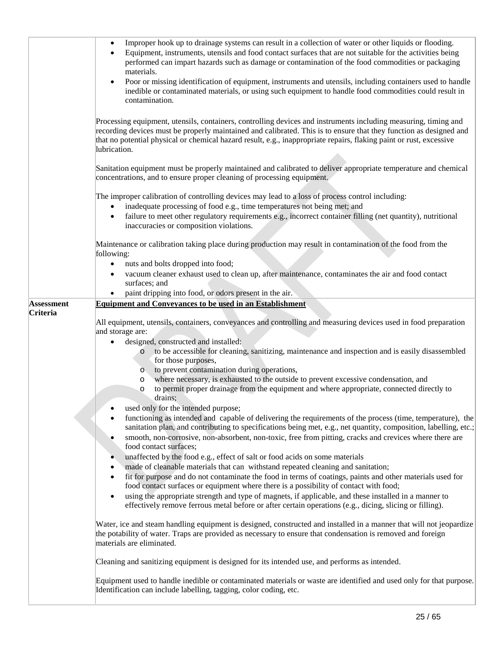|                                      | Improper hook up to drainage systems can result in a collection of water or other liquids or flooding.<br>$\bullet$<br>Equipment, instruments, utensils and food contact surfaces that are not suitable for the activities being<br>performed can impart hazards such as damage or contamination of the food commodities or packaging<br>materials.<br>Poor or missing identification of equipment, instruments and utensils, including containers used to handle<br>$\bullet$<br>inedible or contaminated materials, or using such equipment to handle food commodities could result in<br>contamination.                                                                                                                                                                                                                                                                                                                                                                                                                                                                                                                                                                                                                                                                                                    |
|--------------------------------------|---------------------------------------------------------------------------------------------------------------------------------------------------------------------------------------------------------------------------------------------------------------------------------------------------------------------------------------------------------------------------------------------------------------------------------------------------------------------------------------------------------------------------------------------------------------------------------------------------------------------------------------------------------------------------------------------------------------------------------------------------------------------------------------------------------------------------------------------------------------------------------------------------------------------------------------------------------------------------------------------------------------------------------------------------------------------------------------------------------------------------------------------------------------------------------------------------------------------------------------------------------------------------------------------------------------|
|                                      | Processing equipment, utensils, containers, controlling devices and instruments including measuring, timing and<br>recording devices must be properly maintained and calibrated. This is to ensure that they function as designed and<br>that no potential physical or chemical hazard result, e.g., inappropriate repairs, flaking paint or rust, excessive<br>lubrication.                                                                                                                                                                                                                                                                                                                                                                                                                                                                                                                                                                                                                                                                                                                                                                                                                                                                                                                                  |
|                                      | Sanitation equipment must be properly maintained and calibrated to deliver appropriate temperature and chemical<br>concentrations, and to ensure proper cleaning of processing equipment.                                                                                                                                                                                                                                                                                                                                                                                                                                                                                                                                                                                                                                                                                                                                                                                                                                                                                                                                                                                                                                                                                                                     |
|                                      | The improper calibration of controlling devices may lead to a loss of process control including:<br>inadequate processing of food e.g., time temperatures not being met; and<br>$\bullet$<br>failure to meet other regulatory requirements e.g., incorrect container filling (net quantity), nutritional<br>$\bullet$<br>inaccuracies or composition violations.                                                                                                                                                                                                                                                                                                                                                                                                                                                                                                                                                                                                                                                                                                                                                                                                                                                                                                                                              |
|                                      | Maintenance or calibration taking place during production may result in contamination of the food from the<br>following:<br>nuts and bolts dropped into food;<br>$\bullet$<br>vacuum cleaner exhaust used to clean up, after maintenance, contaminates the air and food contact                                                                                                                                                                                                                                                                                                                                                                                                                                                                                                                                                                                                                                                                                                                                                                                                                                                                                                                                                                                                                               |
|                                      | surfaces; and<br>paint dripping into food, or odors present in the air.                                                                                                                                                                                                                                                                                                                                                                                                                                                                                                                                                                                                                                                                                                                                                                                                                                                                                                                                                                                                                                                                                                                                                                                                                                       |
| <b>Assessment</b><br><b>Criteria</b> | <b>Equipment and Conveyances to be used in an Establishment</b>                                                                                                                                                                                                                                                                                                                                                                                                                                                                                                                                                                                                                                                                                                                                                                                                                                                                                                                                                                                                                                                                                                                                                                                                                                               |
|                                      | All equipment, utensils, containers, conveyances and controlling and measuring devices used in food preparation<br>and storage are:<br>designed, constructed and installed:<br>$\bullet$<br>to be accessible for cleaning, sanitizing, maintenance and inspection and is easily disassembled<br>for those purposes,<br>to prevent contamination during operations,<br>$\circ$<br>where necessary, is exhausted to the outside to prevent excessive condensation, and<br>$\circ$<br>to permit proper drainage from the equipment and where appropriate, connected directly to<br>$\circ$<br>drains;<br>used only for the intended purpose;<br>functioning as intended and capable of delivering the requirements of the process (time, temperature), the<br>sanitation plan, and contributing to specifications being met, e.g., net quantity, composition, labelling, etc.;<br>smooth, non-corrosive, non-absorbent, non-toxic, free from pitting, cracks and crevices where there are<br>food contact surfaces;<br>unaffected by the food e.g., effect of salt or food acids on some materials<br>$\bullet$<br>made of cleanable materials that can withstand repeated cleaning and sanitation;<br>fit for purpose and do not contaminate the food in terms of coatings, paints and other materials used for |
|                                      | food contact surfaces or equipment where there is a possibility of contact with food;<br>using the appropriate strength and type of magnets, if applicable, and these installed in a manner to<br>$\bullet$<br>effectively remove ferrous metal before or after certain operations (e.g., dicing, slicing or filling).                                                                                                                                                                                                                                                                                                                                                                                                                                                                                                                                                                                                                                                                                                                                                                                                                                                                                                                                                                                        |
|                                      | Water, ice and steam handling equipment is designed, constructed and installed in a manner that will not jeopardize<br>the potability of water. Traps are provided as necessary to ensure that condensation is removed and foreign<br>materials are eliminated.                                                                                                                                                                                                                                                                                                                                                                                                                                                                                                                                                                                                                                                                                                                                                                                                                                                                                                                                                                                                                                               |
|                                      | Cleaning and sanitizing equipment is designed for its intended use, and performs as intended.                                                                                                                                                                                                                                                                                                                                                                                                                                                                                                                                                                                                                                                                                                                                                                                                                                                                                                                                                                                                                                                                                                                                                                                                                 |
|                                      | Equipment used to handle inedible or contaminated materials or waste are identified and used only for that purpose.<br>Identification can include labelling, tagging, color coding, etc.                                                                                                                                                                                                                                                                                                                                                                                                                                                                                                                                                                                                                                                                                                                                                                                                                                                                                                                                                                                                                                                                                                                      |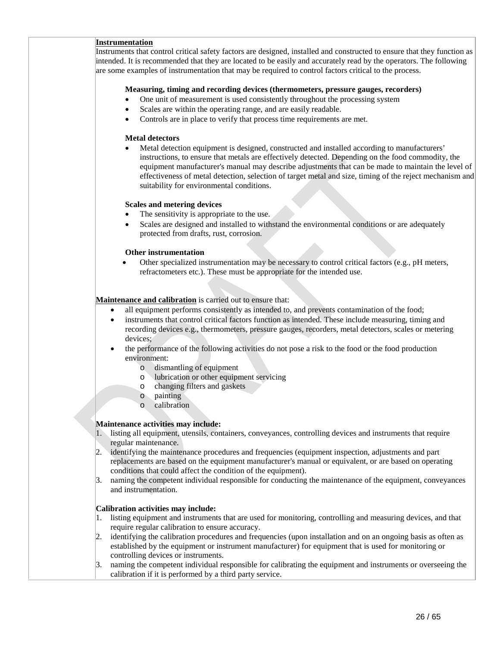## **Instrumentation**

Instruments that control critical safety factors are designed, installed and constructed to ensure that they function as intended. It is recommended that they are located to be easily and accurately read by the operators. The following are some examples of instrumentation that may be required to control factors critical to the process.

## **Measuring, timing and recording devices (thermometers, pressure gauges, recorders)**

- One unit of measurement is used consistently throughout the processing system
- Scales are within the operating range, and are easily readable.
- Controls are in place to verify that process time requirements are met.

### **Metal detectors**

• Metal detection equipment is designed, constructed and installed according to manufacturers' instructions, to ensure that metals are effectively detected. Depending on the food commodity, the equipment manufacturer's manual may describe adjustments that can be made to maintain the level of effectiveness of metal detection, selection of target metal and size, timing of the reject mechanism and suitability for environmental conditions.

### **Scales and metering devices**

- The sensitivity is appropriate to the use.
- Scales are designed and installed to withstand the environmental conditions or are adequately protected from drafts, rust, corrosion.

### **Other instrumentation**

• Other specialized instrumentation may be necessary to control critical factors (e.g., pH meters, refractometers etc.). These must be appropriate for the intended use.

## **Maintenance and calibration** is carried out to ensure that:

- all equipment performs consistently as intended to, and prevents contamination of the food;
- instruments that control critical factors function as intended. These include measuring, timing and recording devices e.g., thermometers, pressure gauges, recorders, metal detectors, scales or metering devices;
- the performance of the following activities do not pose a risk to the food or the food production environment:
	- o dismantling of equipment
	- o lubrication or other equipment servicing
	- o changing filters and gaskets
	- o painting
	- o calibration

### **Maintenance activities may include:**

- 1. listing all equipment, utensils, containers, conveyances, controlling devices and instruments that require regular maintenance.
- identifying the maintenance procedures and frequencies (equipment inspection, adjustments and part replacements are based on the equipment manufacturer's manual or equivalent, or are based on operating conditions that could affect the condition of the equipment).
- 3. naming the competent individual responsible for conducting the maintenance of the equipment, conveyances and instrumentation.

### **Calibration activities may include:**

- 1. listing equipment and instruments that are used for monitoring, controlling and measuring devices, and that require regular calibration to ensure accuracy.
- 2. identifying the calibration procedures and frequencies (upon installation and on an ongoing basis as often as established by the equipment or instrument manufacturer) for equipment that is used for monitoring or controlling devices or instruments.
- 3. naming the competent individual responsible for calibrating the equipment and instruments or overseeing the calibration if it is performed by a third party service.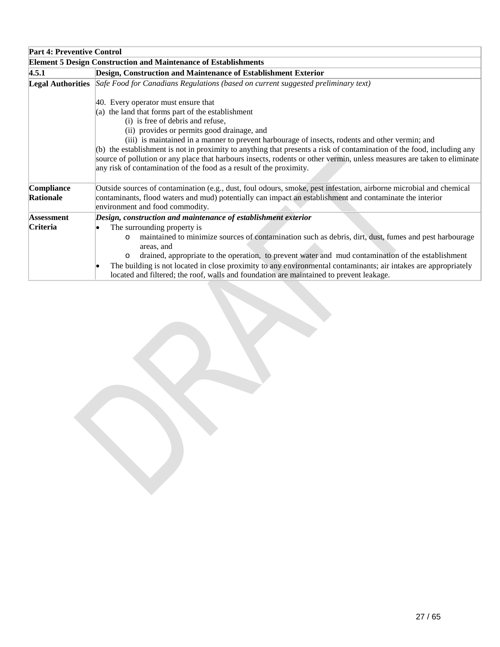| <b>Part 4: Preventive Control</b> |                                                                                                                                                                                                                                                                    |
|-----------------------------------|--------------------------------------------------------------------------------------------------------------------------------------------------------------------------------------------------------------------------------------------------------------------|
|                                   | <b>Element 5 Design Construction and Maintenance of Establishments</b>                                                                                                                                                                                             |
| 4.5.1                             | Design, Construction and Maintenance of Establishment Exterior                                                                                                                                                                                                     |
|                                   | Legal Authorities Safe Food for Canadians Regulations (based on current suggested preliminary text)                                                                                                                                                                |
|                                   | 40. Every operator must ensure that                                                                                                                                                                                                                                |
|                                   | (a) the land that forms part of the establishment                                                                                                                                                                                                                  |
|                                   | (i) is free of debris and refuse,                                                                                                                                                                                                                                  |
|                                   | (ii) provides or permits good drainage, and                                                                                                                                                                                                                        |
|                                   | (iii) is maintained in a manner to prevent harbourage of insects, rodents and other vermin; and                                                                                                                                                                    |
|                                   | (b) the establishment is not in proximity to anything that presents a risk of contamination of the food, including any                                                                                                                                             |
|                                   | source of pollution or any place that harbours insects, rodents or other vermin, unless measures are taken to eliminate<br>any risk of contamination of the food as a result of the proximity.                                                                     |
| Compliance<br>Rationale           | Outside sources of contamination (e.g., dust, foul odours, smoke, pest infestation, airborne microbial and chemical<br>contaminants, flood waters and mud) potentially can impact an establishment and contaminate the interior<br>environment and food commodity. |
| <b>Assessment</b>                 | Design, construction and maintenance of establishment exterior                                                                                                                                                                                                     |
| <b>Criteria</b>                   | The surrounding property is                                                                                                                                                                                                                                        |
|                                   | maintained to minimize sources of contamination such as debris, dirt, dust, fumes and pest harbourage<br>$\circ$<br>areas, and                                                                                                                                     |
|                                   | drained, appropriate to the operation, to prevent water and mud contamination of the establishment<br>$\circ$                                                                                                                                                      |
|                                   | The building is not located in close proximity to any environmental contaminants; air intakes are appropriately<br>located and filtered; the roof, walls and foundation are maintained to prevent leakage.                                                         |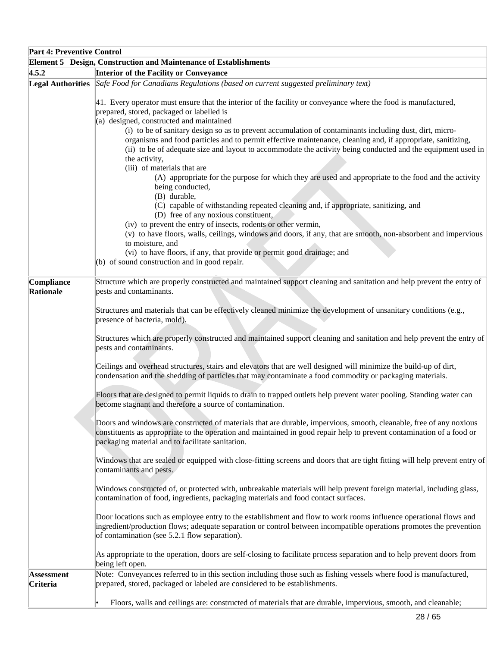| <b>Part 4: Preventive Control</b> |                                                                                                                                                                                                                                                                                                                                                                                                                                                                                                                                                                                                                                                                                                                                               |  |
|-----------------------------------|-----------------------------------------------------------------------------------------------------------------------------------------------------------------------------------------------------------------------------------------------------------------------------------------------------------------------------------------------------------------------------------------------------------------------------------------------------------------------------------------------------------------------------------------------------------------------------------------------------------------------------------------------------------------------------------------------------------------------------------------------|--|
|                                   | Element 5 Design, Construction and Maintenance of Establishments                                                                                                                                                                                                                                                                                                                                                                                                                                                                                                                                                                                                                                                                              |  |
| 4.5.2                             | Interior of the Facility or Conveyance                                                                                                                                                                                                                                                                                                                                                                                                                                                                                                                                                                                                                                                                                                        |  |
| <b>Legal Authorities</b>          | Safe Food for Canadians Regulations (based on current suggested preliminary text)                                                                                                                                                                                                                                                                                                                                                                                                                                                                                                                                                                                                                                                             |  |
|                                   | 41. Every operator must ensure that the interior of the facility or conveyance where the food is manufactured,<br>prepared, stored, packaged or labelled is<br>(a) designed, constructed and maintained<br>(i) to be of sanitary design so as to prevent accumulation of contaminants including dust, dirt, micro-<br>organisms and food particles and to permit effective maintenance, cleaning and, if appropriate, sanitizing,<br>(ii) to be of adequate size and layout to accommodate the activity being conducted and the equipment used in<br>the activity,<br>(iii) of materials that are<br>(A) appropriate for the purpose for which they are used and appropriate to the food and the activity<br>being conducted,<br>(B) durable, |  |
|                                   | (C) capable of withstanding repeated cleaning and, if appropriate, sanitizing, and<br>(D) free of any noxious constituent,<br>(iv) to prevent the entry of insects, rodents or other vermin,<br>(v) to have floors, walls, ceilings, windows and doors, if any, that are smooth, non-absorbent and impervious<br>to moisture, and<br>(vi) to have floors, if any, that provide or permit good drainage; and<br>(b) of sound construction and in good repair.                                                                                                                                                                                                                                                                                  |  |
| Compliance<br>Rationale           | Structure which are properly constructed and maintained support cleaning and sanitation and help prevent the entry of<br>pests and contaminants.                                                                                                                                                                                                                                                                                                                                                                                                                                                                                                                                                                                              |  |
|                                   | Structures and materials that can be effectively cleaned minimize the development of unsanitary conditions (e.g.,<br>presence of bacteria, mold).                                                                                                                                                                                                                                                                                                                                                                                                                                                                                                                                                                                             |  |
|                                   | Structures which are properly constructed and maintained support cleaning and sanitation and help prevent the entry of<br>pests and contaminants.                                                                                                                                                                                                                                                                                                                                                                                                                                                                                                                                                                                             |  |
|                                   | Ceilings and overhead structures, stairs and elevators that are well designed will minimize the build-up of dirt,<br>condensation and the shedding of particles that may contaminate a food commodity or packaging materials.                                                                                                                                                                                                                                                                                                                                                                                                                                                                                                                 |  |
|                                   | Floors that are designed to permit liquids to drain to trapped outlets help prevent water pooling. Standing water can<br>become stagnant and therefore a source of contamination.                                                                                                                                                                                                                                                                                                                                                                                                                                                                                                                                                             |  |
|                                   | Doors and windows are constructed of materials that are durable, impervious, smooth, cleanable, free of any noxious<br>constituents as appropriate to the operation and maintained in good repair help to prevent contamination of a food or<br>packaging material and to facilitate sanitation.                                                                                                                                                                                                                                                                                                                                                                                                                                              |  |
|                                   | Windows that are sealed or equipped with close-fitting screens and doors that are tight fitting will help prevent entry of<br>contaminants and pests.                                                                                                                                                                                                                                                                                                                                                                                                                                                                                                                                                                                         |  |
|                                   | Windows constructed of, or protected with, unbreakable materials will help prevent foreign material, including glass,<br>contamination of food, ingredients, packaging materials and food contact surfaces.                                                                                                                                                                                                                                                                                                                                                                                                                                                                                                                                   |  |
|                                   | Door locations such as employee entry to the establishment and flow to work rooms influence operational flows and<br>ingredient/production flows; adequate separation or control between incompatible operations promotes the prevention<br>of contamination (see 5.2.1 flow separation).                                                                                                                                                                                                                                                                                                                                                                                                                                                     |  |
|                                   | As appropriate to the operation, doors are self-closing to facilitate process separation and to help prevent doors from<br>being left open.                                                                                                                                                                                                                                                                                                                                                                                                                                                                                                                                                                                                   |  |
| <b>Assessment</b><br>Criteria     | Note: Conveyances referred to in this section including those such as fishing vessels where food is manufactured,<br>prepared, stored, packaged or labeled are considered to be establishments.                                                                                                                                                                                                                                                                                                                                                                                                                                                                                                                                               |  |
|                                   | Floors, walls and ceilings are: constructed of materials that are durable, impervious, smooth, and cleanable;                                                                                                                                                                                                                                                                                                                                                                                                                                                                                                                                                                                                                                 |  |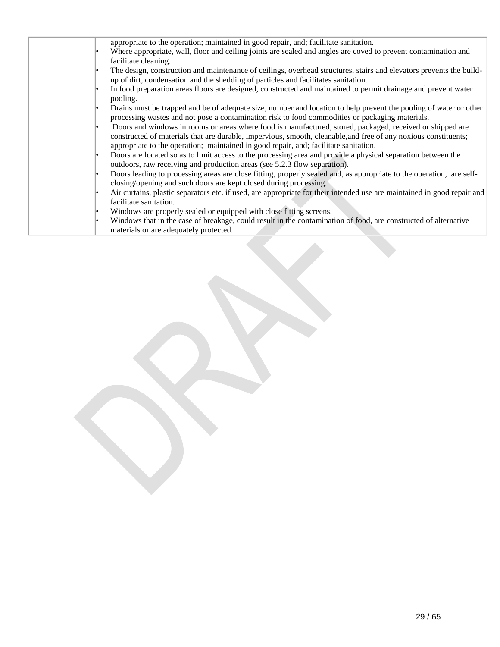| appropriate to the operation; maintained in good repair, and; facilitate sanitation.                                                                                                                                                                                                                                 |
|----------------------------------------------------------------------------------------------------------------------------------------------------------------------------------------------------------------------------------------------------------------------------------------------------------------------|
| Where appropriate, wall, floor and ceiling joints are sealed and angles are coved to prevent contamination and                                                                                                                                                                                                       |
| facilitate cleaning.                                                                                                                                                                                                                                                                                                 |
| The design, construction and maintenance of ceilings, overhead structures, stairs and elevators prevents the build-<br>up of dirt, condensation and the shedding of particles and facilitates sanitation.                                                                                                            |
| In food preparation areas floors are designed, constructed and maintained to permit drainage and prevent water<br>pooling.                                                                                                                                                                                           |
| Drains must be trapped and be of adequate size, number and location to help prevent the pooling of water or other<br>processing wastes and not pose a contamination risk to food commodities or packaging materials.                                                                                                 |
| Doors and windows in rooms or areas where food is manufactured, stored, packaged, received or shipped are<br>constructed of materials that are durable, impervious, smooth, cleanable, and free of any noxious constituents;<br>appropriate to the operation; maintained in good repair, and; facilitate sanitation. |
| Doors are located so as to limit access to the processing area and provide a physical separation between the<br>outdoors, raw receiving and production areas (see 5.2.3 flow separation).                                                                                                                            |
| Doors leading to processing areas are close fitting, properly sealed and, as appropriate to the operation, are self-<br>closing/opening and such doors are kept closed during processing.                                                                                                                            |
| Air curtains, plastic separators etc. if used, are appropriate for their intended use are maintained in good repair and<br>facilitate sanitation.                                                                                                                                                                    |
| Windows are properly sealed or equipped with close fitting screens.                                                                                                                                                                                                                                                  |
| Windows that in the case of breakage, could result in the contamination of food, are constructed of alternative<br>materials or are adequately protected.                                                                                                                                                            |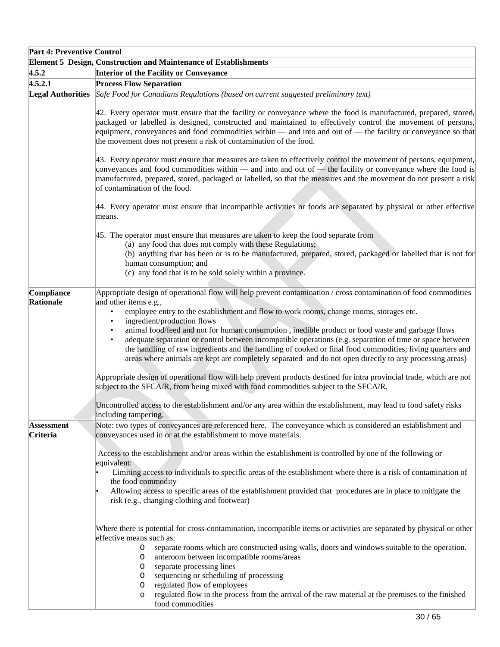| <b>Part 4: Preventive Control</b>                                |                                                                                                                                                                                                                                                                                                                                                                                                                                                                                                                                                                                                                                                                                                                                                                                                                                                                                                                                                                    |  |
|------------------------------------------------------------------|--------------------------------------------------------------------------------------------------------------------------------------------------------------------------------------------------------------------------------------------------------------------------------------------------------------------------------------------------------------------------------------------------------------------------------------------------------------------------------------------------------------------------------------------------------------------------------------------------------------------------------------------------------------------------------------------------------------------------------------------------------------------------------------------------------------------------------------------------------------------------------------------------------------------------------------------------------------------|--|
| Element 5 Design, Construction and Maintenance of Establishments |                                                                                                                                                                                                                                                                                                                                                                                                                                                                                                                                                                                                                                                                                                                                                                                                                                                                                                                                                                    |  |
| 4.5.2                                                            | <b>Interior of the Facility or Conveyance</b>                                                                                                                                                                                                                                                                                                                                                                                                                                                                                                                                                                                                                                                                                                                                                                                                                                                                                                                      |  |
| 4.5.2.1                                                          | <b>Process Flow Separation</b>                                                                                                                                                                                                                                                                                                                                                                                                                                                                                                                                                                                                                                                                                                                                                                                                                                                                                                                                     |  |
|                                                                  | Legal Authorities Safe Food for Canadians Regulations (based on current suggested preliminary text)                                                                                                                                                                                                                                                                                                                                                                                                                                                                                                                                                                                                                                                                                                                                                                                                                                                                |  |
|                                                                  | 42. Every operator must ensure that the facility or conveyance where the food is manufactured, prepared, stored,<br>packaged or labelled is designed, constructed and maintained to effectively control the movement of persons,<br>equipment, conveyances and food commodities within — and into and out of — the facility or conveyance so that<br>the movement does not present a risk of contamination of the food.                                                                                                                                                                                                                                                                                                                                                                                                                                                                                                                                            |  |
|                                                                  | 43. Every operator must ensure that measures are taken to effectively control the movement of persons, equipment,<br>conveyances and food commodities within $-$ and into and out of $-$ the facility or conveyance where the food is<br>manufactured, prepared, stored, packaged or labelled, so that the measures and the movement do not present a risk<br>of contamination of the food.                                                                                                                                                                                                                                                                                                                                                                                                                                                                                                                                                                        |  |
|                                                                  | 44. Every operator must ensure that incompatible activities or foods are separated by physical or other effective<br>means.                                                                                                                                                                                                                                                                                                                                                                                                                                                                                                                                                                                                                                                                                                                                                                                                                                        |  |
|                                                                  | 45. The operator must ensure that measures are taken to keep the food separate from<br>(a) any food that does not comply with these Regulations;<br>(b) anything that has been or is to be manufactured, prepared, stored, packaged or labelled that is not for<br>human consumption; and<br>(c) any food that is to be sold solely within a province.                                                                                                                                                                                                                                                                                                                                                                                                                                                                                                                                                                                                             |  |
| Compliance<br>Rationale                                          | Appropriate design of operational flow will help prevent contamination / cross contamination of food commodities<br>and other items e.g.,<br>employee entry to the establishment and flow to work rooms, change rooms, storages etc.<br>$\bullet$<br>ingredient/production flows<br>$\bullet$<br>animal food/feed and not for human consumption, inedible product or food waste and garbage flows<br>adequate separation or control between incompatible operations (e.g. separation of time or space between<br>$\bullet$<br>the handling of raw ingredients and the handling of cooked or final food commodities; living quarters and<br>areas where animals are kept are completely separated and do not open directly to any processing areas)<br>Appropriate design of operational flow will help prevent products destined for intra provincial trade, which are not<br>subject to the SFCA/R, from being mixed with food commodities subject to the SFCA/R. |  |
|                                                                  | Uncontrolled access to the establishment and/or any area within the establishment, may lead to food safety risks<br>including tampering.                                                                                                                                                                                                                                                                                                                                                                                                                                                                                                                                                                                                                                                                                                                                                                                                                           |  |
| <b>Assessment</b><br>Criteria                                    | Note: two types of conveyances are referenced here. The conveyance which is considered an establishment and<br>conveyances used in or at the establishment to move materials.                                                                                                                                                                                                                                                                                                                                                                                                                                                                                                                                                                                                                                                                                                                                                                                      |  |
|                                                                  | Access to the establishment and/or areas within the establishment is controlled by one of the following or<br>equivalent:<br>Limiting access to individuals to specific areas of the establishment where there is a risk of contamination of<br>the food commodity<br>Allowing access to specific areas of the establishment provided that procedures are in place to mitigate the<br>risk (e.g., changing clothing and footwear)                                                                                                                                                                                                                                                                                                                                                                                                                                                                                                                                  |  |
|                                                                  | Where there is potential for cross-contamination, incompatible items or activities are separated by physical or other<br>effective means such as:                                                                                                                                                                                                                                                                                                                                                                                                                                                                                                                                                                                                                                                                                                                                                                                                                  |  |
|                                                                  | separate rooms which are constructed using walls, doors and windows suitable to the operation.<br>O<br>anteroom between incompatible rooms/areas<br>O<br>separate processing lines<br>O<br>sequencing or scheduling of processing<br>0<br>regulated flow of employees<br>O<br>regulated flow in the process from the arrival of the raw material at the premises to the finished<br>$\circ$<br>food commodities                                                                                                                                                                                                                                                                                                                                                                                                                                                                                                                                                    |  |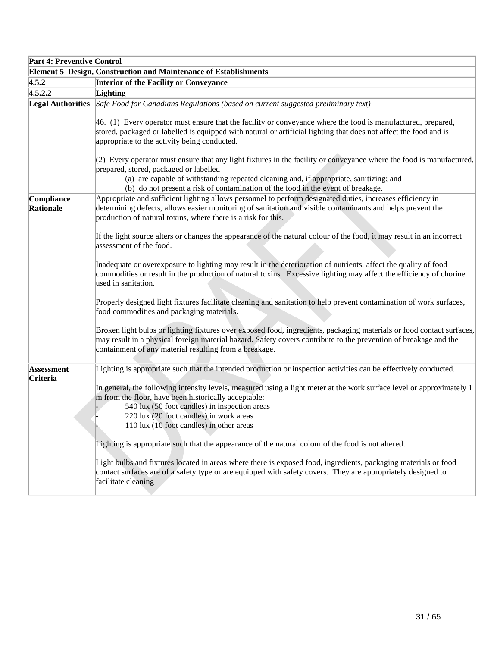| <b>Part 4: Preventive Control</b> |                                                                                                                                                                                                                                                                                                                       |  |
|-----------------------------------|-----------------------------------------------------------------------------------------------------------------------------------------------------------------------------------------------------------------------------------------------------------------------------------------------------------------------|--|
|                                   | <b>Element 5 Design, Construction and Maintenance of Establishments</b>                                                                                                                                                                                                                                               |  |
| 4.5.2                             | <b>Interior of the Facility or Conveyance</b>                                                                                                                                                                                                                                                                         |  |
| 4.5.2.2                           | Lighting                                                                                                                                                                                                                                                                                                              |  |
|                                   | Legal Authorities Safe Food for Canadians Regulations (based on current suggested preliminary text)                                                                                                                                                                                                                   |  |
|                                   | 46. (1) Every operator must ensure that the facility or conveyance where the food is manufactured, prepared,<br>stored, packaged or labelled is equipped with natural or artificial lighting that does not affect the food and is<br>appropriate to the activity being conducted.                                     |  |
|                                   | (2) Every operator must ensure that any light fixtures in the facility or conveyance where the food is manufactured,<br>prepared, stored, packaged or labelled<br>(a) are capable of withstanding repeated cleaning and, if appropriate, sanitizing; and                                                              |  |
|                                   | (b) do not present a risk of contamination of the food in the event of breakage.                                                                                                                                                                                                                                      |  |
| Compliance<br>Rationale           | Appropriate and sufficient lighting allows personnel to perform designated duties, increases efficiency in<br>determining defects, allows easier monitoring of sanitation and visible contaminants and helps prevent the<br>production of natural toxins, where there is a risk for this.                             |  |
|                                   | If the light source alters or changes the appearance of the natural colour of the food, it may result in an incorrect<br>assessment of the food.                                                                                                                                                                      |  |
|                                   | Inadequate or overexposure to lighting may result in the deterioration of nutrients, affect the quality of food<br>commodities or result in the production of natural toxins. Excessive lighting may affect the efficiency of chorine<br>used in sanitation.                                                          |  |
|                                   | Properly designed light fixtures facilitate cleaning and sanitation to help prevent contamination of work surfaces,<br>food commodities and packaging materials.                                                                                                                                                      |  |
|                                   | Broken light bulbs or lighting fixtures over exposed food, ingredients, packaging materials or food contact surfaces,<br>may result in a physical foreign material hazard. Safety covers contribute to the prevention of breakage and the<br>containment of any material resulting from a breakage.                   |  |
| <b>Assessment</b><br>Criteria     | Lighting is appropriate such that the intended production or inspection activities can be effectively conducted.                                                                                                                                                                                                      |  |
|                                   | In general, the following intensity levels, measured using a light meter at the work surface level or approximately 1<br>m from the floor, have been historically acceptable:<br>540 lux (50 foot candles) in inspection areas<br>220 lux (20 foot candles) in work areas<br>110 lux (10 foot candles) in other areas |  |
|                                   | Lighting is appropriate such that the appearance of the natural colour of the food is not altered.                                                                                                                                                                                                                    |  |
|                                   | Light bulbs and fixtures located in areas where there is exposed food, ingredients, packaging materials or food<br>contact surfaces are of a safety type or are equipped with safety covers. They are appropriately designed to<br>facilitate cleaning                                                                |  |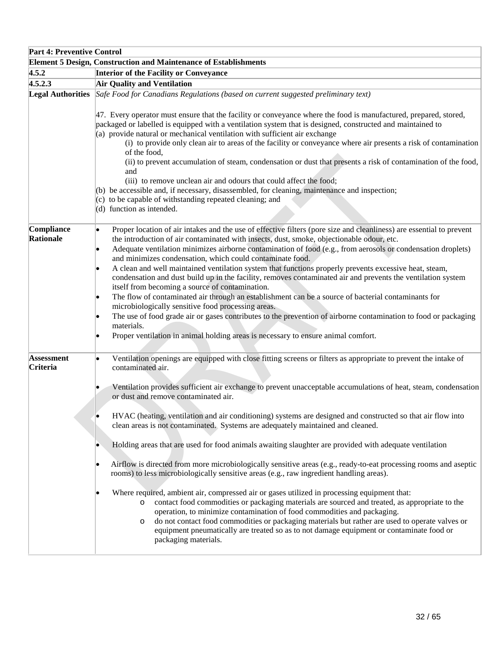| <b>Part 4: Preventive Control</b>    |                                                                                                                                                                                                                                                                                                                                                                                                                                                                                                                                                                                                                                                                                                                                                                                                                                                                                                                                                                                                                                                                                                                                                                                                                                                                                                                                                     |  |
|--------------------------------------|-----------------------------------------------------------------------------------------------------------------------------------------------------------------------------------------------------------------------------------------------------------------------------------------------------------------------------------------------------------------------------------------------------------------------------------------------------------------------------------------------------------------------------------------------------------------------------------------------------------------------------------------------------------------------------------------------------------------------------------------------------------------------------------------------------------------------------------------------------------------------------------------------------------------------------------------------------------------------------------------------------------------------------------------------------------------------------------------------------------------------------------------------------------------------------------------------------------------------------------------------------------------------------------------------------------------------------------------------------|--|
|                                      | <b>Element 5 Design, Construction and Maintenance of Establishments</b>                                                                                                                                                                                                                                                                                                                                                                                                                                                                                                                                                                                                                                                                                                                                                                                                                                                                                                                                                                                                                                                                                                                                                                                                                                                                             |  |
| 4.5.2                                | <b>Interior of the Facility or Conveyance</b>                                                                                                                                                                                                                                                                                                                                                                                                                                                                                                                                                                                                                                                                                                                                                                                                                                                                                                                                                                                                                                                                                                                                                                                                                                                                                                       |  |
| 4.5.2.3                              | <b>Air Quality and Ventilation</b>                                                                                                                                                                                                                                                                                                                                                                                                                                                                                                                                                                                                                                                                                                                                                                                                                                                                                                                                                                                                                                                                                                                                                                                                                                                                                                                  |  |
|                                      | Legal Authorities Safe Food for Canadians Regulations (based on current suggested preliminary text)<br>47. Every operator must ensure that the facility or conveyance where the food is manufactured, prepared, stored,<br>packaged or labelled is equipped with a ventilation system that is designed, constructed and maintained to<br>(a) provide natural or mechanical ventilation with sufficient air exchange<br>(i) to provide only clean air to areas of the facility or conveyance where air presents a risk of contamination<br>of the food,<br>(ii) to prevent accumulation of steam, condensation or dust that presents a risk of contamination of the food,<br>and<br>(iii) to remove unclean air and odours that could affect the food;<br>(b) be accessible and, if necessary, disassembled, for cleaning, maintenance and inspection;<br>(c) to be capable of withstanding repeated cleaning; and<br>(d) function as intended.                                                                                                                                                                                                                                                                                                                                                                                                      |  |
| Compliance<br>Rationale              | Proper location of air intakes and the use of effective filters (pore size and cleanliness) are essential to prevent<br>the introduction of air contaminated with insects, dust, smoke, objectionable odour, etc.<br>Adequate ventilation minimizes airborne contamination of food (e.g., from aerosols or condensation droplets)<br>and minimizes condensation, which could contaminate food.<br>A clean and well maintained ventilation system that functions properly prevents excessive heat, steam,<br>condensation and dust build up in the facility, removes contaminated air and prevents the ventilation system<br>itself from becoming a source of contamination.<br>The flow of contaminated air through an establishment can be a source of bacterial contaminants for<br>le.<br>microbiologically sensitive food processing areas.<br>The use of food grade air or gases contributes to the prevention of airborne contamination to food or packaging<br>materials.<br>Proper ventilation in animal holding areas is necessary to ensure animal comfort.                                                                                                                                                                                                                                                                               |  |
| <b>Assessment</b><br><b>Criteria</b> | Ventilation openings are equipped with close fitting screens or filters as appropriate to prevent the intake of<br>contaminated air.<br>Ventilation provides sufficient air exchange to prevent unacceptable accumulations of heat, steam, condensation<br>or dust and remove contaminated air.<br>HVAC (heating, ventilation and air conditioning) systems are designed and constructed so that air flow into<br>clean areas is not contaminated. Systems are adequately maintained and cleaned.<br>Holding areas that are used for food animals awaiting slaughter are provided with adequate ventilation<br>Airflow is directed from more microbiologically sensitive areas (e.g., ready-to-eat processing rooms and aseptic<br>rooms) to less microbiologically sensitive areas (e.g., raw ingredient handling areas).<br>Where required, ambient air, compressed air or gases utilized in processing equipment that:<br>contact food commodities or packaging materials are sourced and treated, as appropriate to the<br>$\circ$<br>operation, to minimize contamination of food commodities and packaging.<br>do not contact food commodities or packaging materials but rather are used to operate valves or<br>$\circ$<br>equipment pneumatically are treated so as to not damage equipment or contaminate food or<br>packaging materials. |  |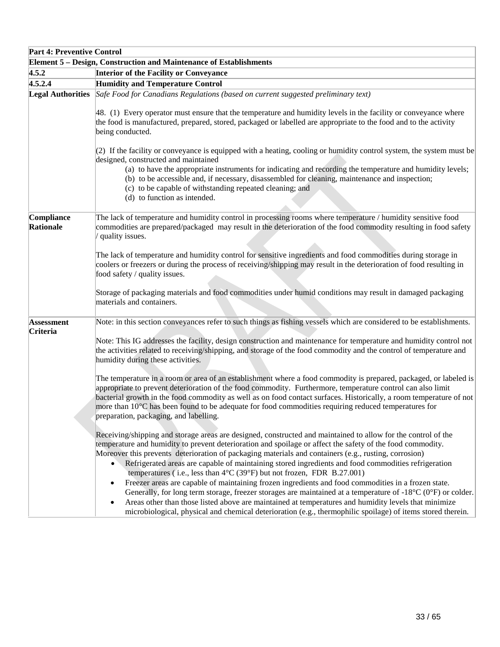| <b>Part 4: Preventive Control</b> |                                                                                                                                                                                                                                                                                                                                                                                                                                                                                                                                                                                                                                                                                                                                                                                                                                                                                                                                                                                                              |
|-----------------------------------|--------------------------------------------------------------------------------------------------------------------------------------------------------------------------------------------------------------------------------------------------------------------------------------------------------------------------------------------------------------------------------------------------------------------------------------------------------------------------------------------------------------------------------------------------------------------------------------------------------------------------------------------------------------------------------------------------------------------------------------------------------------------------------------------------------------------------------------------------------------------------------------------------------------------------------------------------------------------------------------------------------------|
|                                   | Element 5 - Design, Construction and Maintenance of Establishments                                                                                                                                                                                                                                                                                                                                                                                                                                                                                                                                                                                                                                                                                                                                                                                                                                                                                                                                           |
| 4.5.2                             | <b>Interior of the Facility or Conveyance</b>                                                                                                                                                                                                                                                                                                                                                                                                                                                                                                                                                                                                                                                                                                                                                                                                                                                                                                                                                                |
| 4.5.2.4                           | <b>Humidity and Temperature Control</b>                                                                                                                                                                                                                                                                                                                                                                                                                                                                                                                                                                                                                                                                                                                                                                                                                                                                                                                                                                      |
| <b>Legal Authorities</b>          | Safe Food for Canadians Regulations (based on current suggested preliminary text)<br>48. (1) Every operator must ensure that the temperature and humidity levels in the facility or conveyance where                                                                                                                                                                                                                                                                                                                                                                                                                                                                                                                                                                                                                                                                                                                                                                                                         |
|                                   | the food is manufactured, prepared, stored, packaged or labelled are appropriate to the food and to the activity<br>being conducted.                                                                                                                                                                                                                                                                                                                                                                                                                                                                                                                                                                                                                                                                                                                                                                                                                                                                         |
|                                   | $(2)$ If the facility or conveyance is equipped with a heating, cooling or humidity control system, the system must be<br>designed, constructed and maintained                                                                                                                                                                                                                                                                                                                                                                                                                                                                                                                                                                                                                                                                                                                                                                                                                                               |
|                                   | (a) to have the appropriate instruments for indicating and recording the temperature and humidity levels;<br>(b) to be accessible and, if necessary, disassembled for cleaning, maintenance and inspection;<br>(c) to be capable of withstanding repeated cleaning; and<br>(d) to function as intended.                                                                                                                                                                                                                                                                                                                                                                                                                                                                                                                                                                                                                                                                                                      |
| Compliance                        | The lack of temperature and humidity control in processing rooms where temperature / humidity sensitive food                                                                                                                                                                                                                                                                                                                                                                                                                                                                                                                                                                                                                                                                                                                                                                                                                                                                                                 |
| Rationale                         | commodities are prepared/packaged may result in the deterioration of the food commodity resulting in food safety<br>quality issues.                                                                                                                                                                                                                                                                                                                                                                                                                                                                                                                                                                                                                                                                                                                                                                                                                                                                          |
|                                   | The lack of temperature and humidity control for sensitive ingredients and food commodities during storage in<br>coolers or freezers or during the process of receiving/shipping may result in the deterioration of food resulting in<br>food safety / quality issues.                                                                                                                                                                                                                                                                                                                                                                                                                                                                                                                                                                                                                                                                                                                                       |
|                                   | Storage of packaging materials and food commodities under humid conditions may result in damaged packaging<br>materials and containers.                                                                                                                                                                                                                                                                                                                                                                                                                                                                                                                                                                                                                                                                                                                                                                                                                                                                      |
| <b>Assessment</b><br>Criteria     | Note: in this section conveyances refer to such things as fishing vessels which are considered to be establishments.                                                                                                                                                                                                                                                                                                                                                                                                                                                                                                                                                                                                                                                                                                                                                                                                                                                                                         |
|                                   | Note: This IG addresses the facility, design construction and maintenance for temperature and humidity control not<br>the activities related to receiving/shipping, and storage of the food commodity and the control of temperature and<br>humidity during these activities.                                                                                                                                                                                                                                                                                                                                                                                                                                                                                                                                                                                                                                                                                                                                |
|                                   | The temperature in a room or area of an establishment where a food commodity is prepared, packaged, or labeled is<br>appropriate to prevent deterioration of the food commodity. Furthermore, temperature control can also limit<br>bacterial growth in the food commodity as well as on food contact surfaces. Historically, a room temperature of not<br>more than 10 <sup>o</sup> C has been found to be adequate for food commodities requiring reduced temperatures for<br>preparation, packaging, and labelling.                                                                                                                                                                                                                                                                                                                                                                                                                                                                                       |
|                                   | Receiving/shipping and storage areas are designed, constructed and maintained to allow for the control of the<br>temperature and humidity to prevent deterioration and spoilage or affect the safety of the food commodity.<br>Moreover this prevents deterioration of packaging materials and containers (e.g., rusting, corrosion)<br>Refrigerated areas are capable of maintaining stored ingredients and food commodities refrigeration<br>$\bullet$<br>temperatures (i.e., less than 4°C (39°F) but not frozen, FDR B.27.001)<br>Freezer areas are capable of maintaining frozen ingredients and food commodities in a frozen state.<br>$\bullet$<br>Generally, for long term storage, freezer storages are maintained at a temperature of $-18^{\circ}C(0^{\circ}F)$ or colder.<br>Areas other than those listed above are maintained at temperatures and humidity levels that minimize<br>microbiological, physical and chemical deterioration (e.g., thermophilic spoilage) of items stored therein. |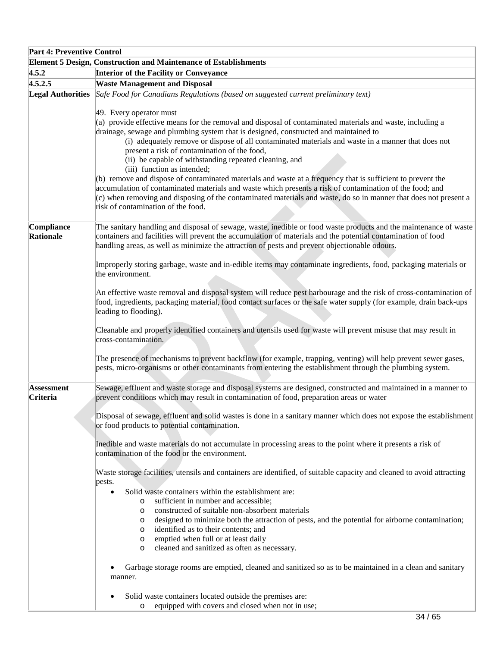| <b>Part 4: Preventive Control</b>                                       |                                                                                                                                                                                                                                                                                                                                                                                                                                                                                                                                                                                                                                                                                                                                                                                                                                       |  |
|-------------------------------------------------------------------------|---------------------------------------------------------------------------------------------------------------------------------------------------------------------------------------------------------------------------------------------------------------------------------------------------------------------------------------------------------------------------------------------------------------------------------------------------------------------------------------------------------------------------------------------------------------------------------------------------------------------------------------------------------------------------------------------------------------------------------------------------------------------------------------------------------------------------------------|--|
| <b>Element 5 Design, Construction and Maintenance of Establishments</b> |                                                                                                                                                                                                                                                                                                                                                                                                                                                                                                                                                                                                                                                                                                                                                                                                                                       |  |
| 4.5.2                                                                   | <b>Interior of the Facility or Conveyance</b>                                                                                                                                                                                                                                                                                                                                                                                                                                                                                                                                                                                                                                                                                                                                                                                         |  |
| 4.5.2.5                                                                 | <b>Waste Management and Disposal</b>                                                                                                                                                                                                                                                                                                                                                                                                                                                                                                                                                                                                                                                                                                                                                                                                  |  |
| <b>Legal Authorities</b>                                                | Safe Food for Canadians Regulations (based on suggested current preliminary text)<br>49. Every operator must                                                                                                                                                                                                                                                                                                                                                                                                                                                                                                                                                                                                                                                                                                                          |  |
|                                                                         | (a) provide effective means for the removal and disposal of contaminated materials and waste, including a<br>drainage, sewage and plumbing system that is designed, constructed and maintained to<br>(i) adequately remove or dispose of all contaminated materials and waste in a manner that does not<br>present a risk of contamination of the food,<br>(ii) be capable of withstanding repeated cleaning, and<br>(iii) function as intended;<br>(b) remove and dispose of contaminated materials and waste at a frequency that is sufficient to prevent the<br>accumulation of contaminated materials and waste which presents a risk of contamination of the food; and<br>(c) when removing and disposing of the contaminated materials and waste, do so in manner that does not present a<br>risk of contamination of the food. |  |
| Compliance<br>Rationale                                                 | The sanitary handling and disposal of sewage, waste, inedible or food waste products and the maintenance of waste<br>containers and facilities will prevent the accumulation of materials and the potential contamination of food<br>handling areas, as well as minimize the attraction of pests and prevent objectionable odours.                                                                                                                                                                                                                                                                                                                                                                                                                                                                                                    |  |
|                                                                         | Improperly storing garbage, waste and in-edible items may contaminate ingredients, food, packaging materials or<br>the environment.                                                                                                                                                                                                                                                                                                                                                                                                                                                                                                                                                                                                                                                                                                   |  |
|                                                                         | An effective waste removal and disposal system will reduce pest harbourage and the risk of cross-contamination of<br>food, ingredients, packaging material, food contact surfaces or the safe water supply (for example, drain back-ups<br>leading to flooding).                                                                                                                                                                                                                                                                                                                                                                                                                                                                                                                                                                      |  |
|                                                                         | Cleanable and properly identified containers and utensils used for waste will prevent misuse that may result in<br>cross-contamination.                                                                                                                                                                                                                                                                                                                                                                                                                                                                                                                                                                                                                                                                                               |  |
|                                                                         | The presence of mechanisms to prevent backflow (for example, trapping, venting) will help prevent sewer gases,<br>pests, micro-organisms or other contaminants from entering the establishment through the plumbing system.                                                                                                                                                                                                                                                                                                                                                                                                                                                                                                                                                                                                           |  |
| <b>Assessment</b><br><b>Criteria</b>                                    | Sewage, effluent and waste storage and disposal systems are designed, constructed and maintained in a manner to<br>prevent conditions which may result in contamination of food, preparation areas or water                                                                                                                                                                                                                                                                                                                                                                                                                                                                                                                                                                                                                           |  |
|                                                                         | Disposal of sewage, effluent and solid wastes is done in a sanitary manner which does not expose the establishment<br>or food products to potential contamination.                                                                                                                                                                                                                                                                                                                                                                                                                                                                                                                                                                                                                                                                    |  |
|                                                                         | Inedible and waste materials do not accumulate in processing areas to the point where it presents a risk of<br>contamination of the food or the environment.                                                                                                                                                                                                                                                                                                                                                                                                                                                                                                                                                                                                                                                                          |  |
|                                                                         | Waste storage facilities, utensils and containers are identified, of suitable capacity and cleaned to avoid attracting<br>pests.                                                                                                                                                                                                                                                                                                                                                                                                                                                                                                                                                                                                                                                                                                      |  |
|                                                                         | Solid waste containers within the establishment are:<br>$\bullet$                                                                                                                                                                                                                                                                                                                                                                                                                                                                                                                                                                                                                                                                                                                                                                     |  |
|                                                                         | sufficient in number and accessible;<br>$\circ$<br>constructed of suitable non-absorbent materials<br>$\circ$                                                                                                                                                                                                                                                                                                                                                                                                                                                                                                                                                                                                                                                                                                                         |  |
|                                                                         | designed to minimize both the attraction of pests, and the potential for airborne contamination;<br>$\circ$                                                                                                                                                                                                                                                                                                                                                                                                                                                                                                                                                                                                                                                                                                                           |  |
|                                                                         | identified as to their contents; and<br>$\circ$                                                                                                                                                                                                                                                                                                                                                                                                                                                                                                                                                                                                                                                                                                                                                                                       |  |
|                                                                         | emptied when full or at least daily<br>$\circ$                                                                                                                                                                                                                                                                                                                                                                                                                                                                                                                                                                                                                                                                                                                                                                                        |  |
|                                                                         | cleaned and sanitized as often as necessary.<br>$\circ$                                                                                                                                                                                                                                                                                                                                                                                                                                                                                                                                                                                                                                                                                                                                                                               |  |
|                                                                         | Garbage storage rooms are emptied, cleaned and sanitized so as to be maintained in a clean and sanitary<br>manner.                                                                                                                                                                                                                                                                                                                                                                                                                                                                                                                                                                                                                                                                                                                    |  |
|                                                                         | Solid waste containers located outside the premises are:<br>equipped with covers and closed when not in use;<br>$\circ$                                                                                                                                                                                                                                                                                                                                                                                                                                                                                                                                                                                                                                                                                                               |  |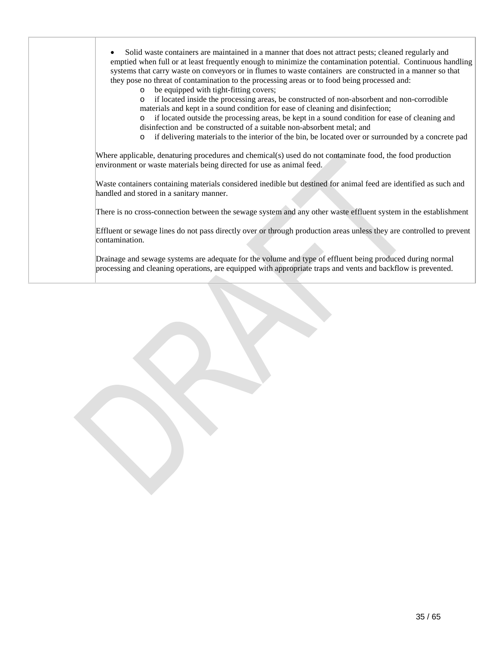|                | Solid waste containers are maintained in a manner that does not attract pests; cleaned regularly and<br>emptied when full or at least frequently enough to minimize the contamination potential. Continuous handling<br>systems that carry waste on conveyors or in flumes to waste containers are constructed in a manner so that<br>they pose no threat of contamination to the processing areas or to food being processed and: |
|----------------|------------------------------------------------------------------------------------------------------------------------------------------------------------------------------------------------------------------------------------------------------------------------------------------------------------------------------------------------------------------------------------------------------------------------------------|
| $\circ$        | be equipped with tight-fitting covers;                                                                                                                                                                                                                                                                                                                                                                                             |
| $\circ$        | if located inside the processing areas, be constructed of non-absorbent and non-corrodible<br>materials and kept in a sound condition for ease of cleaning and disinfection;                                                                                                                                                                                                                                                       |
| $\circ$        | if located outside the processing areas, be kept in a sound condition for ease of cleaning and                                                                                                                                                                                                                                                                                                                                     |
|                | disinfection and be constructed of a suitable non-absorbent metal; and                                                                                                                                                                                                                                                                                                                                                             |
| $\circ$        | if delivering materials to the interior of the bin, be located over or surrounded by a concrete pad                                                                                                                                                                                                                                                                                                                                |
|                | Where applicable, denaturing procedures and chemical(s) used do not contaminate food, the food production<br>environment or waste materials being directed for use as animal feed.                                                                                                                                                                                                                                                 |
|                | handled and stored in a sanitary manner.                                                                                                                                                                                                                                                                                                                                                                                           |
|                | Waste containers containing materials considered inedible but destined for animal feed are identified as such and<br>There is no cross-connection between the sewage system and any other waste effluent system in the establishment                                                                                                                                                                                               |
| contamination. | Effluent or sewage lines do not pass directly over or through production areas unless they are controlled to prevent                                                                                                                                                                                                                                                                                                               |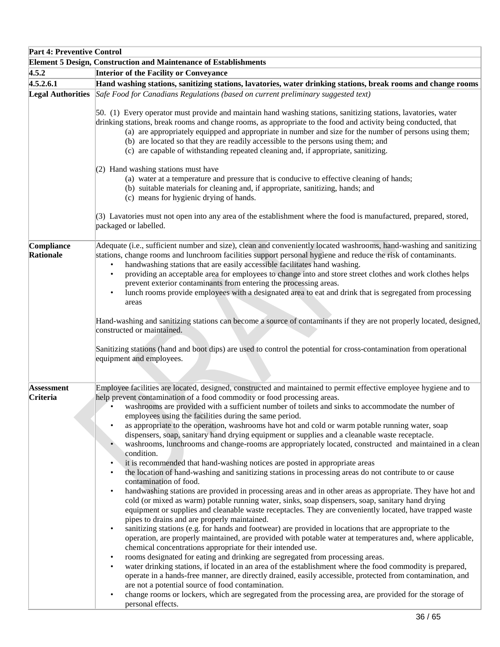| <b>Part 4: Preventive Control</b> |                                                                                                                                                                                                                                                                                                                                                                                                                                                                                                                                                                                                                                                                                                                                                                                                                                                                                                                                                                                                                                                                                                                                                                                                                                                                                                                                                       |
|-----------------------------------|-------------------------------------------------------------------------------------------------------------------------------------------------------------------------------------------------------------------------------------------------------------------------------------------------------------------------------------------------------------------------------------------------------------------------------------------------------------------------------------------------------------------------------------------------------------------------------------------------------------------------------------------------------------------------------------------------------------------------------------------------------------------------------------------------------------------------------------------------------------------------------------------------------------------------------------------------------------------------------------------------------------------------------------------------------------------------------------------------------------------------------------------------------------------------------------------------------------------------------------------------------------------------------------------------------------------------------------------------------|
|                                   | <b>Element 5 Design, Construction and Maintenance of Establishments</b>                                                                                                                                                                                                                                                                                                                                                                                                                                                                                                                                                                                                                                                                                                                                                                                                                                                                                                                                                                                                                                                                                                                                                                                                                                                                               |
| 4.5.2                             | Interior of the Facility or Conveyance                                                                                                                                                                                                                                                                                                                                                                                                                                                                                                                                                                                                                                                                                                                                                                                                                                                                                                                                                                                                                                                                                                                                                                                                                                                                                                                |
| 4.5.2.6.1                         | Hand washing stations, sanitizing stations, lavatories, water drinking stations, break rooms and change rooms                                                                                                                                                                                                                                                                                                                                                                                                                                                                                                                                                                                                                                                                                                                                                                                                                                                                                                                                                                                                                                                                                                                                                                                                                                         |
| <b>Legal Authorities</b>          | Safe Food for Canadians Regulations (based on current preliminary suggested text)                                                                                                                                                                                                                                                                                                                                                                                                                                                                                                                                                                                                                                                                                                                                                                                                                                                                                                                                                                                                                                                                                                                                                                                                                                                                     |
|                                   | 50. (1) Every operator must provide and maintain hand washing stations, sanitizing stations, lavatories, water<br>drinking stations, break rooms and change rooms, as appropriate to the food and activity being conducted, that<br>(a) are appropriately equipped and appropriate in number and size for the number of persons using them;<br>(b) are located so that they are readily accessible to the persons using them; and<br>(c) are capable of withstanding repeated cleaning and, if appropriate, sanitizing.                                                                                                                                                                                                                                                                                                                                                                                                                                                                                                                                                                                                                                                                                                                                                                                                                               |
|                                   | $(2)$ Hand washing stations must have<br>(a) water at a temperature and pressure that is conducive to effective cleaning of hands;<br>(b) suitable materials for cleaning and, if appropriate, sanitizing, hands; and<br>(c) means for hygienic drying of hands.                                                                                                                                                                                                                                                                                                                                                                                                                                                                                                                                                                                                                                                                                                                                                                                                                                                                                                                                                                                                                                                                                      |
|                                   | (3) Lavatories must not open into any area of the establishment where the food is manufactured, prepared, stored,<br>packaged or labelled.                                                                                                                                                                                                                                                                                                                                                                                                                                                                                                                                                                                                                                                                                                                                                                                                                                                                                                                                                                                                                                                                                                                                                                                                            |
| Compliance<br><b>Rationale</b>    | Adequate (i.e., sufficient number and size), clean and conveniently located washrooms, hand-washing and sanitizing<br>stations, change rooms and lunchroom facilities support personal hygiene and reduce the risk of contaminants.<br>handwashing stations that are easily accessible facilitates hand washing.<br>providing an acceptable area for employees to change into and store street clothes and work clothes helps<br>$\bullet$<br>prevent exterior contaminants from entering the processing areas.<br>lunch rooms provide employees with a designated area to eat and drink that is segregated from processing<br>areas                                                                                                                                                                                                                                                                                                                                                                                                                                                                                                                                                                                                                                                                                                                  |
|                                   | Hand-washing and sanitizing stations can become a source of contaminants if they are not properly located, designed,<br>constructed or maintained.<br>Sanitizing stations (hand and boot dips) are used to control the potential for cross-contamination from operational<br>equipment and employees.                                                                                                                                                                                                                                                                                                                                                                                                                                                                                                                                                                                                                                                                                                                                                                                                                                                                                                                                                                                                                                                 |
| <b>Assessment</b><br>Criteria     | Employee facilities are located, designed, constructed and maintained to permit effective employee hygiene and to<br>help prevent contamination of a food commodity or food processing areas.<br>washrooms are provided with a sufficient number of toilets and sinks to accommodate the number of<br>employees using the facilities during the same period.<br>as appropriate to the operation, washrooms have hot and cold or warm potable running water, soap<br>dispensers, soap, sanitary hand drying equipment or supplies and a cleanable waste receptacle.<br>washrooms, lunchrooms and change-rooms are appropriately located, constructed and maintained in a clean<br>condition.<br>it is recommended that hand-washing notices are posted in appropriate areas                                                                                                                                                                                                                                                                                                                                                                                                                                                                                                                                                                            |
|                                   | the location of hand-washing and sanitizing stations in processing areas do not contribute to or cause<br>٠<br>contamination of food.<br>handwashing stations are provided in processing areas and in other areas as appropriate. They have hot and<br>$\bullet$<br>cold (or mixed as warm) potable running water, sinks, soap dispensers, soap, sanitary hand drying<br>equipment or supplies and cleanable waste receptacles. They are conveniently located, have trapped waste<br>pipes to drains and are properly maintained.<br>sanitizing stations (e.g. for hands and footwear) are provided in locations that are appropriate to the<br>operation, are properly maintained, are provided with potable water at temperatures and, where applicable,<br>chemical concentrations appropriate for their intended use.<br>rooms designated for eating and drinking are segregated from processing areas.<br>$\bullet$<br>water drinking stations, if located in an area of the establishment where the food commodity is prepared,<br>$\bullet$<br>operate in a hands-free manner, are directly drained, easily accessible, protected from contamination, and<br>are not a potential source of food contamination.<br>change rooms or lockers, which are segregated from the processing area, are provided for the storage of<br>personal effects. |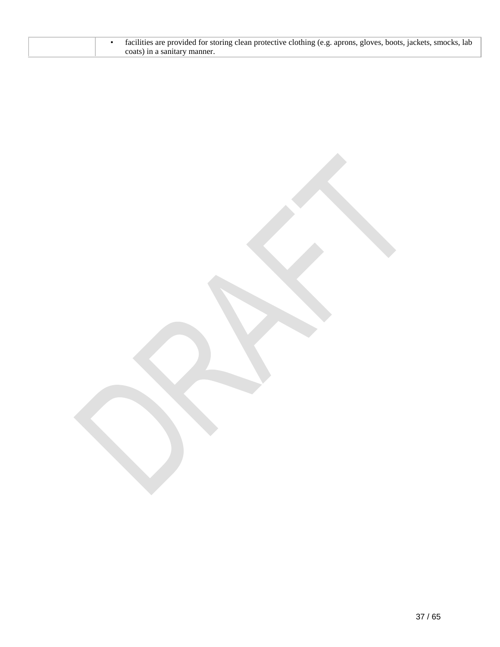| facilities are provided for storing clean protective clothing (e.g. aprons, gloves, boots, jackets, smocks, lab<br>coats) in a sanitary manner. |  |  |
|-------------------------------------------------------------------------------------------------------------------------------------------------|--|--|
|-------------------------------------------------------------------------------------------------------------------------------------------------|--|--|

37 / 65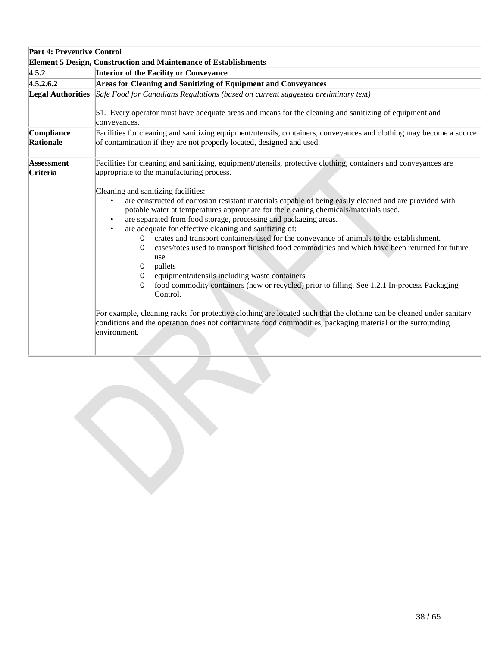| <b>Part 4: Preventive Control</b> |                                                                                                                                                                                                                                                                                                                                                                                                                                                                                                                                                                                                                                                                                                                                                                                                                                                                                                                                                                                                                                                                                                                                                                                                               |
|-----------------------------------|---------------------------------------------------------------------------------------------------------------------------------------------------------------------------------------------------------------------------------------------------------------------------------------------------------------------------------------------------------------------------------------------------------------------------------------------------------------------------------------------------------------------------------------------------------------------------------------------------------------------------------------------------------------------------------------------------------------------------------------------------------------------------------------------------------------------------------------------------------------------------------------------------------------------------------------------------------------------------------------------------------------------------------------------------------------------------------------------------------------------------------------------------------------------------------------------------------------|
|                                   | <b>Element 5 Design, Construction and Maintenance of Establishments</b>                                                                                                                                                                                                                                                                                                                                                                                                                                                                                                                                                                                                                                                                                                                                                                                                                                                                                                                                                                                                                                                                                                                                       |
| 4.5.2                             | <b>Interior of the Facility or Conveyance</b>                                                                                                                                                                                                                                                                                                                                                                                                                                                                                                                                                                                                                                                                                                                                                                                                                                                                                                                                                                                                                                                                                                                                                                 |
| 4.5.2.6.2                         | Areas for Cleaning and Sanitizing of Equipment and Conveyances                                                                                                                                                                                                                                                                                                                                                                                                                                                                                                                                                                                                                                                                                                                                                                                                                                                                                                                                                                                                                                                                                                                                                |
| <b>Legal Authorities</b>          | Safe Food for Canadians Regulations (based on current suggested preliminary text)<br>51. Every operator must have adequate areas and means for the cleaning and sanitizing of equipment and<br>conveyances.                                                                                                                                                                                                                                                                                                                                                                                                                                                                                                                                                                                                                                                                                                                                                                                                                                                                                                                                                                                                   |
| Compliance<br>Rationale           | Facilities for cleaning and sanitizing equipment/utensils, containers, conveyances and clothing may become a source<br>of contamination if they are not properly located, designed and used.                                                                                                                                                                                                                                                                                                                                                                                                                                                                                                                                                                                                                                                                                                                                                                                                                                                                                                                                                                                                                  |
| <b>Assessment</b><br>Criteria     | Facilities for cleaning and sanitizing, equipment/utensils, protective clothing, containers and conveyances are<br>appropriate to the manufacturing process.<br>Cleaning and sanitizing facilities:<br>are constructed of corrosion resistant materials capable of being easily cleaned and are provided with<br>potable water at temperatures appropriate for the cleaning chemicals/materials used.<br>are separated from food storage, processing and packaging areas.<br>are adequate for effective cleaning and sanitizing of:<br>crates and transport containers used for the conveyance of animals to the establishment.<br>$\Omega$<br>cases/totes used to transport finished food commodities and which have been returned for future<br>$\Omega$<br>use<br>pallets<br>0<br>equipment/utensils including waste containers<br>0<br>food commodity containers (new or recycled) prior to filling. See 1.2.1 In-process Packaging<br>O<br>Control.<br>For example, cleaning racks for protective clothing are located such that the clothing can be cleaned under sanitary<br>conditions and the operation does not contaminate food commodities, packaging material or the surrounding<br>environment. |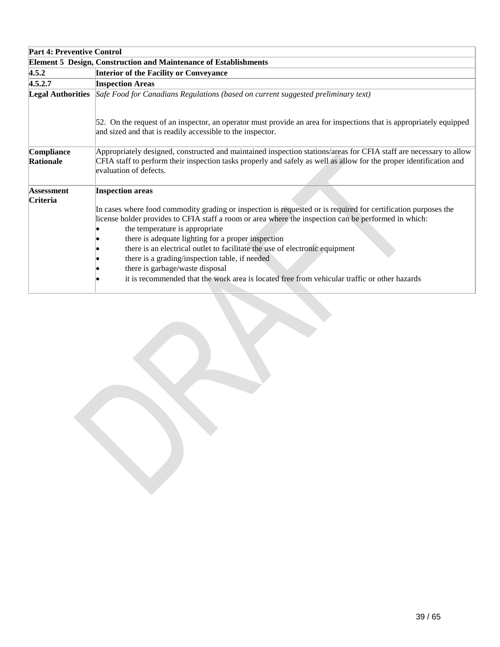| <b>Part 4: Preventive Control</b> |                                                                                                                                                                                                                                                                     |  |
|-----------------------------------|---------------------------------------------------------------------------------------------------------------------------------------------------------------------------------------------------------------------------------------------------------------------|--|
|                                   | <b>Element 5 Design, Construction and Maintenance of Establishments</b>                                                                                                                                                                                             |  |
| 4.5.2                             | <b>Interior of the Facility or Conveyance</b>                                                                                                                                                                                                                       |  |
| 4.5.2.7                           | <b>Inspection Areas</b>                                                                                                                                                                                                                                             |  |
|                                   | Legal Authorities Safe Food for Canadians Regulations (based on current suggested preliminary text)                                                                                                                                                                 |  |
|                                   | 52. On the request of an inspector, an operator must provide an area for inspections that is appropriately equipped<br>and sized and that is readily accessible to the inspector.                                                                                   |  |
| Compliance<br>Rationale           | Appropriately designed, constructed and maintained inspection stations/areas for CFIA staff are necessary to allow<br>CFIA staff to perform their inspection tasks properly and safely as well as allow for the proper identification and<br>evaluation of defects. |  |
| Assessment                        | <b>Inspection areas</b>                                                                                                                                                                                                                                             |  |
| Criteria                          | In cases where food commodity grading or inspection is requested or is required for certification purposes the                                                                                                                                                      |  |
|                                   | license holder provides to CFIA staff a room or area where the inspection can be performed in which:                                                                                                                                                                |  |
|                                   | the temperature is appropriate                                                                                                                                                                                                                                      |  |
|                                   | there is adequate lighting for a proper inspection                                                                                                                                                                                                                  |  |
|                                   | there is an electrical outlet to facilitate the use of electronic equipment                                                                                                                                                                                         |  |
|                                   | there is a grading/inspection table, if needed                                                                                                                                                                                                                      |  |
|                                   | there is garbage/waste disposal                                                                                                                                                                                                                                     |  |
|                                   | it is recommended that the work area is located free from vehicular traffic or other hazards                                                                                                                                                                        |  |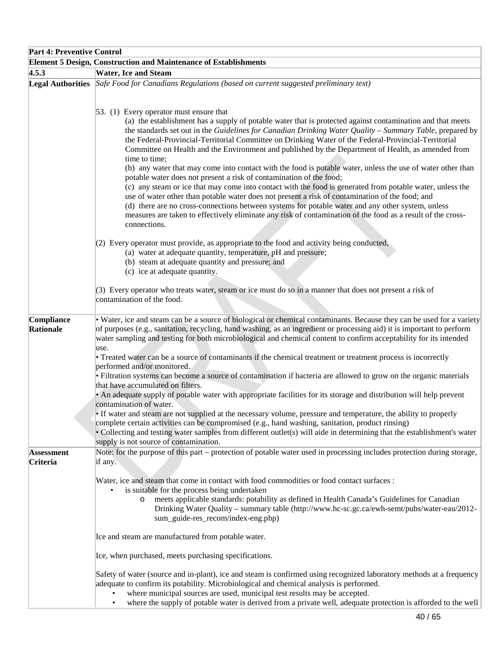| <b>Part 4: Preventive Control</b> |                                                                                                                                                                                                                                                                                                                                                                                                                                                                                                                                                                                                                                                                                           |
|-----------------------------------|-------------------------------------------------------------------------------------------------------------------------------------------------------------------------------------------------------------------------------------------------------------------------------------------------------------------------------------------------------------------------------------------------------------------------------------------------------------------------------------------------------------------------------------------------------------------------------------------------------------------------------------------------------------------------------------------|
|                                   | <b>Element 5 Design, Construction and Maintenance of Establishments</b>                                                                                                                                                                                                                                                                                                                                                                                                                                                                                                                                                                                                                   |
| 4.5.3                             | <b>Water, Ice and Steam</b>                                                                                                                                                                                                                                                                                                                                                                                                                                                                                                                                                                                                                                                               |
|                                   | Legal Authorities Safe Food for Canadians Regulations (based on current suggested preliminary text)                                                                                                                                                                                                                                                                                                                                                                                                                                                                                                                                                                                       |
|                                   | $[53. (1)$ Every operator must ensure that<br>(a) the establishment has a supply of potable water that is protected against contamination and that meets<br>the standards set out in the Guidelines for Canadian Drinking Water Quality – Summary Table, prepared by<br>the Federal-Provincial-Territorial Committee on Drinking Water of the Federal-Provincial-Territorial<br>Committee on Health and the Environment and published by the Department of Health, as amended from<br>time to time;<br>(b) any water that may come into contact with the food is potable water, unless the use of water other than<br>potable water does not present a risk of contamination of the food; |
|                                   | (c) any steam or ice that may come into contact with the food is generated from potable water, unless the<br>use of water other than potable water does not present a risk of contamination of the food; and<br>(d) there are no cross-connections between systems for potable water and any other system, unless<br>measures are taken to effectively eliminate any risk of contamination of the food as a result of the cross-<br>connections.                                                                                                                                                                                                                                          |
|                                   | (2) Every operator must provide, as appropriate to the food and activity being conducted,<br>(a) water at adequate quantity, temperature, pH and pressure;<br>(b) steam at adequate quantity and pressure; and<br>(c) ice at adequate quantity.                                                                                                                                                                                                                                                                                                                                                                                                                                           |
|                                   | (3) Every operator who treats water, steam or ice must do so in a manner that does not present a risk of<br>contamination of the food.                                                                                                                                                                                                                                                                                                                                                                                                                                                                                                                                                    |
| Compliance<br>Rationale           | • Water, ice and steam can be a source of biological or chemical contaminants. Because they can be used for a variety<br>of purposes (e.g., sanitation, recycling, hand washing, as an ingredient or processing aid) it is important to perform<br>water sampling and testing for both microbiological and chemical content to confirm acceptability for its intended<br>use.                                                                                                                                                                                                                                                                                                             |
|                                   | • Treated water can be a source of contaminants if the chemical treatment or treatment process is incorrectly<br>performed and/or monitored.<br>• Filtration systems can become a source of contamination if bacteria are allowed to grow on the organic materials<br>that have accumulated on filters.                                                                                                                                                                                                                                                                                                                                                                                   |
|                                   | • An adequate supply of potable water with appropriate facilities for its storage and distribution will help prevent<br>contamination of water.<br>• If water and steam are not supplied at the necessary volume, pressure and temperature, the ability to properly                                                                                                                                                                                                                                                                                                                                                                                                                       |
|                                   | complete certain activities can be compromised (e.g., hand washing, sanitation, product rinsing)<br>• Collecting and testing water samples from different outlet(s) will aide in determining that the establishment's water<br>supply is not source of contamination.                                                                                                                                                                                                                                                                                                                                                                                                                     |
| <b>Assessment</b><br>Criteria     | Note: for the purpose of this part – protection of potable water used in processing includes protection during storage,<br>if any.                                                                                                                                                                                                                                                                                                                                                                                                                                                                                                                                                        |
|                                   | Water, ice and steam that come in contact with food commodities or food contact surfaces :<br>is suitable for the process being undertaken<br>meets applicable standards: potability as defined in Health Canada's Guidelines for Canadian<br>$\circ$<br>Drinking Water Quality – summary table (http://www.hc-sc.gc.ca/ewh-semt/pubs/water-eau/2012-<br>sum_guide-res_recom/index-eng.php)                                                                                                                                                                                                                                                                                               |
|                                   | Ice and steam are manufactured from potable water.                                                                                                                                                                                                                                                                                                                                                                                                                                                                                                                                                                                                                                        |
|                                   | Ice, when purchased, meets purchasing specifications.                                                                                                                                                                                                                                                                                                                                                                                                                                                                                                                                                                                                                                     |
|                                   | Safety of water (source and in-plant), ice and steam is confirmed using recognized laboratory methods at a frequency<br>adequate to confirm its potability. Microbiological and chemical analysis is performed.<br>where municipal sources are used, municipal test results may be accepted.<br>where the supply of potable water is derived from a private well, adequate protection is afforded to the well<br>$\bullet$                                                                                                                                                                                                                                                                |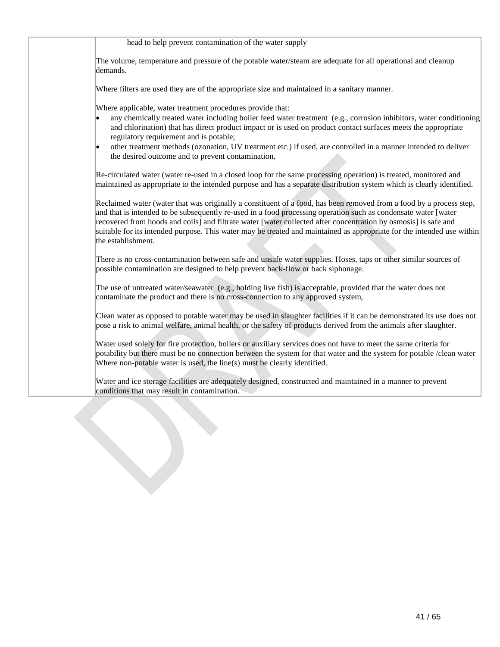head to help prevent contamination of the water supply

The volume, temperature and pressure of the potable water/steam are adequate for all operational and cleanup demands.

Where filters are used they are of the appropriate size and maintained in a sanitary manner.

Where applicable, water treatment procedures provide that:

- any chemically treated water including boiler feed water treatment (e.g., corrosion inhibitors, water conditioning and chlorination) that has direct product impact or is used on product contact surfaces meets the appropriate regulatory requirement and is potable;
- other treatment methods (ozonation, UV treatment etc.) if used, are controlled in a manner intended to deliver the desired outcome and to prevent contamination.

Re-circulated water (water re-used in a closed loop for the same processing operation) is treated, monitored and maintained as appropriate to the intended purpose and has a separate distribution system which is clearly identified.

Reclaimed water (water that was originally a constituent of a food, has been removed from a food by a process step, and that is intended to be subsequently re-used in a food processing operation such as condensate water [water recovered from hoods and coils] and filtrate water [water collected after concentration by osmosis] is safe and suitable for its intended purpose. This water may be treated and maintained as appropriate for the intended use within the establishment.

There is no cross-contamination between safe and unsafe water supplies. Hoses, taps or other similar sources of possible contamination are designed to help prevent back-flow or back siphonage.

The use of untreated water/seawater (e.g., holding live fish) is acceptable, provided that the water does not contaminate the product and there is no cross-connection to any approved system,

Clean water as opposed to potable water may be used in slaughter facilities if it can be demonstrated its use does not pose a risk to animal welfare, animal health, or the safety of products derived from the animals after slaughter.

Water used solely for fire protection, boilers or auxiliary services does not have to meet the same criteria for potability but there must be no connection between the system for that water and the system for potable /clean water Where non-potable water is used, the line(s) must be clearly identified.

Water and ice storage facilities are adequately designed, constructed and maintained in a manner to prevent conditions that may result in contamination.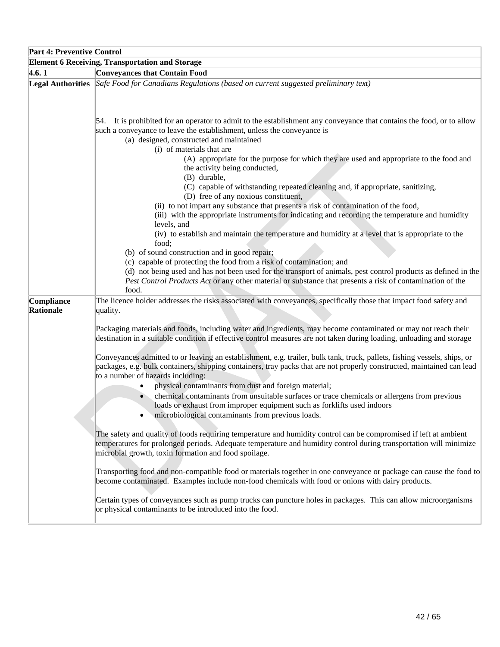| <b>Part 4: Preventive Control</b> |                                                                                                                                                                                                                                                                                                                                                                                                                                                                                                                             |
|-----------------------------------|-----------------------------------------------------------------------------------------------------------------------------------------------------------------------------------------------------------------------------------------------------------------------------------------------------------------------------------------------------------------------------------------------------------------------------------------------------------------------------------------------------------------------------|
|                                   | <b>Element 6 Receiving, Transportation and Storage</b>                                                                                                                                                                                                                                                                                                                                                                                                                                                                      |
| 4.6.1                             | <b>Conveyances that Contain Food</b>                                                                                                                                                                                                                                                                                                                                                                                                                                                                                        |
|                                   | Legal Authorities Safe Food for Canadians Regulations (based on current suggested preliminary text)                                                                                                                                                                                                                                                                                                                                                                                                                         |
|                                   | 54. It is prohibited for an operator to admit to the establishment any conveyance that contains the food, or to allow<br>such a conveyance to leave the establishment, unless the conveyance is<br>(a) designed, constructed and maintained                                                                                                                                                                                                                                                                                 |
|                                   | (i) of materials that are<br>(A) appropriate for the purpose for which they are used and appropriate to the food and<br>the activity being conducted,<br>(B) durable,                                                                                                                                                                                                                                                                                                                                                       |
|                                   | (C) capable of withstanding repeated cleaning and, if appropriate, sanitizing,<br>(D) free of any noxious constituent,                                                                                                                                                                                                                                                                                                                                                                                                      |
|                                   | (ii) to not impart any substance that presents a risk of contamination of the food,<br>(iii) with the appropriate instruments for indicating and recording the temperature and humidity<br>levels, and                                                                                                                                                                                                                                                                                                                      |
|                                   | (iv) to establish and maintain the temperature and humidity at a level that is appropriate to the<br>food;<br>(b) of sound construction and in good repair;                                                                                                                                                                                                                                                                                                                                                                 |
|                                   | (c) capable of protecting the food from a risk of contamination; and<br>(d) not being used and has not been used for the transport of animals, pest control products as defined in the<br>Pest Control Products Act or any other material or substance that presents a risk of contamination of the<br>food.                                                                                                                                                                                                                |
| Compliance<br><b>Rationale</b>    | The licence holder addresses the risks associated with conveyances, specifically those that impact food safety and<br>quality.                                                                                                                                                                                                                                                                                                                                                                                              |
|                                   | Packaging materials and foods, including water and ingredients, may become contaminated or may not reach their<br>destination in a suitable condition if effective control measures are not taken during loading, unloading and storage                                                                                                                                                                                                                                                                                     |
|                                   | Conveyances admitted to or leaving an establishment, e.g. trailer, bulk tank, truck, pallets, fishing vessels, ships, or<br>packages, e.g. bulk containers, shipping containers, tray packs that are not properly constructed, maintained can lead<br>to a number of hazards including:<br>physical contaminants from dust and foreign material;<br>chemical contaminants from unsuitable surfaces or trace chemicals or allergens from previous<br>loads or exhaust from improper equipment such as forklifts used indoors |
|                                   | microbiological contaminants from previous loads.<br>The safety and quality of foods requiring temperature and humidity control can be compromised if left at ambient<br>temperatures for prolonged periods. Adequate temperature and humidity control during transportation will minimize                                                                                                                                                                                                                                  |
|                                   | microbial growth, toxin formation and food spoilage.<br>Transporting food and non-compatible food or materials together in one conveyance or package can cause the food to                                                                                                                                                                                                                                                                                                                                                  |
|                                   | become contaminated. Examples include non-food chemicals with food or onions with dairy products.<br>Certain types of conveyances such as pump trucks can puncture holes in packages. This can allow microorganisms<br>or physical contaminants to be introduced into the food.                                                                                                                                                                                                                                             |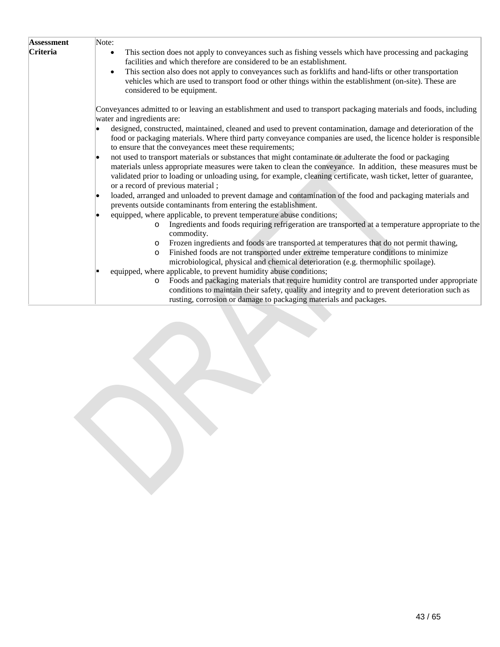| <b>Assessment</b> | Note:                                                                                                                                                                                                                                                                                                                                                                                                                                                                                             |
|-------------------|---------------------------------------------------------------------------------------------------------------------------------------------------------------------------------------------------------------------------------------------------------------------------------------------------------------------------------------------------------------------------------------------------------------------------------------------------------------------------------------------------|
| <b>Criteria</b>   | This section does not apply to conveyances such as fishing vessels which have processing and packaging<br>$\bullet$<br>facilities and which therefore are considered to be an establishment.                                                                                                                                                                                                                                                                                                      |
|                   | This section also does not apply to conveyances such as forklifts and hand-lifts or other transportation<br>$\bullet$<br>vehicles which are used to transport food or other things within the establishment (on-site). These are<br>considered to be equipment.                                                                                                                                                                                                                                   |
|                   | Conveyances admitted to or leaving an establishment and used to transport packaging materials and foods, including<br>water and ingredients are:                                                                                                                                                                                                                                                                                                                                                  |
|                   | designed, constructed, maintained, cleaned and used to prevent contamination, damage and deterioration of the<br>food or packaging materials. Where third party conveyance companies are used, the licence holder is responsible<br>to ensure that the conveyances meet these requirements;                                                                                                                                                                                                       |
|                   | not used to transport materials or substances that might contaminate or adulterate the food or packaging<br>lo<br>materials unless appropriate measures were taken to clean the conveyance. In addition, these measures must be<br>validated prior to loading or unloading using, for example, cleaning certificate, wash ticket, letter of guarantee,<br>or a record of previous material;                                                                                                       |
|                   | loaded, arranged and unloaded to prevent damage and contamination of the food and packaging materials and<br>prevents outside contaminants from entering the establishment.                                                                                                                                                                                                                                                                                                                       |
|                   | equipped, where applicable, to prevent temperature abuse conditions;<br>Ingredients and foods requiring refrigeration are transported at a temperature appropriate to the<br>$\circ$<br>commodity.<br>Frozen ingredients and foods are transported at temperatures that do not permit thawing,<br>$\circ$<br>Finished foods are not transported under extreme temperature conditions to minimize<br>$\circ$<br>microbiological, physical and chemical deterioration (e.g. thermophilic spoilage). |
|                   | equipped, where applicable, to prevent humidity abuse conditions;<br>Foods and packaging materials that require humidity control are transported under appropriate<br>$\circ$<br>conditions to maintain their safety, quality and integrity and to prevent deterioration such as<br>rusting, corrosion or damage to packaging materials and packages.                                                                                                                                             |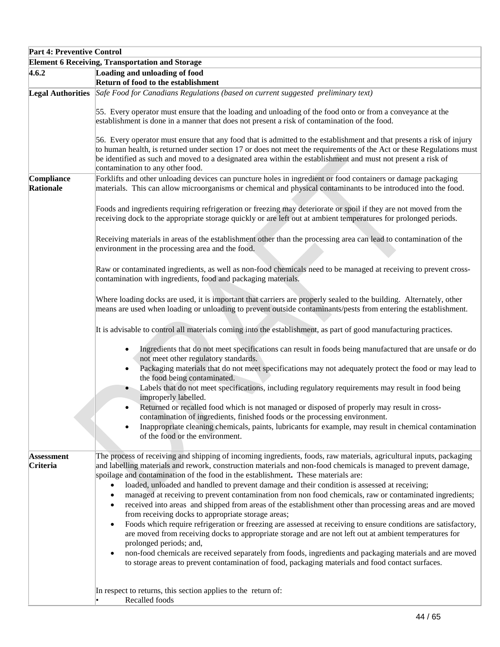| <b>Part 4: Preventive Control</b> |                                                                                                                                                                                                                                                                                                                                                                                                                                                                                                                                                                                                                                                                                    |
|-----------------------------------|------------------------------------------------------------------------------------------------------------------------------------------------------------------------------------------------------------------------------------------------------------------------------------------------------------------------------------------------------------------------------------------------------------------------------------------------------------------------------------------------------------------------------------------------------------------------------------------------------------------------------------------------------------------------------------|
|                                   | <b>Element 6 Receiving, Transportation and Storage</b>                                                                                                                                                                                                                                                                                                                                                                                                                                                                                                                                                                                                                             |
| 4.6.2                             | Loading and unloading of food                                                                                                                                                                                                                                                                                                                                                                                                                                                                                                                                                                                                                                                      |
|                                   | Return of food to the establishment                                                                                                                                                                                                                                                                                                                                                                                                                                                                                                                                                                                                                                                |
|                                   | Legal Authorities Safe Food for Canadians Regulations (based on current suggested preliminary text)                                                                                                                                                                                                                                                                                                                                                                                                                                                                                                                                                                                |
|                                   | 55. Every operator must ensure that the loading and unloading of the food onto or from a conveyance at the<br>establishment is done in a manner that does not present a risk of contamination of the food.                                                                                                                                                                                                                                                                                                                                                                                                                                                                         |
|                                   | 56. Every operator must ensure that any food that is admitted to the establishment and that presents a risk of injury<br>to human health, is returned under section 17 or does not meet the requirements of the Act or these Regulations must<br>be identified as such and moved to a designated area within the establishment and must not present a risk of<br>contamination to any other food.                                                                                                                                                                                                                                                                                  |
| Compliance<br>Rationale           | Forklifts and other unloading devices can puncture holes in ingredient or food containers or damage packaging<br>materials. This can allow microorganisms or chemical and physical contaminants to be introduced into the food.                                                                                                                                                                                                                                                                                                                                                                                                                                                    |
|                                   | Foods and ingredients requiring refrigeration or freezing may deteriorate or spoil if they are not moved from the<br>receiving dock to the appropriate storage quickly or are left out at ambient temperatures for prolonged periods.                                                                                                                                                                                                                                                                                                                                                                                                                                              |
|                                   | Receiving materials in areas of the establishment other than the processing area can lead to contamination of the<br>environment in the processing area and the food.                                                                                                                                                                                                                                                                                                                                                                                                                                                                                                              |
|                                   | Raw or contaminated ingredients, as well as non-food chemicals need to be managed at receiving to prevent cross-<br>contamination with ingredients, food and packaging materials.                                                                                                                                                                                                                                                                                                                                                                                                                                                                                                  |
|                                   | Where loading docks are used, it is important that carriers are properly sealed to the building. Alternately, other<br>means are used when loading or unloading to prevent outside contaminants/pests from entering the establishment.                                                                                                                                                                                                                                                                                                                                                                                                                                             |
|                                   | It is advisable to control all materials coming into the establishment, as part of good manufacturing practices.                                                                                                                                                                                                                                                                                                                                                                                                                                                                                                                                                                   |
|                                   | Ingredients that do not meet specifications can result in foods being manufactured that are unsafe or do<br>$\bullet$<br>not meet other regulatory standards.                                                                                                                                                                                                                                                                                                                                                                                                                                                                                                                      |
|                                   | Packaging materials that do not meet specifications may not adequately protect the food or may lead to<br>$\bullet$<br>the food being contaminated.<br>Labels that do not meet specifications, including regulatory requirements may result in food being<br>$\bullet$                                                                                                                                                                                                                                                                                                                                                                                                             |
|                                   | improperly labelled.<br>Returned or recalled food which is not managed or disposed of properly may result in cross-<br>$\bullet$                                                                                                                                                                                                                                                                                                                                                                                                                                                                                                                                                   |
|                                   | contamination of ingredients, finished foods or the processing environment.<br>Inappropriate cleaning chemicals, paints, lubricants for example, may result in chemical contamination<br>of the food or the environment.                                                                                                                                                                                                                                                                                                                                                                                                                                                           |
| <b>Assessment</b><br>Criteria     | The process of receiving and shipping of incoming ingredients, foods, raw materials, agricultural inputs, packaging<br>and labelling materials and rework, construction materials and non-food chemicals is managed to prevent damage,<br>spoilage and contamination of the food in the establishment. These materials are:<br>loaded, unloaded and handled to prevent damage and their condition is assessed at receiving;<br>$\bullet$<br>managed at receiving to prevent contamination from non food chemicals, raw or contaminated ingredients;<br>$\bullet$<br>received into areas and shipped from areas of the establishment other than processing areas and are moved<br>٠ |
|                                   | from receiving docks to appropriate storage areas;<br>Foods which require refrigeration or freezing are assessed at receiving to ensure conditions are satisfactory,<br>$\bullet$<br>are moved from receiving docks to appropriate storage and are not left out at ambient temperatures for<br>prolonged periods; and,<br>non-food chemicals are received separately from foods, ingredients and packaging materials and are moved<br>٠<br>to storage areas to prevent contamination of food, packaging materials and food contact surfaces.                                                                                                                                       |
|                                   | In respect to returns, this section applies to the return of:<br>Recalled foods                                                                                                                                                                                                                                                                                                                                                                                                                                                                                                                                                                                                    |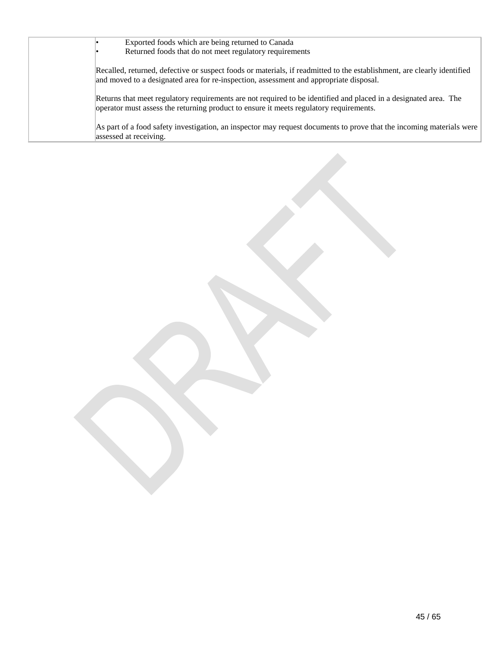| Exported foods which are being returned to Canada                                                                                                                                                                 |
|-------------------------------------------------------------------------------------------------------------------------------------------------------------------------------------------------------------------|
| Returned foods that do not meet regulatory requirements                                                                                                                                                           |
| Recalled, returned, defective or suspect foods or materials, if readmitted to the establishment, are clearly identified<br>and moved to a designated area for re-inspection, assessment and appropriate disposal. |
| Returns that meet regulatory requirements are not required to be identified and placed in a designated area. The<br>operator must assess the returning product to ensure it meets regulatory requirements.        |
| As part of a food safety investigation, an inspector may request documents to prove that the incoming materials were<br>assessed at receiving.                                                                    |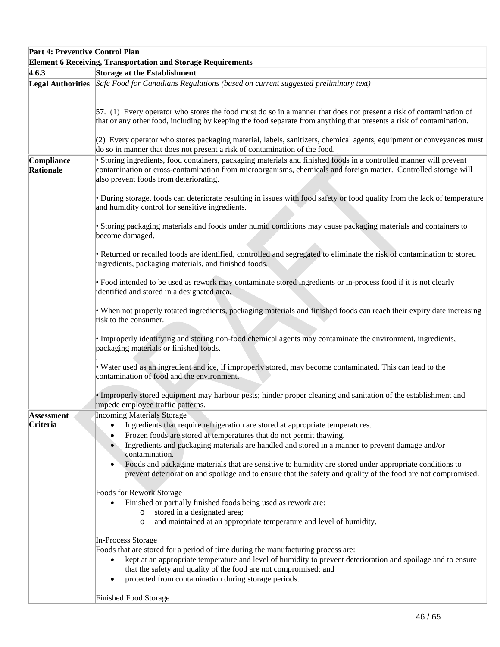| <b>Part 4: Preventive Control Plan</b> |                                                                                                                                                                                                                                                                                                                                                                                                                                                 |
|----------------------------------------|-------------------------------------------------------------------------------------------------------------------------------------------------------------------------------------------------------------------------------------------------------------------------------------------------------------------------------------------------------------------------------------------------------------------------------------------------|
|                                        | <b>Element 6 Receiving, Transportation and Storage Requirements</b>                                                                                                                                                                                                                                                                                                                                                                             |
| 4.6.3                                  | Storage at the Establishment                                                                                                                                                                                                                                                                                                                                                                                                                    |
|                                        | Legal Authorities Safe Food for Canadians Regulations (based on current suggested preliminary text)                                                                                                                                                                                                                                                                                                                                             |
|                                        | 57. (1) Every operator who stores the food must do so in a manner that does not present a risk of contamination of<br>that or any other food, including by keeping the food separate from anything that presents a risk of contamination.<br>(2) Every operator who stores packaging material, labels, sanitizers, chemical agents, equipment or conveyances must<br>do so in manner that does not present a risk of contamination of the food. |
| Compliance                             | • Storing ingredients, food containers, packaging materials and finished foods in a controlled manner will prevent                                                                                                                                                                                                                                                                                                                              |
| Rationale                              | contamination or cross-contamination from microorganisms, chemicals and foreign matter. Controlled storage will<br>also prevent foods from deteriorating.                                                                                                                                                                                                                                                                                       |
|                                        | • During storage, foods can deteriorate resulting in issues with food safety or food quality from the lack of temperature<br>and humidity control for sensitive ingredients.                                                                                                                                                                                                                                                                    |
|                                        | • Storing packaging materials and foods under humid conditions may cause packaging materials and containers to<br>become damaged.                                                                                                                                                                                                                                                                                                               |
|                                        | • Returned or recalled foods are identified, controlled and segregated to eliminate the risk of contamination to stored<br>ingredients, packaging materials, and finished foods.                                                                                                                                                                                                                                                                |
|                                        | • Food intended to be used as rework may contaminate stored ingredients or in-process food if it is not clearly<br>identified and stored in a designated area.                                                                                                                                                                                                                                                                                  |
|                                        | • When not properly rotated ingredients, packaging materials and finished foods can reach their expiry date increasing<br>risk to the consumer.                                                                                                                                                                                                                                                                                                 |
|                                        | · Improperly identifying and storing non-food chemical agents may contaminate the environment, ingredients,<br>packaging materials or finished foods.                                                                                                                                                                                                                                                                                           |
|                                        | • Water used as an ingredient and ice, if improperly stored, may become contaminated. This can lead to the<br>contamination of food and the environment.                                                                                                                                                                                                                                                                                        |
|                                        | • Improperly stored equipment may harbour pests; hinder proper cleaning and sanitation of the establishment and<br>impede employee traffic patterns.                                                                                                                                                                                                                                                                                            |
| <b>Assessment</b>                      | <b>Incoming Materials Storage</b>                                                                                                                                                                                                                                                                                                                                                                                                               |
| Criteria                               | Ingredients that require refrigeration are stored at appropriate temperatures.                                                                                                                                                                                                                                                                                                                                                                  |
|                                        | Frozen foods are stored at temperatures that do not permit thawing.<br>$\bullet$<br>Ingredients and packaging materials are handled and stored in a manner to prevent damage and/or<br>$\bullet$<br>contamination.                                                                                                                                                                                                                              |
|                                        | Foods and packaging materials that are sensitive to humidity are stored under appropriate conditions to<br>$\bullet$<br>prevent deterioration and spoilage and to ensure that the safety and quality of the food are not compromised.                                                                                                                                                                                                           |
|                                        | Foods for Rework Storage                                                                                                                                                                                                                                                                                                                                                                                                                        |
|                                        | Finished or partially finished foods being used as rework are:                                                                                                                                                                                                                                                                                                                                                                                  |
|                                        | stored in a designated area;<br>$\circ$<br>and maintained at an appropriate temperature and level of humidity.<br>$\circ$                                                                                                                                                                                                                                                                                                                       |
|                                        | <b>In-Process Storage</b>                                                                                                                                                                                                                                                                                                                                                                                                                       |
|                                        | Foods that are stored for a period of time during the manufacturing process are:                                                                                                                                                                                                                                                                                                                                                                |
|                                        | kept at an appropriate temperature and level of humidity to prevent deterioration and spoilage and to ensure                                                                                                                                                                                                                                                                                                                                    |
|                                        | that the safety and quality of the food are not compromised; and                                                                                                                                                                                                                                                                                                                                                                                |
|                                        | protected from contamination during storage periods.                                                                                                                                                                                                                                                                                                                                                                                            |
|                                        | Finished Food Storage                                                                                                                                                                                                                                                                                                                                                                                                                           |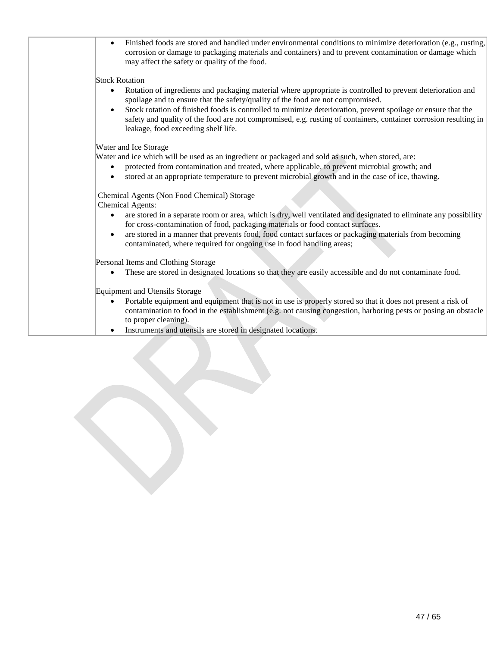| Finished foods are stored and handled under environmental conditions to minimize deterioration (e.g., rusting,<br>$\bullet$<br>corrosion or damage to packaging materials and containers) and to prevent contamination or damage which<br>may affect the safety or quality of the food. |
|-----------------------------------------------------------------------------------------------------------------------------------------------------------------------------------------------------------------------------------------------------------------------------------------|
| <b>Stock Rotation</b>                                                                                                                                                                                                                                                                   |
| Rotation of ingredients and packaging material where appropriate is controlled to prevent deterioration and<br>spoilage and to ensure that the safety/quality of the food are not compromised.                                                                                          |
| Stock rotation of finished foods is controlled to minimize deterioration, prevent spoilage or ensure that the<br>safety and quality of the food are not compromised, e.g. rusting of containers, container corrosion resulting in<br>leakage, food exceeding shelf life.                |
| Water and Ice Storage                                                                                                                                                                                                                                                                   |
| Water and ice which will be used as an ingredient or packaged and sold as such, when stored, are:                                                                                                                                                                                       |
| protected from contamination and treated, where applicable, to prevent microbial growth; and<br>$\bullet$<br>stored at an appropriate temperature to prevent microbial growth and in the case of ice, thawing.                                                                          |
| Chemical Agents (Non Food Chemical) Storage<br><b>Chemical Agents:</b>                                                                                                                                                                                                                  |
| are stored in a separate room or area, which is dry, well ventilated and designated to eliminate any possibility<br>٠<br>for cross-contamination of food, packaging materials or food contact surfaces.                                                                                 |
| are stored in a manner that prevents food, food contact surfaces or packaging materials from becoming<br>contaminated, where required for ongoing use in food handling areas;                                                                                                           |
| Personal Items and Clothing Storage                                                                                                                                                                                                                                                     |
| These are stored in designated locations so that they are easily accessible and do not contaminate food.                                                                                                                                                                                |
| Equipment and Utensils Storage                                                                                                                                                                                                                                                          |
| Portable equipment and equipment that is not in use is properly stored so that it does not present a risk of<br>$\bullet$<br>contamination to food in the establishment (e.g. not causing congestion, harboring pests or posing an obstacle<br>to proper cleaning).                     |
| Instruments and utensils are stored in designated locations.                                                                                                                                                                                                                            |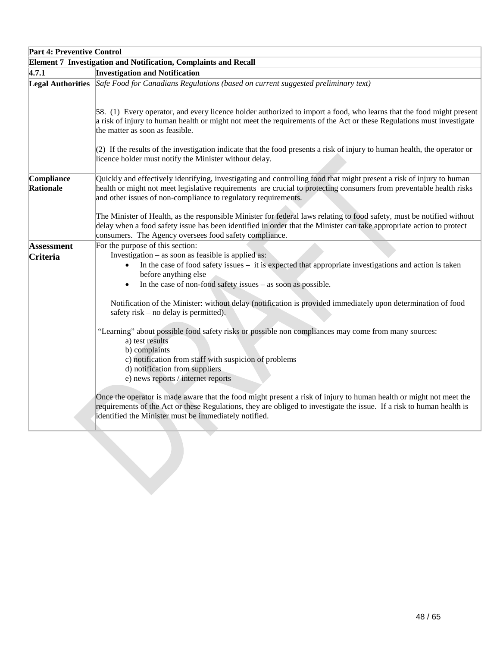| <b>Part 4: Preventive Control</b> |                                                                                                                                                                                                                                                                                                               |  |
|-----------------------------------|---------------------------------------------------------------------------------------------------------------------------------------------------------------------------------------------------------------------------------------------------------------------------------------------------------------|--|
|                                   | <b>Element 7 Investigation and Notification, Complaints and Recall</b>                                                                                                                                                                                                                                        |  |
| 4.7.1                             | <b>Investigation and Notification</b>                                                                                                                                                                                                                                                                         |  |
|                                   | Legal Authorities Safe Food for Canadians Regulations (based on current suggested preliminary text)                                                                                                                                                                                                           |  |
|                                   | [58. (1) Every operator, and every licence holder authorized to import a food, who learns that the food might present<br>a risk of injury to human health or might not meet the requirements of the Act or these Regulations must investigate<br>the matter as soon as feasible.                              |  |
|                                   | $(2)$ If the results of the investigation indicate that the food presents a risk of injury to human health, the operator or<br>licence holder must notify the Minister without delay.                                                                                                                         |  |
| Compliance<br>Rationale           | Quickly and effectively identifying, investigating and controlling food that might present a risk of injury to human<br>health or might not meet legislative requirements are crucial to protecting consumers from preventable health risks<br>and other issues of non-compliance to regulatory requirements. |  |
|                                   | The Minister of Health, as the responsible Minister for federal laws relating to food safety, must be notified without<br>delay when a food safety issue has been identified in order that the Minister can take appropriate action to protect<br>consumers. The Agency oversees food safety compliance.      |  |
| <b>Assessment</b><br>Criteria     | For the purpose of this section:<br>Investigation – as soon as feasible is applied as:<br>In the case of food safety issues – it is expected that appropriate investigations and action is taken<br>before anything else<br>In the case of non-food safety issues - as soon as possible.<br>$\bullet$         |  |
|                                   | Notification of the Minister: without delay (notification is provided immediately upon determination of food<br>safety risk $-$ no delay is permitted).                                                                                                                                                       |  |
|                                   | "Learning" about possible food safety risks or possible non compliances may come from many sources:<br>a) test results<br>b) complaints<br>c) notification from staff with suspicion of problems<br>d) notification from suppliers<br>e) news reports / internet reports                                      |  |
|                                   | Once the operator is made aware that the food might present a risk of injury to human health or might not meet the<br>requirements of the Act or these Regulations, they are obliged to investigate the issue. If a risk to human health is<br>identified the Minister must be immediately notified.          |  |
|                                   |                                                                                                                                                                                                                                                                                                               |  |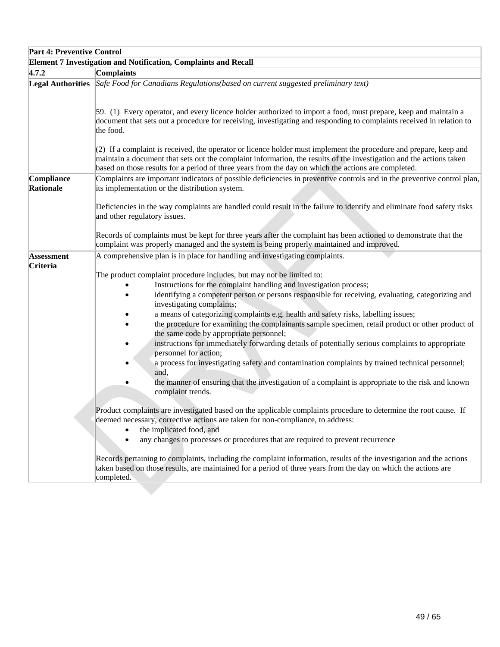| <b>Part 4: Preventive Control</b> |                                                                                                                                                                                                                                                                                                                                                                                                                                                                                                                                                                                                                                                                                                                                                                                                                                                                                     |
|-----------------------------------|-------------------------------------------------------------------------------------------------------------------------------------------------------------------------------------------------------------------------------------------------------------------------------------------------------------------------------------------------------------------------------------------------------------------------------------------------------------------------------------------------------------------------------------------------------------------------------------------------------------------------------------------------------------------------------------------------------------------------------------------------------------------------------------------------------------------------------------------------------------------------------------|
|                                   | <b>Element 7 Investigation and Notification, Complaints and Recall</b>                                                                                                                                                                                                                                                                                                                                                                                                                                                                                                                                                                                                                                                                                                                                                                                                              |
| 4.7.2                             | Complaints                                                                                                                                                                                                                                                                                                                                                                                                                                                                                                                                                                                                                                                                                                                                                                                                                                                                          |
|                                   | Legal Authorities Safe Food for Canadians Regulations (based on current suggested preliminary text)                                                                                                                                                                                                                                                                                                                                                                                                                                                                                                                                                                                                                                                                                                                                                                                 |
|                                   | [59. (1) Every operator, and every licence holder authorized to import a food, must prepare, keep and maintain a<br>document that sets out a procedure for receiving, investigating and responding to complaints received in relation to<br>the food.                                                                                                                                                                                                                                                                                                                                                                                                                                                                                                                                                                                                                               |
|                                   | $(2)$ If a complaint is received, the operator or licence holder must implement the procedure and prepare, keep and<br>maintain a document that sets out the complaint information, the results of the investigation and the actions taken<br>based on those results for a period of three years from the day on which the actions are completed.                                                                                                                                                                                                                                                                                                                                                                                                                                                                                                                                   |
| Compliance<br>Rationale           | Complaints are important indicators of possible deficiencies in preventive controls and in the preventive control plan,<br>its implementation or the distribution system.                                                                                                                                                                                                                                                                                                                                                                                                                                                                                                                                                                                                                                                                                                           |
|                                   | Deficiencies in the way complaints are handled could result in the failure to identify and eliminate food safety risks<br>and other regulatory issues.                                                                                                                                                                                                                                                                                                                                                                                                                                                                                                                                                                                                                                                                                                                              |
|                                   | Records of complaints must be kept for three years after the complaint has been actioned to demonstrate that the<br>complaint was properly managed and the system is being properly maintained and improved.                                                                                                                                                                                                                                                                                                                                                                                                                                                                                                                                                                                                                                                                        |
| <b>Assessment</b>                 | A comprehensive plan is in place for handling and investigating complaints.                                                                                                                                                                                                                                                                                                                                                                                                                                                                                                                                                                                                                                                                                                                                                                                                         |
| <b>Criteria</b>                   | The product complaint procedure includes, but may not be limited to:<br>Instructions for the complaint handling and investigation process;<br>identifying a competent person or persons responsible for receiving, evaluating, categorizing and<br>investigating complaints;<br>a means of categorizing complaints e.g. health and safety risks, labelling issues;<br>the procedure for examining the complainants sample specimen, retail product or other product of<br>the same code by appropriate personnel;<br>instructions for immediately forwarding details of potentially serious complaints to appropriate<br>personnel for action;<br>a process for investigating safety and contamination complaints by trained technical personnel;<br>and,<br>the manner of ensuring that the investigation of a complaint is appropriate to the risk and known<br>complaint trends. |
|                                   | Product complaints are investigated based on the applicable complaints procedure to determine the root cause. If<br>deemed necessary, corrective actions are taken for non-compliance, to address:<br>the implicated food, and<br>$\bullet$<br>any changes to processes or procedures that are required to prevent recurrence<br>$\bullet$                                                                                                                                                                                                                                                                                                                                                                                                                                                                                                                                          |
|                                   | Records pertaining to complaints, including the complaint information, results of the investigation and the actions<br>taken based on those results, are maintained for a period of three years from the day on which the actions are<br>completed.                                                                                                                                                                                                                                                                                                                                                                                                                                                                                                                                                                                                                                 |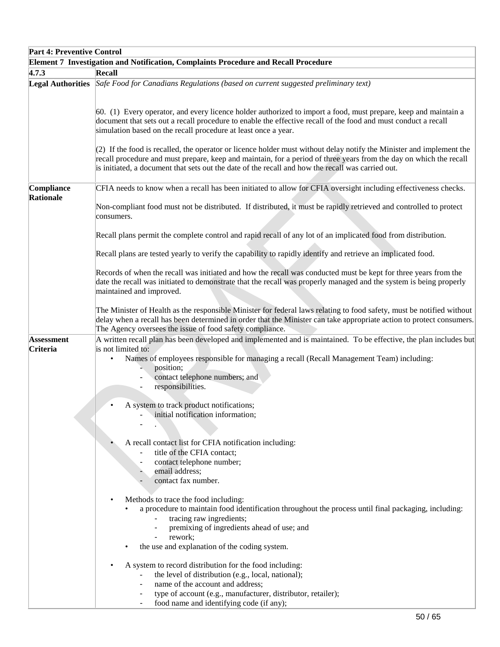| <b>Part 4: Preventive Control</b> |                                                                                                                                                                                                                                                                                                                                                                                                                             |  |  |
|-----------------------------------|-----------------------------------------------------------------------------------------------------------------------------------------------------------------------------------------------------------------------------------------------------------------------------------------------------------------------------------------------------------------------------------------------------------------------------|--|--|
|                                   | Element 7 Investigation and Notification, Complaints Procedure and Recall Procedure                                                                                                                                                                                                                                                                                                                                         |  |  |
| 4.7.3                             | Recall                                                                                                                                                                                                                                                                                                                                                                                                                      |  |  |
| <b>Legal Authorities</b>          | Safe Food for Canadians Regulations (based on current suggested preliminary text)                                                                                                                                                                                                                                                                                                                                           |  |  |
|                                   | 60. (1) Every operator, and every licence holder authorized to import a food, must prepare, keep and maintain a<br>document that sets out a recall procedure to enable the effective recall of the food and must conduct a recall<br>simulation based on the recall procedure at least once a year.<br>(2) If the food is recalled, the operator or licence holder must without delay notify the Minister and implement the |  |  |
|                                   | recall procedure and must prepare, keep and maintain, for a period of three years from the day on which the recall<br>is initiated, a document that sets out the date of the recall and how the recall was carried out.                                                                                                                                                                                                     |  |  |
| Compliance<br><b>Rationale</b>    | CFIA needs to know when a recall has been initiated to allow for CFIA oversight including effectiveness checks.                                                                                                                                                                                                                                                                                                             |  |  |
|                                   | Non-compliant food must not be distributed. If distributed, it must be rapidly retrieved and controlled to protect<br>consumers.                                                                                                                                                                                                                                                                                            |  |  |
|                                   | Recall plans permit the complete control and rapid recall of any lot of an implicated food from distribution.                                                                                                                                                                                                                                                                                                               |  |  |
|                                   | Recall plans are tested yearly to verify the capability to rapidly identify and retrieve an implicated food.                                                                                                                                                                                                                                                                                                                |  |  |
|                                   | Records of when the recall was initiated and how the recall was conducted must be kept for three years from the<br>date the recall was initiated to demonstrate that the recall was properly managed and the system is being properly<br>maintained and improved.                                                                                                                                                           |  |  |
|                                   | The Minister of Health as the responsible Minister for federal laws relating to food safety, must be notified without<br>delay when a recall has been determined in order that the Minister can take appropriate action to protect consumers.<br>The Agency oversees the issue of food safety compliance.                                                                                                                   |  |  |
| <b>Assessment</b><br>Criteria     | A written recall plan has been developed and implemented and is maintained. To be effective, the plan includes but<br>is not limited to:                                                                                                                                                                                                                                                                                    |  |  |
|                                   | Names of employees responsible for managing a recall (Recall Management Team) including:<br>position;<br>contact telephone numbers; and<br>responsibilities.                                                                                                                                                                                                                                                                |  |  |
|                                   | A system to track product notifications;<br>initial notification information;                                                                                                                                                                                                                                                                                                                                               |  |  |
|                                   |                                                                                                                                                                                                                                                                                                                                                                                                                             |  |  |
|                                   | A recall contact list for CFIA notification including:                                                                                                                                                                                                                                                                                                                                                                      |  |  |
|                                   | title of the CFIA contact;<br>contact telephone number;                                                                                                                                                                                                                                                                                                                                                                     |  |  |
|                                   | email address;                                                                                                                                                                                                                                                                                                                                                                                                              |  |  |
|                                   | contact fax number.                                                                                                                                                                                                                                                                                                                                                                                                         |  |  |
|                                   | Methods to trace the food including:<br>a procedure to maintain food identification throughout the process until final packaging, including:<br>tracing raw ingredients;                                                                                                                                                                                                                                                    |  |  |
|                                   | premixing of ingredients ahead of use; and<br>$\blacksquare$<br>rework;                                                                                                                                                                                                                                                                                                                                                     |  |  |
|                                   | the use and explanation of the coding system.                                                                                                                                                                                                                                                                                                                                                                               |  |  |
|                                   | A system to record distribution for the food including:                                                                                                                                                                                                                                                                                                                                                                     |  |  |
|                                   | the level of distribution (e.g., local, national);<br>name of the account and address;                                                                                                                                                                                                                                                                                                                                      |  |  |
|                                   | type of account (e.g., manufacturer, distributor, retailer);<br>food name and identifying code (if any);                                                                                                                                                                                                                                                                                                                    |  |  |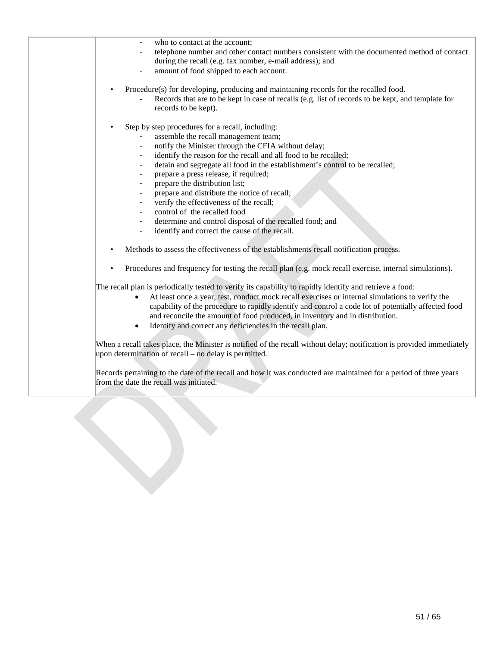| who to contact at the account;                                                                                        |
|-----------------------------------------------------------------------------------------------------------------------|
| telephone number and other contact numbers consistent with the documented method of contact                           |
| during the recall (e.g. fax number, e-mail address); and                                                              |
| amount of food shipped to each account.                                                                               |
|                                                                                                                       |
| Procedure(s) for developing, producing and maintaining records for the recalled food.<br>$\bullet$                    |
| Records that are to be kept in case of recalls (e.g. list of records to be kept, and template for                     |
| records to be kept).                                                                                                  |
|                                                                                                                       |
| Step by step procedures for a recall, including:<br>$\bullet$                                                         |
| assemble the recall management team;                                                                                  |
|                                                                                                                       |
| notify the Minister through the CFIA without delay;<br>$\blacksquare$                                                 |
| identify the reason for the recall and all food to be recalled;<br>$\blacksquare$                                     |
| detain and segregate all food in the establishment's control to be recalled;<br>$\blacksquare$                        |
| prepare a press release, if required;<br>$\blacksquare$                                                               |
| prepare the distribution list;<br>$\overline{\phantom{a}}$                                                            |
| prepare and distribute the notice of recall;<br>$\blacksquare$                                                        |
| verify the effectiveness of the recall;                                                                               |
| control of the recalled food                                                                                          |
| determine and control disposal of the recalled food; and<br>$\blacksquare$                                            |
| identify and correct the cause of the recall.<br>$\overline{\phantom{a}}$                                             |
|                                                                                                                       |
| Methods to assess the effectiveness of the establishments recall notification process.                                |
|                                                                                                                       |
| Procedures and frequency for testing the recall plan (e.g. mock recall exercise, internal simulations).<br>$\bullet$  |
|                                                                                                                       |
| The recall plan is periodically tested to verify its capability to rapidly identify and retrieve a food:              |
| At least once a year, test, conduct mock recall exercises or internal simulations to verify the                       |
| capability of the procedure to rapidly identify and control a code lot of potentially affected food                   |
| and reconcile the amount of food produced, in inventory and in distribution.                                          |
| Identify and correct any deficiencies in the recall plan.                                                             |
|                                                                                                                       |
| When a recall takes place, the Minister is notified of the recall without delay; notification is provided immediately |
|                                                                                                                       |
| upon determination of recall – no delay is permitted.                                                                 |
|                                                                                                                       |
| Records pertaining to the date of the recall and how it was conducted are maintained for a period of three years      |
| from the date the recall was initiated.                                                                               |
|                                                                                                                       |
|                                                                                                                       |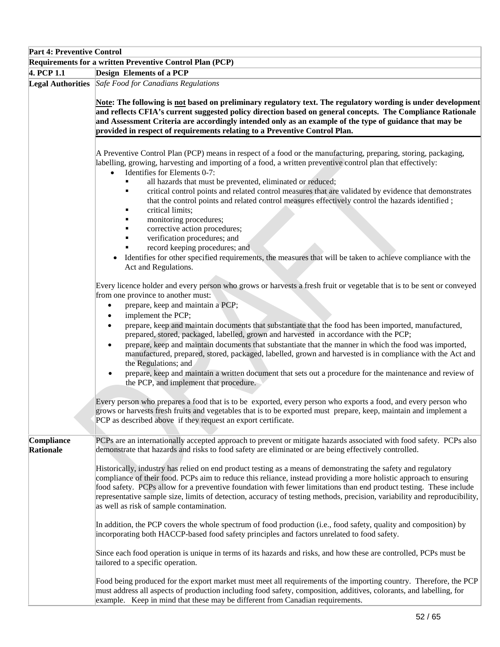| <b>Part 4: Preventive Control</b> |                                                                                                                                                                                                                                                                                                                                                                                                                                                                                                                                                                                                                                                                                                                                                                                                                                                                                                 |
|-----------------------------------|-------------------------------------------------------------------------------------------------------------------------------------------------------------------------------------------------------------------------------------------------------------------------------------------------------------------------------------------------------------------------------------------------------------------------------------------------------------------------------------------------------------------------------------------------------------------------------------------------------------------------------------------------------------------------------------------------------------------------------------------------------------------------------------------------------------------------------------------------------------------------------------------------|
|                                   | Requirements for a written Preventive Control Plan (PCP)                                                                                                                                                                                                                                                                                                                                                                                                                                                                                                                                                                                                                                                                                                                                                                                                                                        |
| 4. PCP 1.1                        | <b>Design Elements of a PCP</b>                                                                                                                                                                                                                                                                                                                                                                                                                                                                                                                                                                                                                                                                                                                                                                                                                                                                 |
|                                   | Legal Authorities Safe Food for Canadians Regulations<br>Note: The following is not based on preliminary regulatory text. The regulatory wording is under development<br>and reflects CFIA's current suggested policy direction based on general concepts. The Compliance Rationale<br>and Assessment Criteria are accordingly intended only as an example of the type of guidance that may be<br>provided in respect of requirements relating to a Preventive Control Plan.                                                                                                                                                                                                                                                                                                                                                                                                                    |
|                                   | A Preventive Control Plan (PCP) means in respect of a food or the manufacturing, preparing, storing, packaging,<br>labelling, growing, harvesting and importing of a food, a written preventive control plan that effectively:<br>Identifies for Elements 0-7:<br>$\bullet$<br>all hazards that must be prevented, eliminated or reduced;<br>critical control points and related control measures that are validated by evidence that demonstrates<br>٠<br>that the control points and related control measures effectively control the hazards identified;<br>critical limits;<br>monitoring procedures;                                                                                                                                                                                                                                                                                       |
|                                   | corrective action procedures;<br>verification procedures; and<br>record keeping procedures; and<br>Identifies for other specified requirements, the measures that will be taken to achieve compliance with the<br>Act and Regulations.                                                                                                                                                                                                                                                                                                                                                                                                                                                                                                                                                                                                                                                          |
|                                   | Every licence holder and every person who grows or harvests a fresh fruit or vegetable that is to be sent or conveyed<br>from one province to another must:<br>prepare, keep and maintain a PCP;<br>$\bullet$<br>implement the PCP;<br>$\bullet$<br>prepare, keep and maintain documents that substantiate that the food has been imported, manufactured,<br>$\bullet$<br>prepared, stored, packaged, labelled, grown and harvested in accordance with the PCP;<br>prepare, keep and maintain documents that substantiate that the manner in which the food was imported,<br>$\bullet$<br>manufactured, prepared, stored, packaged, labelled, grown and harvested is in compliance with the Act and<br>the Regulations; and<br>prepare, keep and maintain a written document that sets out a procedure for the maintenance and review of<br>$\bullet$<br>the PCP, and implement that procedure. |
|                                   | Every person who prepares a food that is to be exported, every person who exports a food, and every person who<br>grows or harvests fresh fruits and vegetables that is to be exported must prepare, keep, maintain and implement a<br>PCP as described above if they request an export certificate.                                                                                                                                                                                                                                                                                                                                                                                                                                                                                                                                                                                            |
| Compliance<br>Rationale           | PCPs are an internationally accepted approach to prevent or mitigate hazards associated with food safety. PCPs also<br>demonstrate that hazards and risks to food safety are eliminated or are being effectively controlled.<br>Historically, industry has relied on end product testing as a means of demonstrating the safety and regulatory<br>compliance of their food. PCPs aim to reduce this reliance, instead providing a more holistic approach to ensuring<br>food safety. PCPs allow for a preventive foundation with fewer limitations than end product testing. These include<br>representative sample size, limits of detection, accuracy of testing methods, precision, variability and reproducibility,<br>as well as risk of sample contamination.                                                                                                                             |
|                                   | In addition, the PCP covers the whole spectrum of food production (i.e., food safety, quality and composition) by<br>incorporating both HACCP-based food safety principles and factors unrelated to food safety.<br>Since each food operation is unique in terms of its hazards and risks, and how these are controlled, PCPs must be<br>tailored to a specific operation.                                                                                                                                                                                                                                                                                                                                                                                                                                                                                                                      |
|                                   | Food being produced for the export market must meet all requirements of the importing country. Therefore, the PCP<br>must address all aspects of production including food safety, composition, additives, colorants, and labelling, for<br>example. Keep in mind that these may be different from Canadian requirements.                                                                                                                                                                                                                                                                                                                                                                                                                                                                                                                                                                       |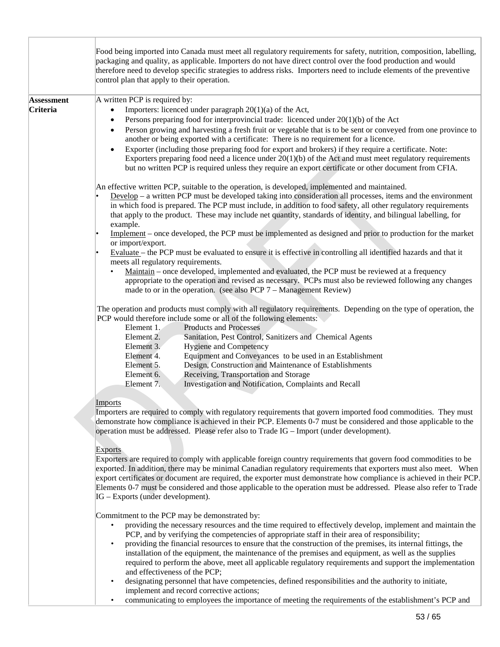|                               | Food being imported into Canada must meet all regulatory requirements for safety, nutrition, composition, labelling,<br>packaging and quality, as applicable. Importers do not have direct control over the food production and would<br>therefore need to develop specific strategies to address risks. Importers need to include elements of the preventive<br>control plan that apply to their operation.                                                                                                                                                                                                                                                                                                                                                                                                                                                                                                                                                                                                                                      |
|-------------------------------|---------------------------------------------------------------------------------------------------------------------------------------------------------------------------------------------------------------------------------------------------------------------------------------------------------------------------------------------------------------------------------------------------------------------------------------------------------------------------------------------------------------------------------------------------------------------------------------------------------------------------------------------------------------------------------------------------------------------------------------------------------------------------------------------------------------------------------------------------------------------------------------------------------------------------------------------------------------------------------------------------------------------------------------------------|
| <b>Assessment</b><br>Criteria | A written PCP is required by:<br>Importers: licenced under paragraph 20(1)(a) of the Act,<br>Persons preparing food for interprovincial trade: licenced under $20(1)(b)$ of the Act<br>Person growing and harvesting a fresh fruit or vegetable that is to be sent or conveyed from one province to<br>$\bullet$<br>another or being exported with a certificate: There is no requirement for a licence.<br>Exporter (including those preparing food for export and brokers) if they require a certificate. Note:<br>Exporters preparing food need a licence under $20(1)(b)$ of the Act and must meet regulatory requirements<br>but no written PCP is required unless they require an export certificate or other document from CFIA.                                                                                                                                                                                                                                                                                                           |
|                               | An effective written PCP, suitable to the operation, is developed, implemented and maintained.<br>$Develop – a written PCP must be developed taking into consideration all processes, items and the environment.$<br>in which food is prepared. The PCP must include, in addition to food safety, all other regulatory requirements<br>that apply to the product. These may include net quantity, standards of identity, and bilingual labelling, for<br>example.<br>Implement – once developed, the PCP must be implemented as designed and prior to production for the market<br>or import/export.<br>Evaluate - the PCP must be evaluated to ensure it is effective in controlling all identified hazards and that it<br>meets all regulatory requirements.<br>Maintain – once developed, implemented and evaluated, the PCP must be reviewed at a frequency<br>appropriate to the operation and revised as necessary. PCPs must also be reviewed following any changes<br>made to or in the operation. (see also PCP $7 -$ Management Review) |
|                               | The operation and products must comply with all regulatory requirements. Depending on the type of operation, the<br>PCP would therefore include some or all of the following elements:<br>Element 1.<br><b>Products and Processes</b><br>Element 2.<br>Sanitation, Pest Control, Sanitizers and Chemical Agents<br>Element 3.<br><b>Hygiene and Competency</b><br>Element 4.<br>Equipment and Conveyances to be used in an Establishment<br>Design, Construction and Maintenance of Establishments<br>Element 5.<br>Element 6.<br>Receiving, Transportation and Storage<br>Element 7.<br>Investigation and Notification, Complaints and Recall                                                                                                                                                                                                                                                                                                                                                                                                    |
|                               | Imports<br>Importers are required to comply with regulatory requirements that govern imported food commodities. They must<br>demonstrate how compliance is achieved in their PCP. Elements 0-7 must be considered and those applicable to the<br>operation must be addressed. Please refer also to Trade IG - Import (under development).<br><b>Exports</b><br>Exporters are required to comply with applicable foreign country requirements that govern food commodities to be<br>exported. In addition, there may be minimal Canadian regulatory requirements that exporters must also meet. When<br>export certificates or document are required, the exporter must demonstrate how compliance is achieved in their PCP.<br>Elements 0-7 must be considered and those applicable to the operation must be addressed. Please also refer to Trade<br>IG – Exports (under development).                                                                                                                                                           |
|                               | Commitment to the PCP may be demonstrated by:<br>providing the necessary resources and the time required to effectively develop, implement and maintain the<br>PCP, and by verifying the competencies of appropriate staff in their area of responsibility;<br>providing the financial resources to ensure that the construction of the premises, its internal fittings, the<br>$\bullet$<br>installation of the equipment, the maintenance of the premises and equipment, as well as the supplies                                                                                                                                                                                                                                                                                                                                                                                                                                                                                                                                                |

- required to perform the above, meet all applicable regulatory requirements and support the implementation and effectiveness of the PCP;
- designating personnel that have competencies, defined responsibilities and the authority to initiate, implement and record corrective actions;
- communicating to employees the importance of meeting the requirements of the establishment's PCP and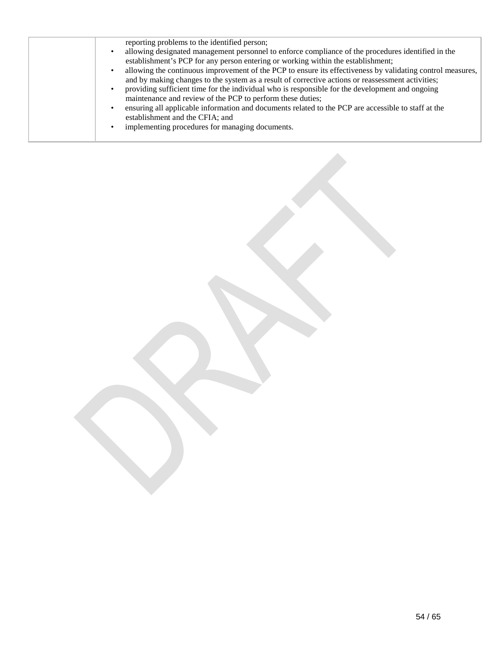|  | reporting problems to the identified person;<br>allowing designated management personnel to enforce compliance of the procedures identified in the<br>establishment's PCP for any person entering or working within the establishment;<br>allowing the continuous improvement of the PCP to ensure its effectiveness by validating control measures,<br>and by making changes to the system as a result of corrective actions or reassessment activities;<br>providing sufficient time for the individual who is responsible for the development and ongoing<br>maintenance and review of the PCP to perform these duties;<br>ensuring all applicable information and documents related to the PCP are accessible to staff at the<br>establishment and the CFIA; and<br>implementing procedures for managing documents. |
|--|-------------------------------------------------------------------------------------------------------------------------------------------------------------------------------------------------------------------------------------------------------------------------------------------------------------------------------------------------------------------------------------------------------------------------------------------------------------------------------------------------------------------------------------------------------------------------------------------------------------------------------------------------------------------------------------------------------------------------------------------------------------------------------------------------------------------------|
|--|-------------------------------------------------------------------------------------------------------------------------------------------------------------------------------------------------------------------------------------------------------------------------------------------------------------------------------------------------------------------------------------------------------------------------------------------------------------------------------------------------------------------------------------------------------------------------------------------------------------------------------------------------------------------------------------------------------------------------------------------------------------------------------------------------------------------------|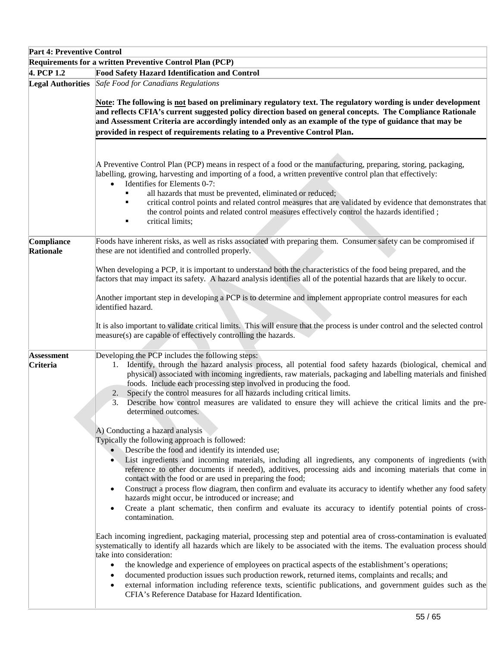| <b>Part 4: Preventive Control</b> |                                                                                                                                                                                                                                                                                                                                                                                                                                                                                                                                                                                                                                                                                                                                                                                                                                                                                                                                                                                                                                                                                                                                                                                                                                      |
|-----------------------------------|--------------------------------------------------------------------------------------------------------------------------------------------------------------------------------------------------------------------------------------------------------------------------------------------------------------------------------------------------------------------------------------------------------------------------------------------------------------------------------------------------------------------------------------------------------------------------------------------------------------------------------------------------------------------------------------------------------------------------------------------------------------------------------------------------------------------------------------------------------------------------------------------------------------------------------------------------------------------------------------------------------------------------------------------------------------------------------------------------------------------------------------------------------------------------------------------------------------------------------------|
|                                   | Requirements for a written Preventive Control Plan (PCP)                                                                                                                                                                                                                                                                                                                                                                                                                                                                                                                                                                                                                                                                                                                                                                                                                                                                                                                                                                                                                                                                                                                                                                             |
| 4. PCP 1.2                        | <b>Food Safety Hazard Identification and Control</b>                                                                                                                                                                                                                                                                                                                                                                                                                                                                                                                                                                                                                                                                                                                                                                                                                                                                                                                                                                                                                                                                                                                                                                                 |
|                                   | <b>Legal Authorities</b> Safe Food for Canadians Regulations<br>Note: The following is not based on preliminary regulatory text. The regulatory wording is under development<br>and reflects CFIA's current suggested policy direction based on general concepts. The Compliance Rationale<br>and Assessment Criteria are accordingly intended only as an example of the type of guidance that may be<br>provided in respect of requirements relating to a Preventive Control Plan.                                                                                                                                                                                                                                                                                                                                                                                                                                                                                                                                                                                                                                                                                                                                                  |
|                                   | A Preventive Control Plan (PCP) means in respect of a food or the manufacturing, preparing, storing, packaging,<br>labelling, growing, harvesting and importing of a food, a written preventive control plan that effectively:<br>Identifies for Elements 0-7:<br>$\bullet$<br>all hazards that must be prevented, eliminated or reduced;<br>critical control points and related control measures that are validated by evidence that demonstrates that<br>the control points and related control measures effectively control the hazards identified;<br>critical limits;                                                                                                                                                                                                                                                                                                                                                                                                                                                                                                                                                                                                                                                           |
| Compliance<br>Rationale           | Foods have inherent risks, as well as risks associated with preparing them. Consumer safety can be compromised if<br>these are not identified and controlled properly.<br>When developing a PCP, it is important to understand both the characteristics of the food being prepared, and the<br>factors that may impact its safety. A hazard analysis identifies all of the potential hazards that are likely to occur.<br>Another important step in developing a PCP is to determine and implement appropriate control measures for each<br>identified hazard.<br>It is also important to validate critical limits. This will ensure that the process is under control and the selected control                                                                                                                                                                                                                                                                                                                                                                                                                                                                                                                                      |
| <b>Assessment</b><br>Criteria     | measure(s) are capable of effectively controlling the hazards.<br>Developing the PCP includes the following steps:<br>1. Identify, through the hazard analysis process, all potential food safety hazards (biological, chemical and<br>physical) associated with incoming ingredients, raw materials, packaging and labelling materials and finished<br>foods. Include each processing step involved in producing the food.<br>Specify the control measures for all hazards including critical limits.<br>2.<br>3. Describe how control measures are validated to ensure they will achieve the critical limits and the pre-<br>determined outcomes.<br>A) Conducting a hazard analysis<br>Typically the following approach is followed:<br>Describe the food and identify its intended use;<br>$\bullet$<br>List ingredients and incoming materials, including all ingredients, any components of ingredients (with<br>$\bullet$<br>reference to other documents if needed), additives, processing aids and incoming materials that come in<br>contact with the food or are used in preparing the food;<br>Construct a process flow diagram, then confirm and evaluate its accuracy to identify whether any food safety<br>$\bullet$ |
|                                   | hazards might occur, be introduced or increase; and<br>Create a plant schematic, then confirm and evaluate its accuracy to identify potential points of cross-<br>$\bullet$<br>contamination.<br>Each incoming ingredient, packaging material, processing step and potential area of cross-contamination is evaluated<br>systematically to identify all hazards which are likely to be associated with the items. The evaluation process should<br>take into consideration:<br>the knowledge and experience of employees on practical aspects of the establishment's operations;<br>$\bullet$<br>documented production issues such production rework, returned items, complaints and recalls; and<br>$\bullet$<br>external information including reference texts, scientific publications, and government guides such as the<br>CFIA's Reference Database for Hazard Identification.                                                                                                                                                                                                                                                                                                                                                 |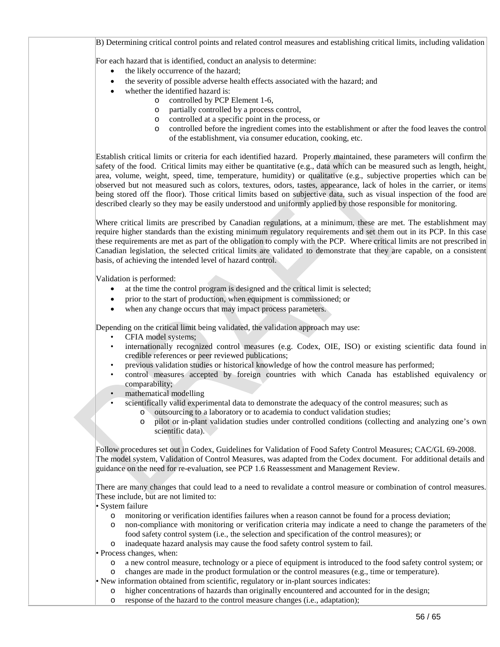B) Determining critical control points and related control measures and establishing critical limits, including validation

For each hazard that is identified, conduct an analysis to determine:

- the likely occurrence of the hazard;
- the severity of possible adverse health effects associated with the hazard; and
	- whether the identified hazard is:
		- o controlled by PCP Element 1-6,
			- o partially controlled by a process control,
			- o controlled at a specific point in the process, or
		- o controlled before the ingredient comes into the establishment or after the food leaves the control of the establishment, via consumer education, cooking, etc.

Establish critical limits or criteria for each identified hazard. Properly maintained, these parameters will confirm the safety of the food. Critical limits may either be quantitative (e.g., data which can be measured such as length, height, area, volume, weight, speed, time, temperature, humidity) or qualitative (e.g., subjective properties which can be observed but not measured such as colors, textures, odors, tastes, appearance, lack of holes in the carrier, or items being stored off the floor). Those critical limits based on subjective data, such as visual inspection of the food are described clearly so they may be easily understood and uniformly applied by those responsible for monitoring.

Where critical limits are prescribed by Canadian regulations, at a minimum, these are met. The establishment may require higher standards than the existing minimum regulatory requirements and set them out in its PCP. In this case these requirements are met as part of the obligation to comply with the PCP. Where critical limits are not prescribed in Canadian legislation, the selected critical limits are validated to demonstrate that they are capable, on a consistent basis, of achieving the intended level of hazard control.

Validation is performed:

- at the time the control program is designed and the critical limit is selected;
- prior to the start of production, when equipment is commissioned; or
- when any change occurs that may impact process parameters.

Depending on the critical limit being validated, the validation approach may use:

- CFIA model systems;
- internationally recognized control measures (e.g. Codex, OIE, ISO) or existing scientific data found in credible references or peer reviewed publications;
- previous validation studies or historical knowledge of how the control measure has performed;
- control measures accepted by foreign countries with which Canada has established equivalency or comparability;
- mathematical modelling
- scientifically valid experimental data to demonstrate the adequacy of the control measures; such as
	- o outsourcing to a laboratory or to academia to conduct validation studies;
		- o pilot or in-plant validation studies under controlled conditions (collecting and analyzing one's own scientific data).

Follow procedures set out in Codex, Guidelines for Validation of Food Safety Control Measures; CAC/GL 69-2008. The model system, Validation of Control Measures, was adapted from the Codex document. For additional details and guidance on the need for re-evaluation, see PCP 1.6 Reassessment and Management Review.

There are many changes that could lead to a need to revalidate a control measure or combination of control measures. These include, but are not limited to:

• System failure

- o monitoring or verification identifies failures when a reason cannot be found for a process deviation;
- o non-compliance with monitoring or verification criteria may indicate a need to change the parameters of the food safety control system (i.e., the selection and specification of the control measures); or
- o inadequate hazard analysis may cause the food safety control system to fail.

• Process changes, when:

- o a new control measure, technology or a piece of equipment is introduced to the food safety control system; or
- o changes are made in the product formulation or the control measures (e.g., time or temperature).

• New information obtained from scientific, regulatory or in-plant sources indicates:

- o higher concentrations of hazards than originally encountered and accounted for in the design;
	- o response of the hazard to the control measure changes (i.e., adaptation);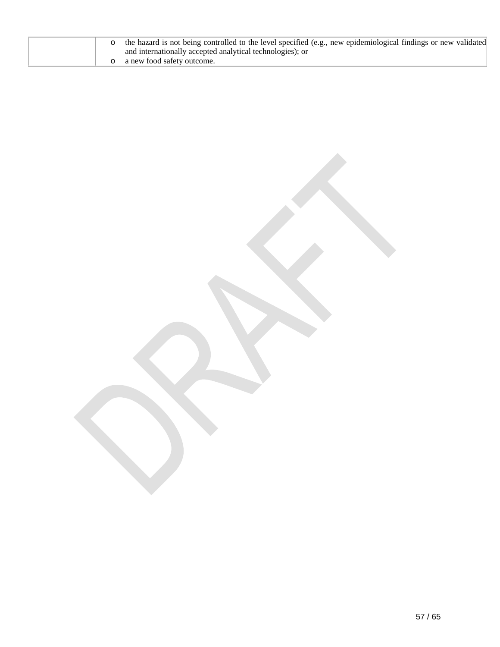|  | o the hazard is not being controlled to the level specified (e.g., new epidemiological findings or new validated)<br>and internationally accepted analytical technologies); or |
|--|--------------------------------------------------------------------------------------------------------------------------------------------------------------------------------|
|  | a new food safety outcome.                                                                                                                                                     |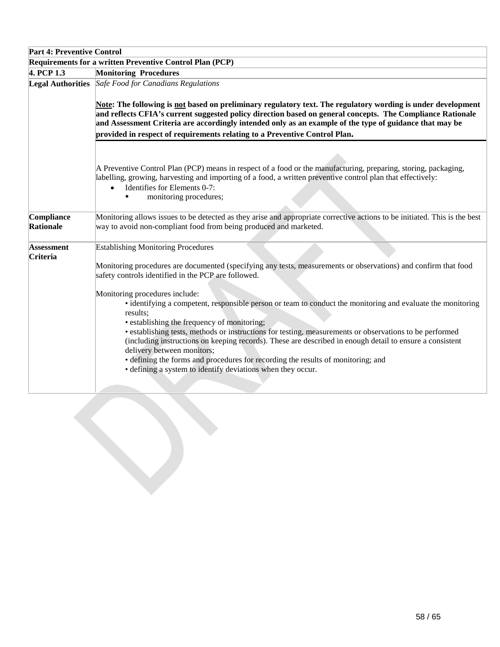| <b>Part 4: Preventive Control</b>                        |                                                                                                                                                                                                                                                                                                                                                                                                                                                                                                                                                                                                                                                                                                                                                                                                                                         |  |
|----------------------------------------------------------|-----------------------------------------------------------------------------------------------------------------------------------------------------------------------------------------------------------------------------------------------------------------------------------------------------------------------------------------------------------------------------------------------------------------------------------------------------------------------------------------------------------------------------------------------------------------------------------------------------------------------------------------------------------------------------------------------------------------------------------------------------------------------------------------------------------------------------------------|--|
| Requirements for a written Preventive Control Plan (PCP) |                                                                                                                                                                                                                                                                                                                                                                                                                                                                                                                                                                                                                                                                                                                                                                                                                                         |  |
| 4. PCP 1.3                                               | <b>Monitoring Procedures</b>                                                                                                                                                                                                                                                                                                                                                                                                                                                                                                                                                                                                                                                                                                                                                                                                            |  |
| <b>Legal Authorities</b>                                 | Safe Food for Canadians Regulations<br>Note: The following is not based on preliminary regulatory text. The regulatory wording is under development<br>and reflects CFIA's current suggested policy direction based on general concepts. The Compliance Rationale<br>and Assessment Criteria are accordingly intended only as an example of the type of guidance that may be<br>provided in respect of requirements relating to a Preventive Control Plan.                                                                                                                                                                                                                                                                                                                                                                              |  |
|                                                          | A Preventive Control Plan (PCP) means in respect of a food or the manufacturing, preparing, storing, packaging,<br>labelling, growing, harvesting and importing of a food, a written preventive control plan that effectively:<br>Identifies for Elements 0-7:<br>$\bullet$<br>monitoring procedures;                                                                                                                                                                                                                                                                                                                                                                                                                                                                                                                                   |  |
| Compliance<br>Rationale                                  | Monitoring allows issues to be detected as they arise and appropriate corrective actions to be initiated. This is the best<br>way to avoid non-compliant food from being produced and marketed.                                                                                                                                                                                                                                                                                                                                                                                                                                                                                                                                                                                                                                         |  |
| <b>Assessment</b><br>Criteria                            | <b>Establishing Monitoring Procedures</b><br>Monitoring procedures are documented (specifying any tests, measurements or observations) and confirm that food<br>safety controls identified in the PCP are followed.<br>Monitoring procedures include:<br>• identifying a competent, responsible person or team to conduct the monitoring and evaluate the monitoring<br>results;<br>• establishing the frequency of monitoring;<br>• establishing tests, methods or instructions for testing, measurements or observations to be performed<br>(including instructions on keeping records). These are described in enough detail to ensure a consistent<br>delivery between monitors;<br>• defining the forms and procedures for recording the results of monitoring; and<br>• defining a system to identify deviations when they occur. |  |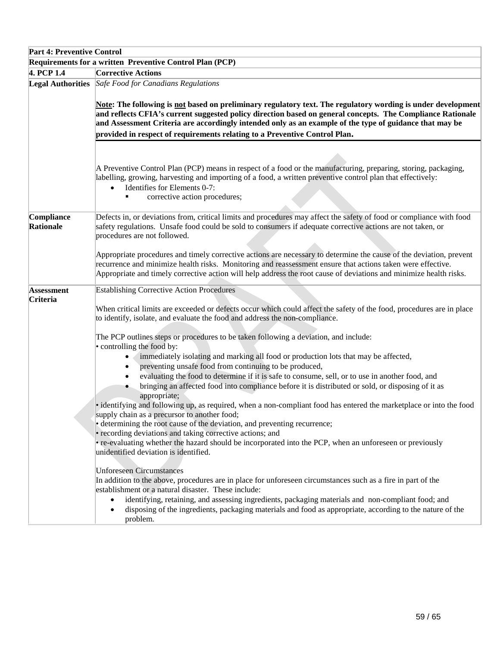| <b>Part 4: Preventive Control</b> |                                                                                                                                                                                                                                                                                                                                                          |
|-----------------------------------|----------------------------------------------------------------------------------------------------------------------------------------------------------------------------------------------------------------------------------------------------------------------------------------------------------------------------------------------------------|
|                                   | Requirements for a written Preventive Control Plan (PCP)                                                                                                                                                                                                                                                                                                 |
| 4. PCP 1.4                        | <b>Corrective Actions</b>                                                                                                                                                                                                                                                                                                                                |
|                                   | <b>Legal Authorities</b> Safe Food for Canadians Regulations                                                                                                                                                                                                                                                                                             |
|                                   | Note: The following is not based on preliminary regulatory text. The regulatory wording is under development                                                                                                                                                                                                                                             |
|                                   | and reflects CFIA's current suggested policy direction based on general concepts. The Compliance Rationale<br>and Assessment Criteria are accordingly intended only as an example of the type of guidance that may be                                                                                                                                    |
|                                   | provided in respect of requirements relating to a Preventive Control Plan.                                                                                                                                                                                                                                                                               |
|                                   |                                                                                                                                                                                                                                                                                                                                                          |
|                                   |                                                                                                                                                                                                                                                                                                                                                          |
|                                   | A Preventive Control Plan (PCP) means in respect of a food or the manufacturing, preparing, storing, packaging,<br>labelling, growing, harvesting and importing of a food, a written preventive control plan that effectively:<br>Identifies for Elements 0-7:<br>$\bullet$                                                                              |
|                                   | corrective action procedures;                                                                                                                                                                                                                                                                                                                            |
|                                   |                                                                                                                                                                                                                                                                                                                                                          |
| Compliance<br>Rationale           | Defects in, or deviations from, critical limits and procedures may affect the safety of food or compliance with food<br>safety regulations. Unsafe food could be sold to consumers if adequate corrective actions are not taken, or<br>procedures are not followed.                                                                                      |
|                                   | Appropriate procedures and timely corrective actions are necessary to determine the cause of the deviation, prevent<br>recurrence and minimize health risks. Monitoring and reassessment ensure that actions taken were effective.<br>Appropriate and timely corrective action will help address the root cause of deviations and minimize health risks. |
| <b>Assessment</b>                 | <b>Establishing Corrective Action Procedures</b>                                                                                                                                                                                                                                                                                                         |
| Criteria                          |                                                                                                                                                                                                                                                                                                                                                          |
|                                   | When critical limits are exceeded or defects occur which could affect the safety of the food, procedures are in place<br>to identify, isolate, and evaluate the food and address the non-compliance.                                                                                                                                                     |
|                                   | The PCP outlines steps or procedures to be taken following a deviation, and include:<br>• controlling the food by:                                                                                                                                                                                                                                       |
|                                   | immediately isolating and marking all food or production lots that may be affected,<br>$\bullet$                                                                                                                                                                                                                                                         |
|                                   | preventing unsafe food from continuing to be produced,<br>$\bullet$                                                                                                                                                                                                                                                                                      |
|                                   | evaluating the food to determine if it is safe to consume, sell, or to use in another food, and                                                                                                                                                                                                                                                          |
|                                   | bringing an affected food into compliance before it is distributed or sold, or disposing of it as                                                                                                                                                                                                                                                        |
|                                   | appropriate;                                                                                                                                                                                                                                                                                                                                             |
|                                   | • identifying and following up, as required, when a non-compliant food has entered the marketplace or into the food<br>supply chain as a precursor to another food;                                                                                                                                                                                      |
|                                   | • determining the root cause of the deviation, and preventing recurrence;                                                                                                                                                                                                                                                                                |
|                                   | · recording deviations and taking corrective actions; and                                                                                                                                                                                                                                                                                                |
|                                   | • re-evaluating whether the hazard should be incorporated into the PCP, when an unforeseen or previously                                                                                                                                                                                                                                                 |
|                                   | unidentified deviation is identified.                                                                                                                                                                                                                                                                                                                    |
|                                   | <b>Unforeseen Circumstances</b>                                                                                                                                                                                                                                                                                                                          |
|                                   | In addition to the above, procedures are in place for unforeseen circumstances such as a fire in part of the                                                                                                                                                                                                                                             |
|                                   | establishment or a natural disaster. These include:                                                                                                                                                                                                                                                                                                      |
|                                   | identifying, retaining, and assessing ingredients, packaging materials and non-compliant food; and<br>disposing of the ingredients, packaging materials and food as appropriate, according to the nature of the<br>problem.                                                                                                                              |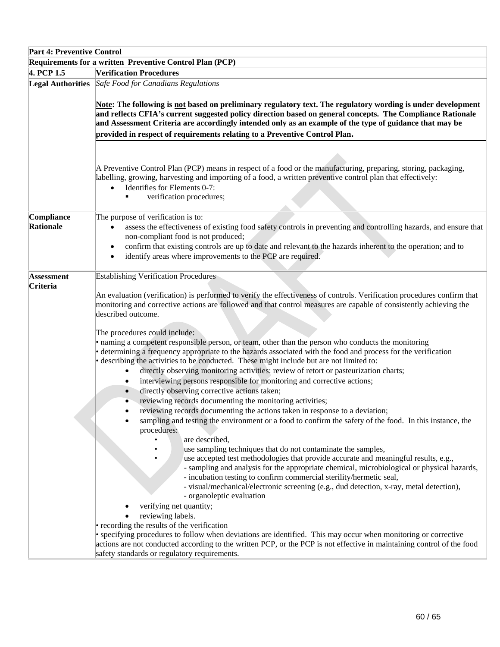| <b>Part 4: Preventive Control</b> |                                                                                                                                                                                                                                                                                                                                                                                                                                                                                                                                                                                                                                                                                                                                                                                                                                                                                                                                                                                                                                                                                                                                                                                                                                                                                                                                                                                                                                                                                                                                                                                                                                                                                                                                                                                                                                                                                                                                                                                                                                   |
|-----------------------------------|-----------------------------------------------------------------------------------------------------------------------------------------------------------------------------------------------------------------------------------------------------------------------------------------------------------------------------------------------------------------------------------------------------------------------------------------------------------------------------------------------------------------------------------------------------------------------------------------------------------------------------------------------------------------------------------------------------------------------------------------------------------------------------------------------------------------------------------------------------------------------------------------------------------------------------------------------------------------------------------------------------------------------------------------------------------------------------------------------------------------------------------------------------------------------------------------------------------------------------------------------------------------------------------------------------------------------------------------------------------------------------------------------------------------------------------------------------------------------------------------------------------------------------------------------------------------------------------------------------------------------------------------------------------------------------------------------------------------------------------------------------------------------------------------------------------------------------------------------------------------------------------------------------------------------------------------------------------------------------------------------------------------------------------|
|                                   | Requirements for a written Preventive Control Plan (PCP)                                                                                                                                                                                                                                                                                                                                                                                                                                                                                                                                                                                                                                                                                                                                                                                                                                                                                                                                                                                                                                                                                                                                                                                                                                                                                                                                                                                                                                                                                                                                                                                                                                                                                                                                                                                                                                                                                                                                                                          |
| 4. PCP 1.5                        | <b>Verification Procedures</b>                                                                                                                                                                                                                                                                                                                                                                                                                                                                                                                                                                                                                                                                                                                                                                                                                                                                                                                                                                                                                                                                                                                                                                                                                                                                                                                                                                                                                                                                                                                                                                                                                                                                                                                                                                                                                                                                                                                                                                                                    |
| <b>Legal Authorities</b>          | Safe Food for Canadians Regulations<br>Note: The following is not based on preliminary regulatory text. The regulatory wording is under development<br>and reflects CFIA's current suggested policy direction based on general concepts. The Compliance Rationale<br>and Assessment Criteria are accordingly intended only as an example of the type of guidance that may be<br>provided in respect of requirements relating to a Preventive Control Plan.                                                                                                                                                                                                                                                                                                                                                                                                                                                                                                                                                                                                                                                                                                                                                                                                                                                                                                                                                                                                                                                                                                                                                                                                                                                                                                                                                                                                                                                                                                                                                                        |
|                                   | A Preventive Control Plan (PCP) means in respect of a food or the manufacturing, preparing, storing, packaging,<br>labelling, growing, harvesting and importing of a food, a written preventive control plan that effectively:<br>Identifies for Elements 0-7:<br>verification procedures;<br>٠                                                                                                                                                                                                                                                                                                                                                                                                                                                                                                                                                                                                                                                                                                                                                                                                                                                                                                                                                                                                                                                                                                                                                                                                                                                                                                                                                                                                                                                                                                                                                                                                                                                                                                                                   |
| Compliance<br>Rationale           | The purpose of verification is to:<br>assess the effectiveness of existing food safety controls in preventing and controlling hazards, and ensure that<br>non-compliant food is not produced;<br>confirm that existing controls are up to date and relevant to the hazards inherent to the operation; and to<br>$\bullet$<br>identify areas where improvements to the PCP are required.<br>٠                                                                                                                                                                                                                                                                                                                                                                                                                                                                                                                                                                                                                                                                                                                                                                                                                                                                                                                                                                                                                                                                                                                                                                                                                                                                                                                                                                                                                                                                                                                                                                                                                                      |
| <b>Assessment</b><br>Criteria     | <b>Establishing Verification Procedures</b><br>An evaluation (verification) is performed to verify the effectiveness of controls. Verification procedures confirm that<br>monitoring and corrective actions are followed and that control measures are capable of consistently achieving the<br>described outcome.<br>The procedures could include:<br>• naming a competent responsible person, or team, other than the person who conducts the monitoring<br>• determining a frequency appropriate to the hazards associated with the food and process for the verification<br>• describing the activities to be conducted. These might include but are not limited to:<br>directly observing monitoring activities: review of retort or pasteurization charts;<br>interviewing persons responsible for monitoring and corrective actions;<br>directly observing corrective actions taken;<br>reviewing records documenting the monitoring activities;<br>reviewing records documenting the actions taken in response to a deviation;<br>sampling and testing the environment or a food to confirm the safety of the food. In this instance, the<br>procedures:<br>are described,<br>use sampling techniques that do not contaminate the samples,<br>use accepted test methodologies that provide accurate and meaningful results, e.g.,<br>- sampling and analysis for the appropriate chemical, microbiological or physical hazards,<br>- incubation testing to confirm commercial sterility/hermetic seal,<br>- visual/mechanical/electronic screening (e.g., dud detection, x-ray, metal detection),<br>- organoleptic evaluation<br>verifying net quantity;<br>reviewing labels.<br>• recording the results of the verification<br>• specifying procedures to follow when deviations are identified. This may occur when monitoring or corrective<br>actions are not conducted according to the written PCP, or the PCP is not effective in maintaining control of the food<br>safety standards or regulatory requirements. |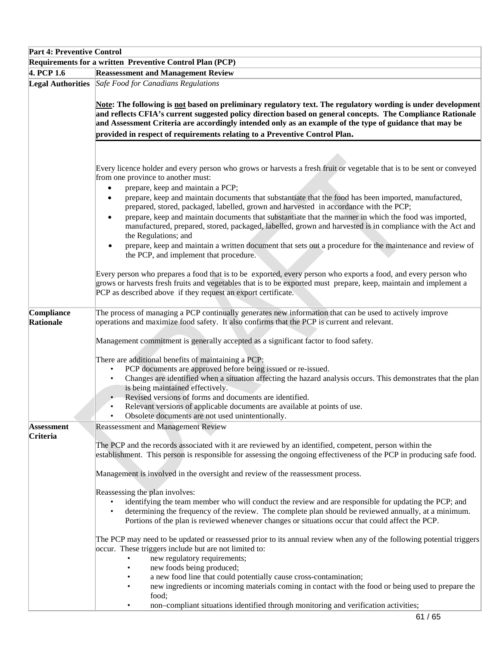| <b>Part 4: Preventive Control</b>                        |                                                                                                                                                                                                                                                                                                      |  |
|----------------------------------------------------------|------------------------------------------------------------------------------------------------------------------------------------------------------------------------------------------------------------------------------------------------------------------------------------------------------|--|
| Requirements for a written Preventive Control Plan (PCP) |                                                                                                                                                                                                                                                                                                      |  |
| 4. PCP 1.6                                               | <b>Reassessment and Management Review</b>                                                                                                                                                                                                                                                            |  |
|                                                          | <b>Legal Authorities</b> Safe Food for Canadians Regulations                                                                                                                                                                                                                                         |  |
|                                                          | Note: The following is not based on preliminary regulatory text. The regulatory wording is under development<br>and reflects CFIA's current suggested policy direction based on general concepts. The Compliance Rationale                                                                           |  |
|                                                          | and Assessment Criteria are accordingly intended only as an example of the type of guidance that may be                                                                                                                                                                                              |  |
|                                                          | provided in respect of requirements relating to a Preventive Control Plan.                                                                                                                                                                                                                           |  |
|                                                          |                                                                                                                                                                                                                                                                                                      |  |
|                                                          |                                                                                                                                                                                                                                                                                                      |  |
|                                                          | Every licence holder and every person who grows or harvests a fresh fruit or vegetable that is to be sent or conveyed<br>from one province to another must:<br>prepare, keep and maintain a PCP;<br>$\bullet$                                                                                        |  |
|                                                          | prepare, keep and maintain documents that substantiate that the food has been imported, manufactured,<br>$\bullet$<br>prepared, stored, packaged, labelled, grown and harvested in accordance with the PCP;                                                                                          |  |
|                                                          | prepare, keep and maintain documents that substantiate that the manner in which the food was imported,<br>$\bullet$<br>manufactured, prepared, stored, packaged, labelled, grown and harvested is in compliance with the Act and<br>the Regulations; and                                             |  |
|                                                          | prepare, keep and maintain a written document that sets out a procedure for the maintenance and review of<br>٠<br>the PCP, and implement that procedure.                                                                                                                                             |  |
|                                                          | Every person who prepares a food that is to be exported, every person who exports a food, and every person who<br>grows or harvests fresh fruits and vegetables that is to be exported must prepare, keep, maintain and implement a<br>PCP as described above if they request an export certificate. |  |
| Compliance<br>Rationale                                  | The process of managing a PCP continually generates new information that can be used to actively improve<br>operations and maximize food safety. It also confirms that the PCP is current and relevant.                                                                                              |  |
|                                                          | Management commitment is generally accepted as a significant factor to food safety.                                                                                                                                                                                                                  |  |
|                                                          | There are additional benefits of maintaining a PCP:                                                                                                                                                                                                                                                  |  |
|                                                          | PCP documents are approved before being issued or re-issued.<br>$\bullet$                                                                                                                                                                                                                            |  |
|                                                          | Changes are identified when a situation affecting the hazard analysis occurs. This demonstrates that the plan<br>is being maintained effectively.                                                                                                                                                    |  |
|                                                          | Revised versions of forms and documents are identified.                                                                                                                                                                                                                                              |  |
|                                                          | Relevant versions of applicable documents are available at points of use.                                                                                                                                                                                                                            |  |
|                                                          | Obsolete documents are not used unintentionally.                                                                                                                                                                                                                                                     |  |
| <b>Assessment</b>                                        | <b>Reassessment and Management Review</b>                                                                                                                                                                                                                                                            |  |
| Criteria                                                 |                                                                                                                                                                                                                                                                                                      |  |
|                                                          | The PCP and the records associated with it are reviewed by an identified, competent, person within the<br>establishment. This person is responsible for assessing the ongoing effectiveness of the PCP in producing safe food.                                                                       |  |
|                                                          | Management is involved in the oversight and review of the reassessment process.                                                                                                                                                                                                                      |  |
|                                                          | Reassessing the plan involves:                                                                                                                                                                                                                                                                       |  |
|                                                          | identifying the team member who will conduct the review and are responsible for updating the PCP; and                                                                                                                                                                                                |  |
|                                                          | determining the frequency of the review. The complete plan should be reviewed annually, at a minimum.<br>Portions of the plan is reviewed whenever changes or situations occur that could affect the PCP.                                                                                            |  |
|                                                          | The PCP may need to be updated or reassessed prior to its annual review when any of the following potential triggers                                                                                                                                                                                 |  |
|                                                          | occur. These triggers include but are not limited to:                                                                                                                                                                                                                                                |  |
|                                                          | new regulatory requirements;<br>new foods being produced;<br>٠                                                                                                                                                                                                                                       |  |
|                                                          | a new food line that could potentially cause cross-contamination;                                                                                                                                                                                                                                    |  |
|                                                          | new ingredients or incoming materials coming in contact with the food or being used to prepare the<br>food;                                                                                                                                                                                          |  |
|                                                          | non-compliant situations identified through monitoring and verification activities;                                                                                                                                                                                                                  |  |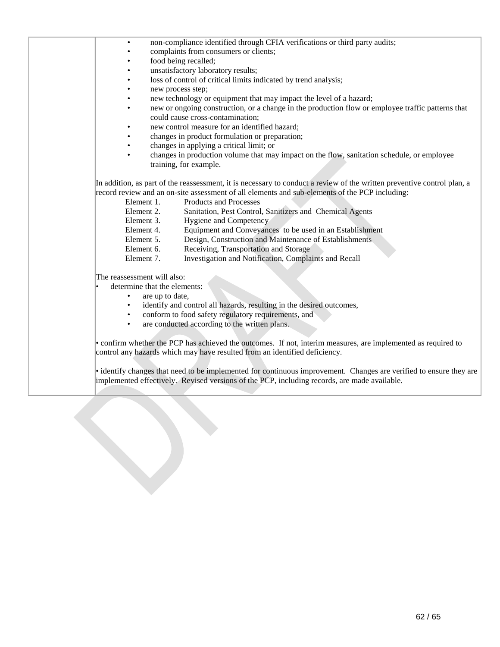non-compliance identified through CFIA verifications or third party audits; • complaints from consumers or clients;

- food being recalled;
- unsatisfactory laboratory results;
- loss of control of critical limits indicated by trend analysis;
- new process step;
- new technology or equipment that may impact the level of a hazard;
- new or ongoing construction, or a change in the production flow or employee traffic patterns that could cause cross-contamination;
- new control measure for an identified hazard;
- changes in product formulation or preparation;
- changes in applying a critical limit; or
- changes in production volume that may impact on the flow, sanitation schedule, or employee training, for example.

In addition, as part of the reassessment, it is necessary to conduct a review of the written preventive control plan, a record review and an on-site assessment of all elements and sub-elements of the PCP including:

- Element 1. Products and Processes
- Element 2. Sanitation, Pest Control, Sanitizers and Chemical Agents
- Element 3. Hygiene and Competency
- Element 4. Equipment and Conveyances to be used in an Establishment
- Element 5. Design, Construction and Maintenance of Establishments
- Element 6. Receiving, Transportation and Storage
- Element 7. Investigation and Notification, Complaints and Recall

The reassessment will also:

- determine that the elements:
	- are up to date,
	- identify and control all hazards, resulting in the desired outcomes,
	- conform to food safety regulatory requirements, and
	- are conducted according to the written plans.

• confirm whether the PCP has achieved the outcomes. If not, interim measures, are implemented as required to control any hazards which may have resulted from an identified deficiency.

• identify changes that need to be implemented for continuous improvement. Changes are verified to ensure they are implemented effectively. Revised versions of the PCP, including records, are made available.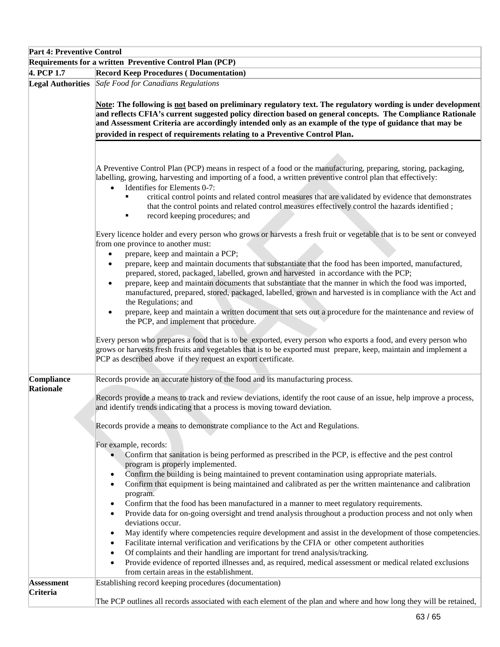|                               | <b>Part 4: Preventive Control</b>                                                                                                                                                                                                                                                                                                                                                                                                       |  |  |
|-------------------------------|-----------------------------------------------------------------------------------------------------------------------------------------------------------------------------------------------------------------------------------------------------------------------------------------------------------------------------------------------------------------------------------------------------------------------------------------|--|--|
|                               | Requirements for a written Preventive Control Plan (PCP)                                                                                                                                                                                                                                                                                                                                                                                |  |  |
| 4. PCP 1.7                    | <b>Record Keep Procedures (Documentation)</b>                                                                                                                                                                                                                                                                                                                                                                                           |  |  |
|                               | <b>Legal Authorities</b> Safe Food for Canadians Regulations                                                                                                                                                                                                                                                                                                                                                                            |  |  |
|                               | Note: The following is not based on preliminary regulatory text. The regulatory wording is under development<br>and reflects CFIA's current suggested policy direction based on general concepts. The Compliance Rationale<br>and Assessment Criteria are accordingly intended only as an example of the type of guidance that may be                                                                                                   |  |  |
|                               | provided in respect of requirements relating to a Preventive Control Plan.                                                                                                                                                                                                                                                                                                                                                              |  |  |
|                               |                                                                                                                                                                                                                                                                                                                                                                                                                                         |  |  |
|                               | A Preventive Control Plan (PCP) means in respect of a food or the manufacturing, preparing, storing, packaging,<br>labelling, growing, harvesting and importing of a food, a written preventive control plan that effectively:<br>Identifies for Elements 0-7:<br>$\bullet$                                                                                                                                                             |  |  |
|                               | critical control points and related control measures that are validated by evidence that demonstrates<br>that the control points and related control measures effectively control the hazards identified;<br>record keeping procedures; and<br>٠                                                                                                                                                                                        |  |  |
|                               | Every licence holder and every person who grows or harvests a fresh fruit or vegetable that is to be sent or conveyed<br>from one province to another must:<br>prepare, keep and maintain a PCP;<br>$\bullet$                                                                                                                                                                                                                           |  |  |
|                               | prepare, keep and maintain documents that substantiate that the food has been imported, manufactured,<br>$\bullet$<br>prepared, stored, packaged, labelled, grown and harvested in accordance with the PCP;<br>prepare, keep and maintain documents that substantiate that the manner in which the food was imported,<br>٠<br>manufactured, prepared, stored, packaged, labelled, grown and harvested is in compliance with the Act and |  |  |
|                               | the Regulations; and<br>prepare, keep and maintain a written document that sets out a procedure for the maintenance and review of<br>$\bullet$<br>the PCP, and implement that procedure.                                                                                                                                                                                                                                                |  |  |
|                               | Every person who prepares a food that is to be exported, every person who exports a food, and every person who<br>grows or harvests fresh fruits and vegetables that is to be exported must prepare, keep, maintain and implement a<br>PCP as described above if they request an export certificate.                                                                                                                                    |  |  |
| Compliance                    | Records provide an accurate history of the food and its manufacturing process.                                                                                                                                                                                                                                                                                                                                                          |  |  |
| Rationale                     | Records provide a means to track and review deviations, identify the root cause of an issue, help improve a process,<br>and identify trends indicating that a process is moving toward deviation.                                                                                                                                                                                                                                       |  |  |
|                               | Records provide a means to demonstrate compliance to the Act and Regulations.                                                                                                                                                                                                                                                                                                                                                           |  |  |
|                               | For example, records:<br>Confirm that sanitation is being performed as prescribed in the PCP, is effective and the pest control<br>program is properly implemented.                                                                                                                                                                                                                                                                     |  |  |
|                               | Confirm the building is being maintained to prevent contamination using appropriate materials.<br>$\bullet$<br>Confirm that equipment is being maintained and calibrated as per the written maintenance and calibration<br>$\bullet$<br>program.                                                                                                                                                                                        |  |  |
|                               | Confirm that the food has been manufactured in a manner to meet regulatory requirements.<br>$\bullet$<br>Provide data for on-going oversight and trend analysis throughout a production process and not only when<br>$\bullet$<br>deviations occur.                                                                                                                                                                                     |  |  |
|                               | May identify where competencies require development and assist in the development of those competencies.<br>Facilitate internal verification and verifications by the CFIA or other competent authorities<br>$\bullet$<br>Of complaints and their handling are important for trend analysis/tracking.<br>$\bullet$                                                                                                                      |  |  |
|                               | Provide evidence of reported illnesses and, as required, medical assessment or medical related exclusions<br>from certain areas in the establishment.                                                                                                                                                                                                                                                                                   |  |  |
| <b>Assessment</b><br>Criteria | Establishing record keeping procedures (documentation)                                                                                                                                                                                                                                                                                                                                                                                  |  |  |
|                               | The PCP outlines all records associated with each element of the plan and where and how long they will be retained,                                                                                                                                                                                                                                                                                                                     |  |  |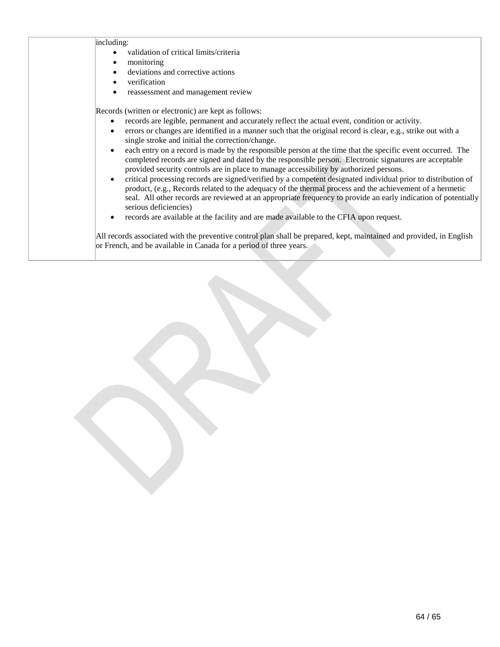| including:<br>validation of critical limits/criteria<br>monitoring<br>deviations and corrective actions<br>verification<br>reassessment and management review                                                                                                                                                                                                                                                                                                                                                                                                                                                                                                                                                                                                                                                                                                                                                                                                                                                                                                                                                                                                                                                                                                                                                                                                                 |
|-------------------------------------------------------------------------------------------------------------------------------------------------------------------------------------------------------------------------------------------------------------------------------------------------------------------------------------------------------------------------------------------------------------------------------------------------------------------------------------------------------------------------------------------------------------------------------------------------------------------------------------------------------------------------------------------------------------------------------------------------------------------------------------------------------------------------------------------------------------------------------------------------------------------------------------------------------------------------------------------------------------------------------------------------------------------------------------------------------------------------------------------------------------------------------------------------------------------------------------------------------------------------------------------------------------------------------------------------------------------------------|
| Records (written or electronic) are kept as follows:<br>records are legible, permanent and accurately reflect the actual event, condition or activity.<br>$\bullet$<br>errors or changes are identified in a manner such that the original record is clear, e.g., strike out with a<br>$\bullet$<br>single stroke and initial the correction/change.<br>each entry on a record is made by the responsible person at the time that the specific event occurred. The<br>$\bullet$<br>completed records are signed and dated by the responsible person. Electronic signatures are acceptable<br>provided security controls are in place to manage accessibility by authorized persons.<br>critical processing records are signed/verified by a competent designated individual prior to distribution of<br>$\bullet$<br>product, (e.g., Records related to the adequacy of the thermal process and the achievement of a hermetic<br>seal. All other records are reviewed at an appropriate frequency to provide an early indication of potentially<br>serious deficiencies)<br>records are available at the facility and are made available to the CFIA upon request.<br>$\bullet$<br>All records associated with the preventive control plan shall be prepared, kept, maintained and provided, in English<br>or French, and be available in Canada for a period of three years. |